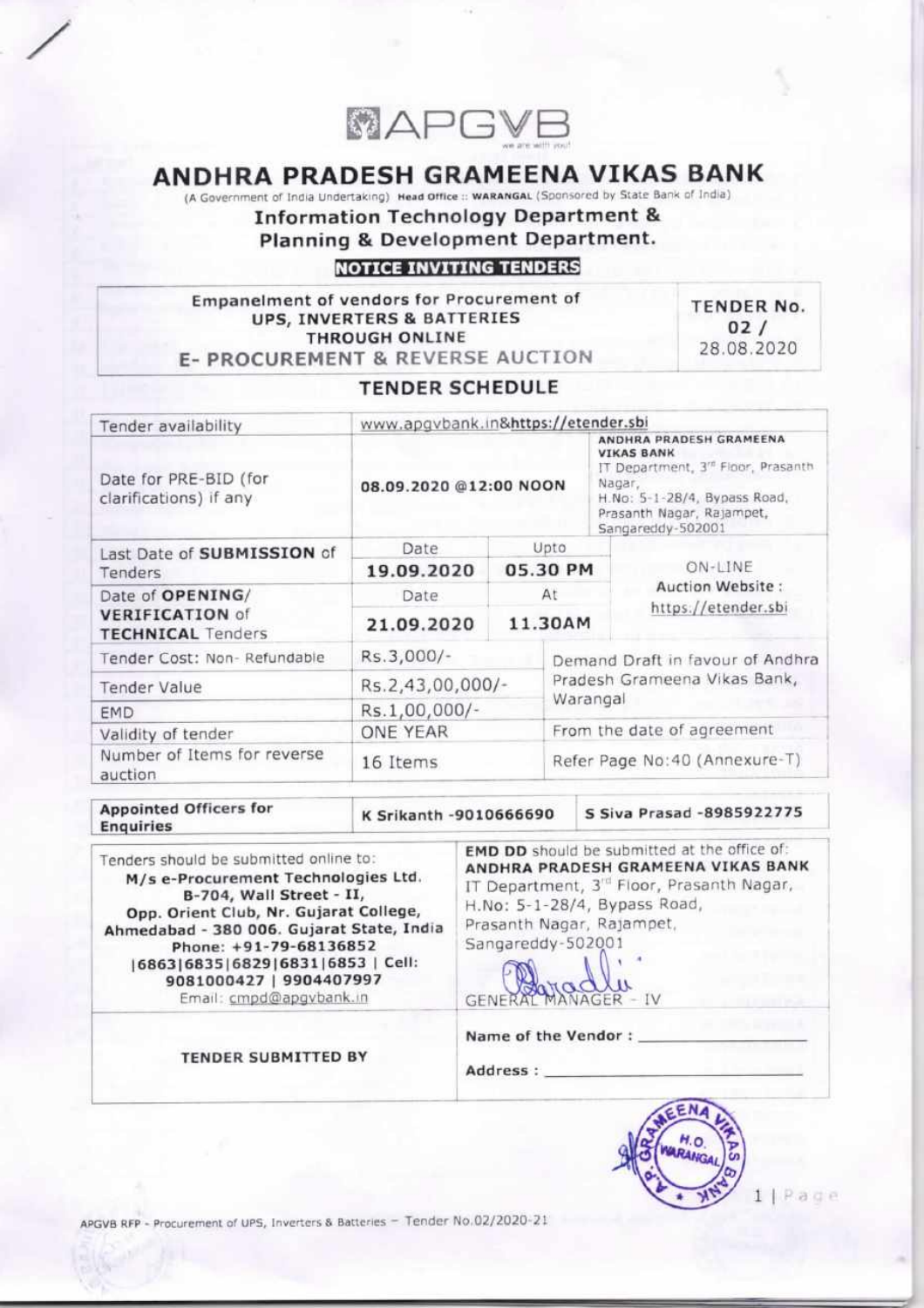

# ANDHRA PRADESH GRAMEENA VIKAS BANK

(A Government of India Undertaking) Head Office :: WARANGAL (Sponsored by State Bank of India)

**Planning & Development Department.**<br>JOTGE INVITING TENDERS Information Technology Department &

E- PROCUREMENT & REVERSE AUCTION THROUGH ONLINE UPS, INVERTERS & BATTERIES Empanelment of vendors for Procurement of

28.08.2020  $02/$ TENDER No.

# **TENDER SCHEDULE**

| Tender availability                                | www.apgvbank.in&https://etender.sbi                   |  |                                                                                                                                                             |                               |  |
|----------------------------------------------------|-------------------------------------------------------|--|-------------------------------------------------------------------------------------------------------------------------------------------------------------|-------------------------------|--|
| Date for PRE-BID (for<br>clarifications) if any    | <b>VIKAS BANK</b><br>Nagar,<br>08.09.2020 @12:00 NOON |  | ANDHRA PRADESH GRAMEENA<br>IT Department, 3 <sup>rd</sup> Floor, Prasanth<br>H.No: 5-1-28/4, Bypass Road,<br>Prasanth Nagar, Rajampet,<br>Sangareddy-502001 |                               |  |
| Last Date of SUBMISSION of                         | <b>Date</b>                                           |  | Upto                                                                                                                                                        |                               |  |
| Tenders                                            | 05.30 PM<br>19.09.2020                                |  |                                                                                                                                                             | ON-LINE                       |  |
| Date of OPENING/                                   | Date.                                                 |  | At                                                                                                                                                          | Auction Website:              |  |
| <b>VERIFICATION of</b><br><b>TECHNICAL</b> Tenders | 11.30AM<br>21.09.2020                                 |  | https://etender.sbi                                                                                                                                         |                               |  |
| Tender Cost: Non-Refundable                        | Rs.3,000/-                                            |  | Demand Draft in favour of Andhra                                                                                                                            |                               |  |
| <b>Tender Value</b>                                | Rs.2,43,00,000/-                                      |  |                                                                                                                                                             | Pradesh Grameena Vikas Bank,  |  |
| <b>EMD</b>                                         | Rs.1,00,000/-                                         |  | Warangal                                                                                                                                                    |                               |  |
| Validity of tender                                 | ONE YEAR                                              |  |                                                                                                                                                             | From the date of agreement    |  |
| Number of Items for reverse<br>auction             | 16 Items                                              |  |                                                                                                                                                             | Refer Page No:40 (Annexure-T) |  |

Enquiries Appointed Officers for

.,

K Srikanth -9010666690

S Siya Prasad -8985922775

Email: cmpd@apgybank.in 9081000427 | 9904407997 I686316835168291683116853 | Cell: Phone: +91-79-68136852 Opp. Orient Club, Nr. Gujarat College,<br>Ahmedabad - 380 006. Gujarat State, India B-704, Wall Street - II,<br>Opp. Orient Club, Nr. Gujarat College, M/s e-Procurement Technologies Ltd. Tenders should be submitted online to:

Prasantn Nagar, Kajampet,<br>Sangareddy-502001 H.No: 5-1-28/4, Bypass Road,<br>Prasanth Nagar, Rajampet, IT Department, 3<sup>rd</sup> Floor, Prasanth Nagar, ANDHRA PRADESH GRAMEENA VIKAS BANK EMD DD should be submitted at the office of:

GENERAL MANAGER - IV

Name of the Vendor:

Address:

TENDER SUBMITTED BY



 $1$  | Page

APGVB RFP - Procurement of UPS, Inverters & Batteries - Tender No.02/2020-21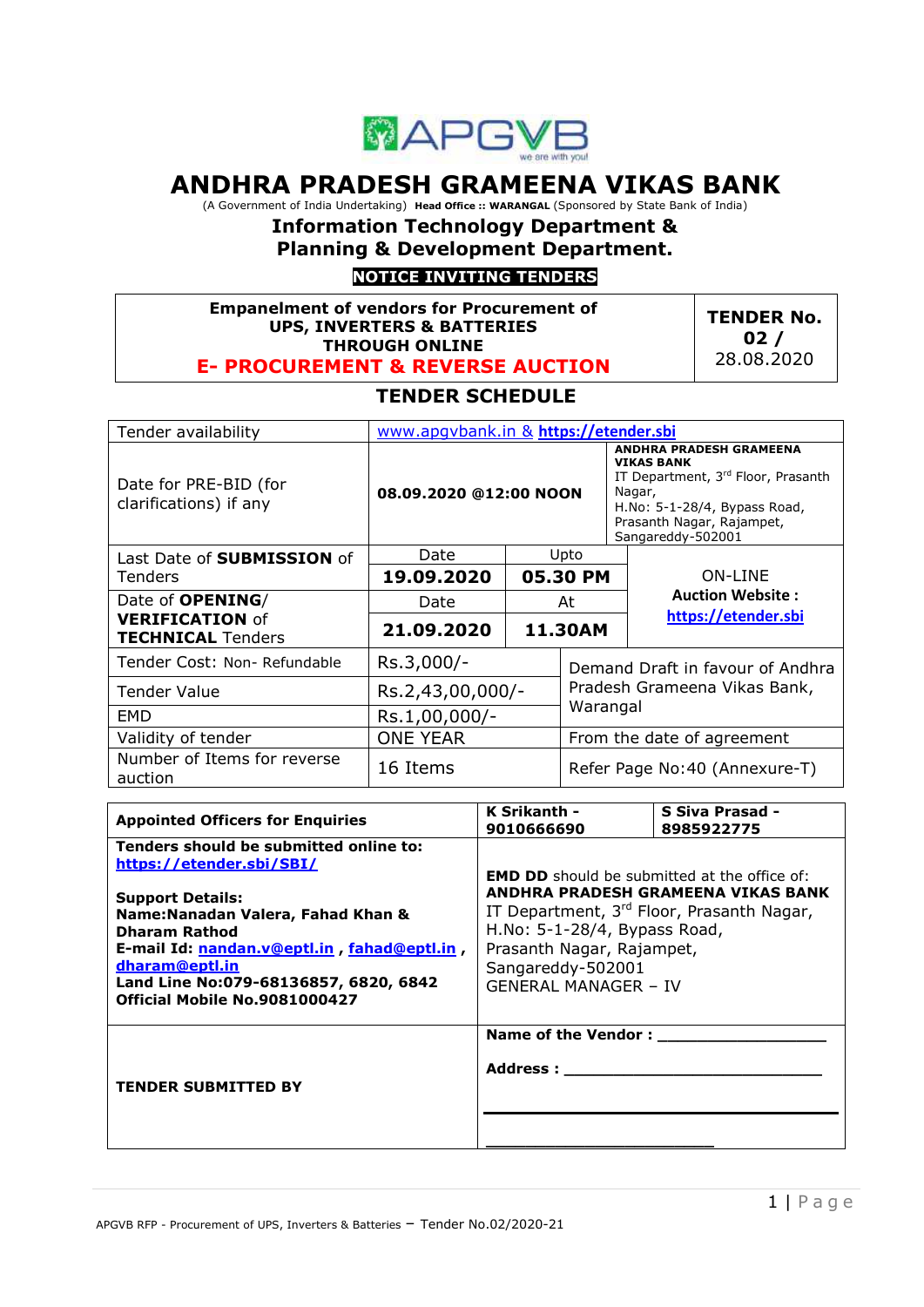

# **ANDHRA PRADESH GRAMEENA VIKAS BANK**

(A Government of India Undertaking) **Head Office :: WARANGAL** (Sponsored by State Bank of India)

# **Information Technology Department &**

**Planning & Development Department.**

# **NOTICE INVITING TENDERS**

#### **Empanelment of vendors for Procurement of UPS, INVERTERS & BATTERIES THROUGH ONLINE**

**E- PROCUREMENT & REVERSE AUCTION**

**TENDER No. 02 /** 28.08.2020

# **TENDER SCHEDULE**

| Tender availability                                | www.apgybank.in & https://etender.sbi  |  |                                  |                                                                                                                                                                                       |  |
|----------------------------------------------------|----------------------------------------|--|----------------------------------|---------------------------------------------------------------------------------------------------------------------------------------------------------------------------------------|--|
| Date for PRE-BID (for<br>clarifications) if any    | 08.09.2020 @12:00 NOON                 |  |                                  | <b>ANDHRA PRADESH GRAMEENA</b><br><b>VIKAS BANK</b><br>IT Department, 3rd Floor, Prasanth<br>Nagar,<br>H.No: 5-1-28/4, Bypass Road,<br>Prasanth Nagar, Rajampet,<br>Sangareddy-502001 |  |
| Last Date of <b>SUBMISSION</b> of                  | Date<br>Upto<br>19.09.2020<br>05.30 PM |  |                                  |                                                                                                                                                                                       |  |
| Tenders                                            |                                        |  |                                  | <b>ON-LINE</b>                                                                                                                                                                        |  |
| Date of <b>OPENING</b> /                           | Date                                   |  | At                               | <b>Auction Website:</b>                                                                                                                                                               |  |
| <b>VERIFICATION of</b><br><b>TECHNICAL</b> Tenders | 21.09.2020<br>11.30AM                  |  |                                  | https://etender.sbi                                                                                                                                                                   |  |
| Tender Cost: Non- Refundable                       | Rs.3,000/-                             |  | Demand Draft in favour of Andhra |                                                                                                                                                                                       |  |
| Tender Value                                       | Rs.2,43,00,000/-                       |  |                                  | Pradesh Grameena Vikas Bank,                                                                                                                                                          |  |
| EMD                                                | Rs.1,00,000/-                          |  | Warangal                         |                                                                                                                                                                                       |  |
| Validity of tender                                 | <b>ONE YEAR</b>                        |  |                                  | From the date of agreement                                                                                                                                                            |  |
| Number of Items for reverse<br>auction             | 16 Items                               |  | Refer Page No:40 (Annexure-T)    |                                                                                                                                                                                       |  |

| <b>Appointed Officers for Enquiries</b>                                                                                                                                                                                                                                                                | K Srikanth -<br>9010666690                                                                                                                                                                                                                              | S Siva Prasad -<br>8985922775 |
|--------------------------------------------------------------------------------------------------------------------------------------------------------------------------------------------------------------------------------------------------------------------------------------------------------|---------------------------------------------------------------------------------------------------------------------------------------------------------------------------------------------------------------------------------------------------------|-------------------------------|
| Tenders should be submitted online to:<br>https://etender.sbi/SBI/<br><b>Support Details:</b><br>Name: Nanadan Valera, Fahad Khan &<br><b>Dharam Rathod</b><br>E-mail Id: nandan.v@eptl.in, fahad@eptl.in,<br>dharam@eptl.in<br>Land Line No:079-68136857, 6820, 6842<br>Official Mobile No.9081000427 | <b>EMD DD</b> should be submitted at the office of:<br>ANDHRA PRADESH GRAMEENA VIKAS BANK<br>IT Department, 3rd Floor, Prasanth Nagar,<br>H.No: 5-1-28/4, Bypass Road,<br>Prasanth Nagar, Rajampet,<br>Sangareddy-502001<br><b>GENERAL MANAGER - IV</b> |                               |
| <b>TENDER SUBMITTED BY</b>                                                                                                                                                                                                                                                                             | Name of the Vendor:<br>Address : www.com                                                                                                                                                                                                                |                               |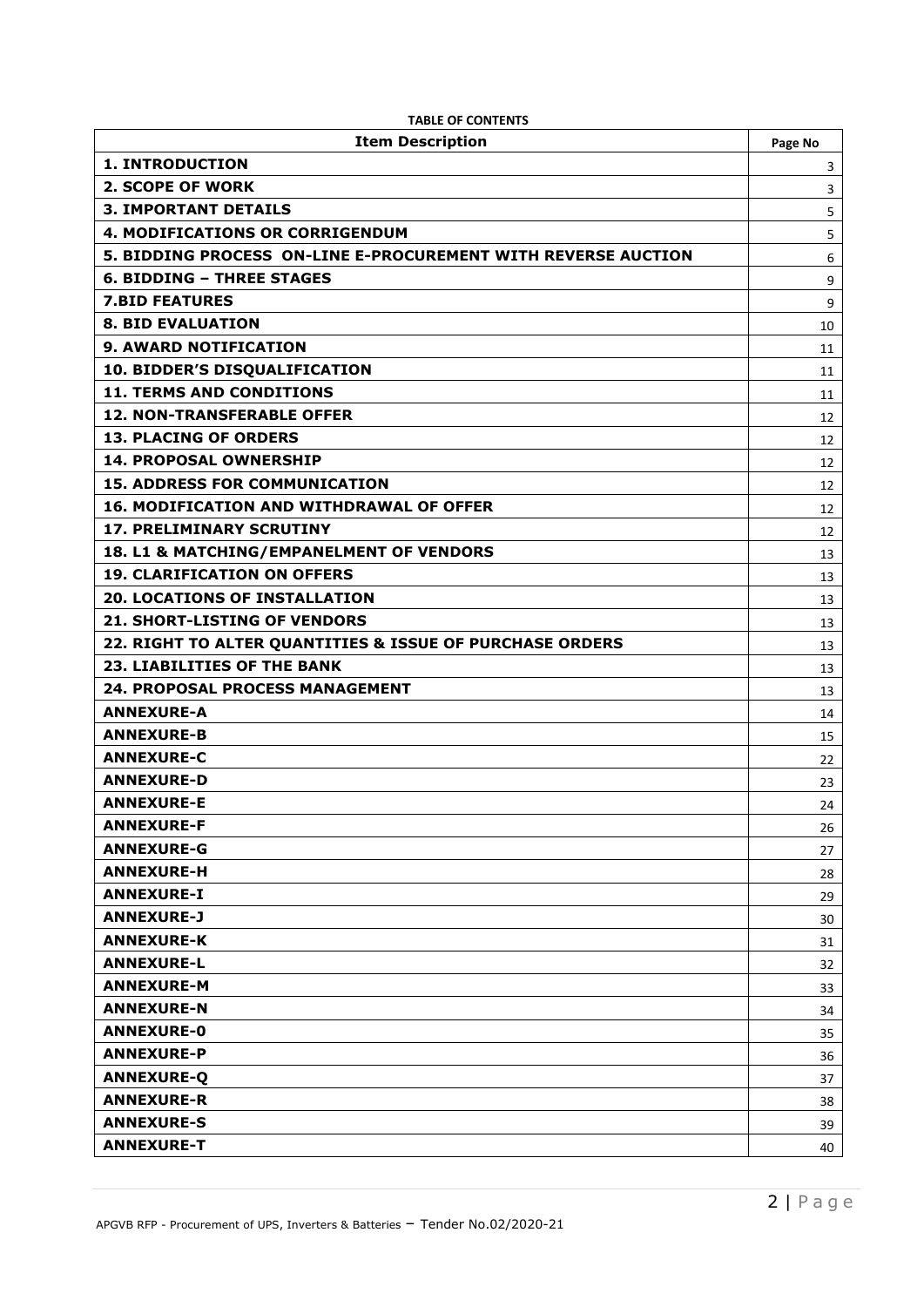| <b>Item Description</b>                                       | Page No |
|---------------------------------------------------------------|---------|
| <b>1. INTRODUCTION</b>                                        | 3       |
| <b>2. SCOPE OF WORK</b>                                       | 3       |
| <b>3. IMPORTANT DETAILS</b>                                   | 5       |
| 4. MODIFICATIONS OR CORRIGENDUM                               | 5       |
| 5. BIDDING PROCESS ON-LINE E-PROCUREMENT WITH REVERSE AUCTION | 6       |
| <b>6. BIDDING - THREE STAGES</b>                              | 9       |
| <b>7.BID FEATURES</b>                                         | 9       |
| <b>8. BID EVALUATION</b>                                      | 10      |
| <b>9. AWARD NOTIFICATION</b>                                  | 11      |
| 10. BIDDER'S DISQUALIFICATION                                 | 11      |
| <b>11. TERMS AND CONDITIONS</b>                               | 11      |
| <b>12. NON-TRANSFERABLE OFFER</b>                             | 12      |
| <b>13. PLACING OF ORDERS</b>                                  | 12      |
| <b>14. PROPOSAL OWNERSHIP</b>                                 | 12      |
| <b>15. ADDRESS FOR COMMUNICATION</b>                          | 12      |
| <b>16. MODIFICATION AND WITHDRAWAL OF OFFER</b>               | 12      |
| <b>17. PRELIMINARY SCRUTINY</b>                               | 12      |
| 18. L1 & MATCHING/EMPANELMENT OF VENDORS                      | 13      |
| <b>19. CLARIFICATION ON OFFERS</b>                            | 13      |
| <b>20. LOCATIONS OF INSTALLATION</b>                          | 13      |
| <b>21. SHORT-LISTING OF VENDORS</b>                           | 13      |
| 22. RIGHT TO ALTER QUANTITIES & ISSUE OF PURCHASE ORDERS      | 13      |
| <b>23. LIABILITIES OF THE BANK</b>                            | 13      |
| 24. PROPOSAL PROCESS MANAGEMENT                               | 13      |
| <b>ANNEXURE-A</b>                                             | 14      |
| <b>ANNEXURE-B</b>                                             | 15      |
| <b>ANNEXURE-C</b>                                             | 22      |
| <b>ANNEXURE-D</b>                                             | 23      |
| <b>ANNEXURE-E</b>                                             | 24      |
| <b>ANNEXURE-F</b>                                             | 26      |
| <b>ANNEXURE-G</b>                                             | 27      |
| <b>ANNEXURE-H</b>                                             | 28      |
| <b>ANNEXURE-I</b>                                             | 29      |
| <b>ANNEXURE-J</b>                                             | 30      |
| <b>ANNEXURE-K</b>                                             | 31      |
| <b>ANNEXURE-L</b>                                             | 32      |
| <b>ANNEXURE-M</b>                                             | 33      |
| <b>ANNEXURE-N</b>                                             | 34      |
| <b>ANNEXURE-0</b>                                             | 35      |
| <b>ANNEXURE-P</b>                                             | 36      |
| <b>ANNEXURE-Q</b>                                             | 37      |
| <b>ANNEXURE-R</b>                                             | 38      |
| <b>ANNEXURE-S</b>                                             | 39      |
| <b>ANNEXURE-T</b>                                             | 40      |

|  |  | <b>TABLE OF CONTENTS</b> |  |
|--|--|--------------------------|--|
|--|--|--------------------------|--|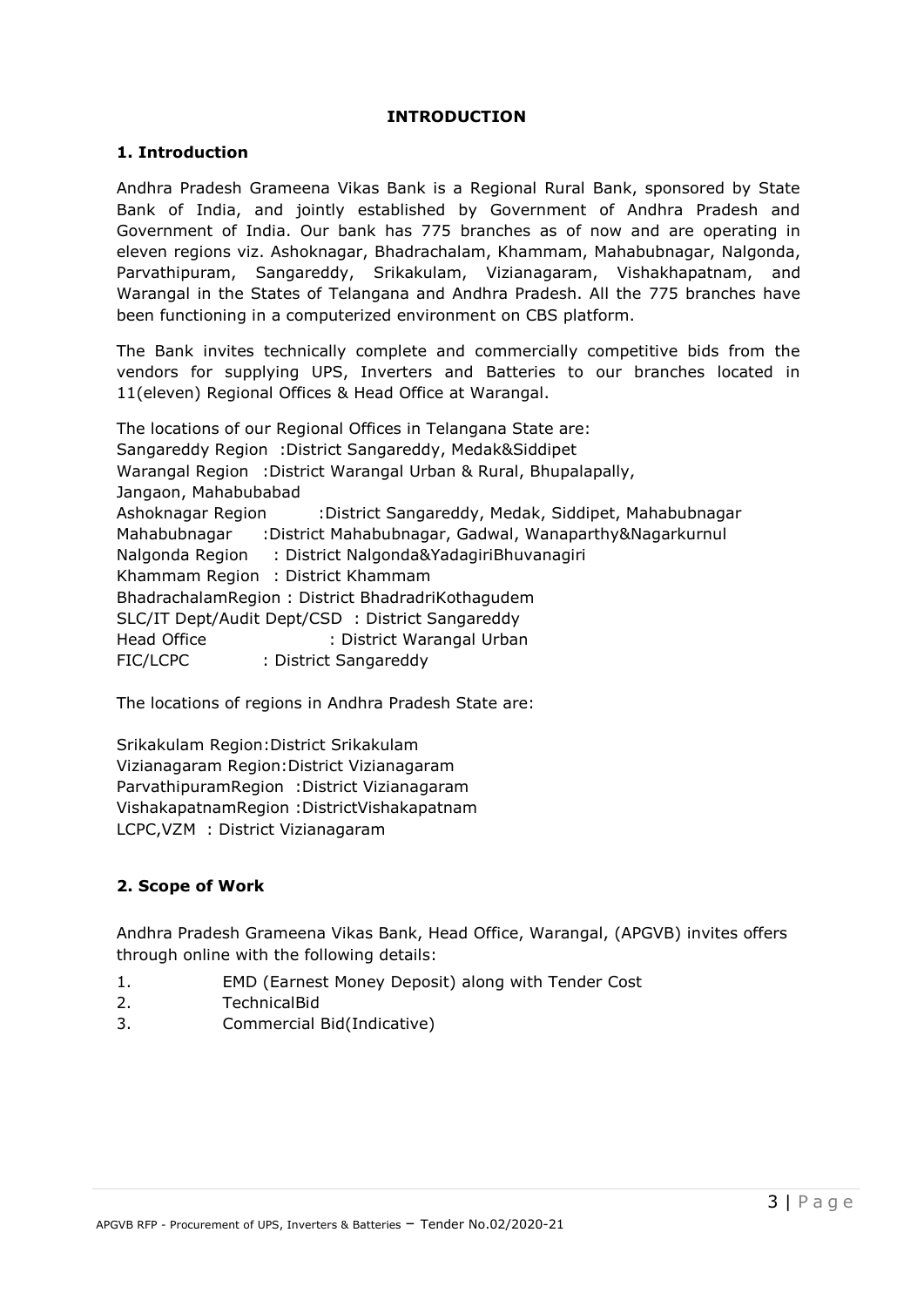#### **INTRODUCTION**

#### **1. Introduction**

Andhra Pradesh Grameena Vikas Bank is a Regional Rural Bank, sponsored by State Bank of India, and jointly established by Government of Andhra Pradesh and Government of India. Our bank has 775 branches as of now and are operating in eleven regions viz. Ashoknagar, Bhadrachalam, Khammam, Mahabubnagar, Nalgonda, Parvathipuram, Sangareddy, Srikakulam, Vizianagaram, Vishakhapatnam, and Warangal in the States of Telangana and Andhra Pradesh. All the 775 branches have been functioning in a computerized environment on CBS platform.

The Bank invites technically complete and commercially competitive bids from the vendors for supplying UPS, Inverters and Batteries to our branches located in 11(eleven) Regional Offices & Head Office at Warangal.

The locations of our Regional Offices in Telangana State are: Sangareddy Region :District Sangareddy, Medak&Siddipet Warangal Region :District Warangal Urban & Rural, Bhupalapally, Jangaon, Mahabubabad Ashoknagar Region :District Sangareddy, Medak, Siddipet, Mahabubnagar Mahabubnagar :District Mahabubnagar, Gadwal, Wanaparthy&Nagarkurnul Nalgonda Region : District Nalgonda&YadagiriBhuvanagiri Khammam Region : District Khammam BhadrachalamRegion : District BhadradriKothagudem SLC/IT Dept/Audit Dept/CSD : District Sangareddy Head Office : District Warangal Urban FIC/LCPC : District Sangareddy

The locations of regions in Andhra Pradesh State are:

Srikakulam Region:District Srikakulam Vizianagaram Region:District Vizianagaram ParvathipuramRegion :District Vizianagaram VishakapatnamRegion :DistrictVishakapatnam LCPC,VZM : District Vizianagaram

### **2. Scope of Work**

Andhra Pradesh Grameena Vikas Bank, Head Office, Warangal, (APGVB) invites offers through online with the following details:

- 1. EMD (Earnest Money Deposit) along with Tender Cost
- 2. TechnicalBid
- 3. Commercial Bid(Indicative)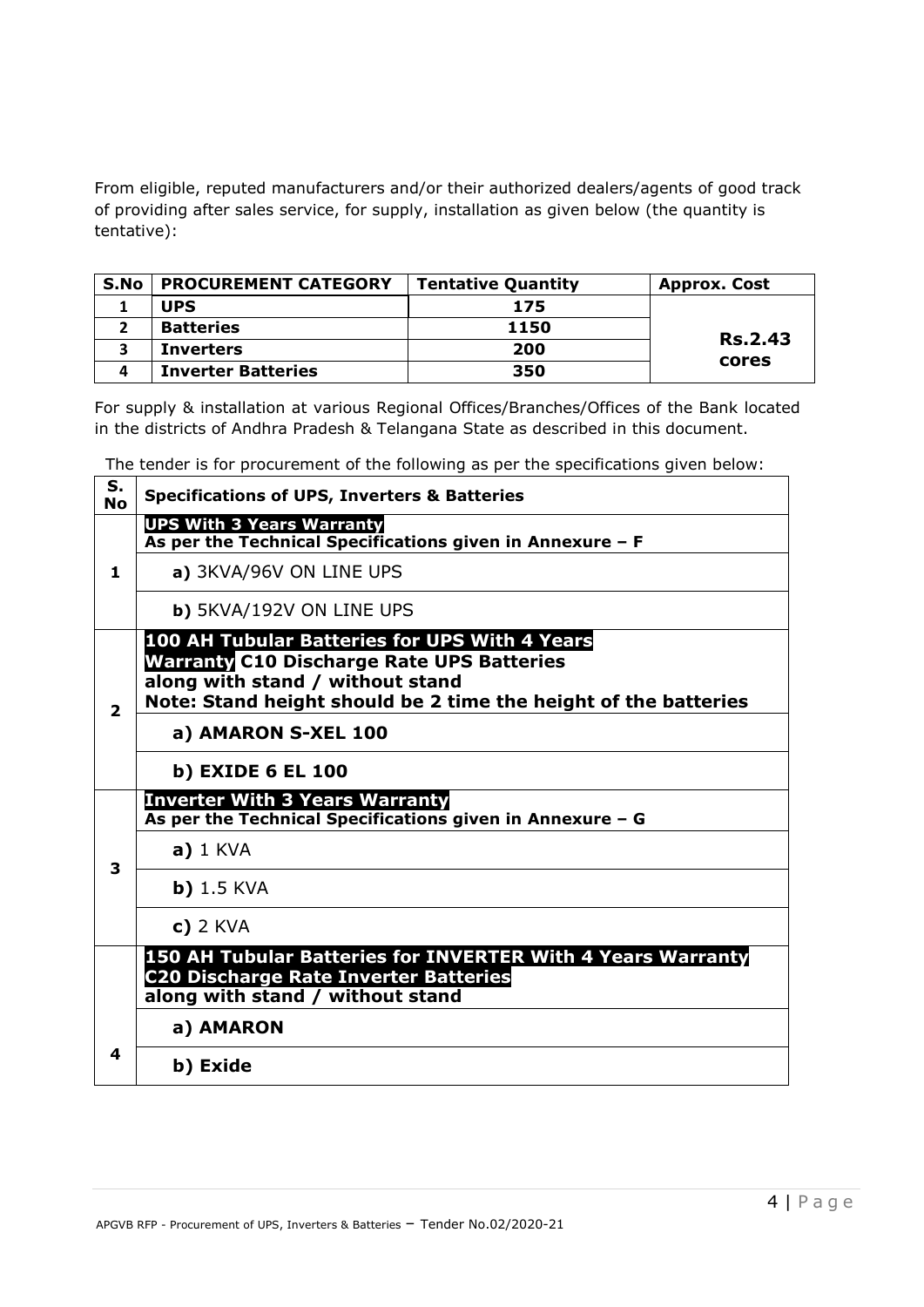From eligible, reputed manufacturers and/or their authorized dealers/agents of good track of providing after sales service, for supply, installation as given below (the quantity is tentative):

| S.No | <b>PROCUREMENT CATEGORY</b> | <b>Tentative Quantity</b> | <b>Approx. Cost</b> |
|------|-----------------------------|---------------------------|---------------------|
|      | <b>UPS</b>                  | 175                       |                     |
|      | <b>Batteries</b>            | 1150                      |                     |
|      | <b>Inverters</b>            | 200                       | <b>Rs.2.43</b>      |
|      | <b>Inverter Batteries</b>   | 350                       | cores               |

For supply & installation at various Regional Offices/Branches/Offices of the Bank located in the districts of Andhra Pradesh & Telangana State as described in this document.

The tender is for procurement of the following as per the specifications given below:  $\mathbf{r}$ 

| S.<br><b>No</b> | <b>Specifications of UPS, Inverters &amp; Batteries</b>                                                                                                                                                  |
|-----------------|----------------------------------------------------------------------------------------------------------------------------------------------------------------------------------------------------------|
|                 | <b>UPS With 3 Years Warranty</b><br>As per the Technical Specifications given in Annexure - F                                                                                                            |
| 1               | a) 3KVA/96V ON LINE UPS                                                                                                                                                                                  |
|                 | b) 5KVA/192V ON LINE UPS                                                                                                                                                                                 |
| $\overline{2}$  | 100 AH Tubular Batteries for UPS With 4 Years<br><b>Warranty C10 Discharge Rate UPS Batteries</b><br>along with stand / without stand<br>Note: Stand height should be 2 time the height of the batteries |
|                 | a) AMARON S-XEL 100                                                                                                                                                                                      |
|                 | b) EXIDE 6 EL 100                                                                                                                                                                                        |
|                 | <b>Inverter With 3 Years Warranty</b><br>As per the Technical Specifications given in Annexure - G                                                                                                       |
| 3               | $a)$ 1 KVA                                                                                                                                                                                               |
|                 | $b)$ 1.5 KVA                                                                                                                                                                                             |
|                 | $c)$ 2 KVA                                                                                                                                                                                               |
|                 | 150 AH Tubular Batteries for INVERTER With 4 Years Warranty<br><b>C20 Discharge Rate Inverter Batteries</b><br>along with stand / without stand                                                          |
|                 | a) AMARON                                                                                                                                                                                                |
| 4               | b) Exide                                                                                                                                                                                                 |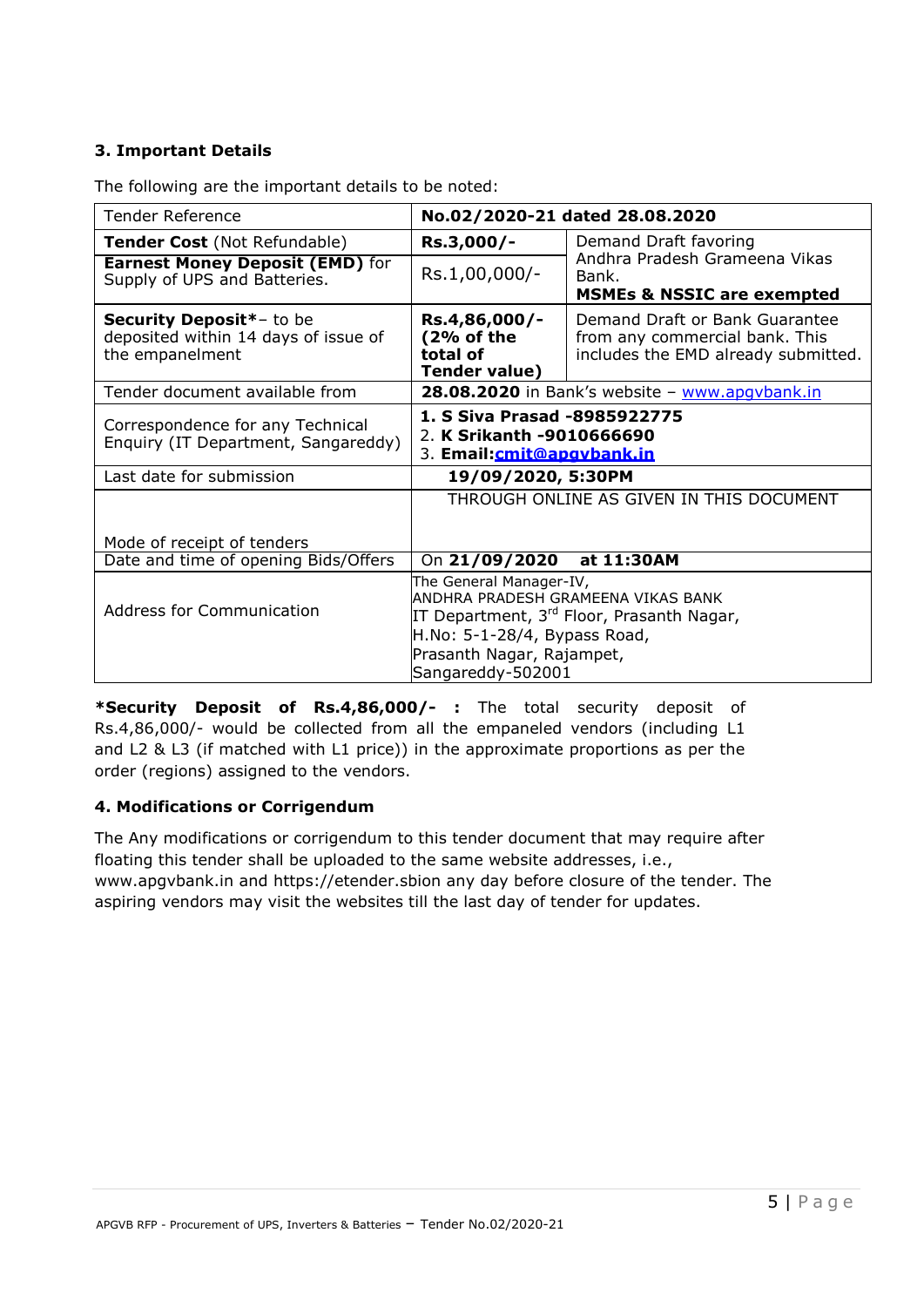# **3. Important Details**

| <b>Tender Reference</b>                                                             |                                                                                                                                                                                                          | No.02/2020-21 dated 28.08.2020                                                                          |  |
|-------------------------------------------------------------------------------------|----------------------------------------------------------------------------------------------------------------------------------------------------------------------------------------------------------|---------------------------------------------------------------------------------------------------------|--|
| Tender Cost (Not Refundable)                                                        | Rs.3,000/-                                                                                                                                                                                               | Demand Draft favoring                                                                                   |  |
| <b>Earnest Money Deposit (EMD)</b> for<br>Supply of UPS and Batteries.              | Rs.1,00,000/-                                                                                                                                                                                            | Andhra Pradesh Grameena Vikas<br>Bank.<br><b>MSMEs &amp; NSSIC are exempted</b>                         |  |
| Security Deposit*- to be<br>deposited within 14 days of issue of<br>the empanelment | Rs.4,86,000/-<br>(2% of the<br>total of<br><b>Tender value)</b>                                                                                                                                          | Demand Draft or Bank Guarantee<br>from any commercial bank. This<br>includes the EMD already submitted. |  |
| Tender document available from                                                      |                                                                                                                                                                                                          | 28.08.2020 in Bank's website - www.apgybank.in                                                          |  |
| Correspondence for any Technical<br>Enquiry (IT Department, Sangareddy)             | 1. S Siva Prasad -8985922775<br>2. K Srikanth -9010666690<br>3. Email:cmit@apgybank.in                                                                                                                   |                                                                                                         |  |
| Last date for submission                                                            | 19/09/2020, 5:30PM                                                                                                                                                                                       |                                                                                                         |  |
|                                                                                     |                                                                                                                                                                                                          | THROUGH ONLINE AS GIVEN IN THIS DOCUMENT                                                                |  |
| Mode of receipt of tenders                                                          |                                                                                                                                                                                                          |                                                                                                         |  |
| Date and time of opening Bids/Offers                                                | On 21/09/2020                                                                                                                                                                                            | at 11:30AM                                                                                              |  |
| <b>Address for Communication</b>                                                    | The General Manager-IV,<br>ANDHRA PRADESH GRAMEENA VIKAS BANK<br>IT Department, 3 <sup>rd</sup> Floor, Prasanth Nagar,<br>H.No: 5-1-28/4, Bypass Road,<br>Prasanth Nagar, Rajampet,<br>Sangareddy-502001 |                                                                                                         |  |

The following are the important details to be noted:

**\*Security Deposit of Rs.4,86,000/- :** The total security deposit of Rs.4,86,000/- would be collected from all the empaneled vendors (including L1 and L2 & L3 (if matched with L1 price)) in the approximate proportions as per the order (regions) assigned to the vendors.

### **4. Modifications or Corrigendum**

The Any modifications or corrigendum to this tender document that may require after floating this tender shall be uploaded to the same website addresses, i.e., [www.apgvbank.in](http://www.apgvbank.in/) and https://etender.sbion any day before closure of the tender. The aspiring vendors may visit the websites till the last day of tender for updates.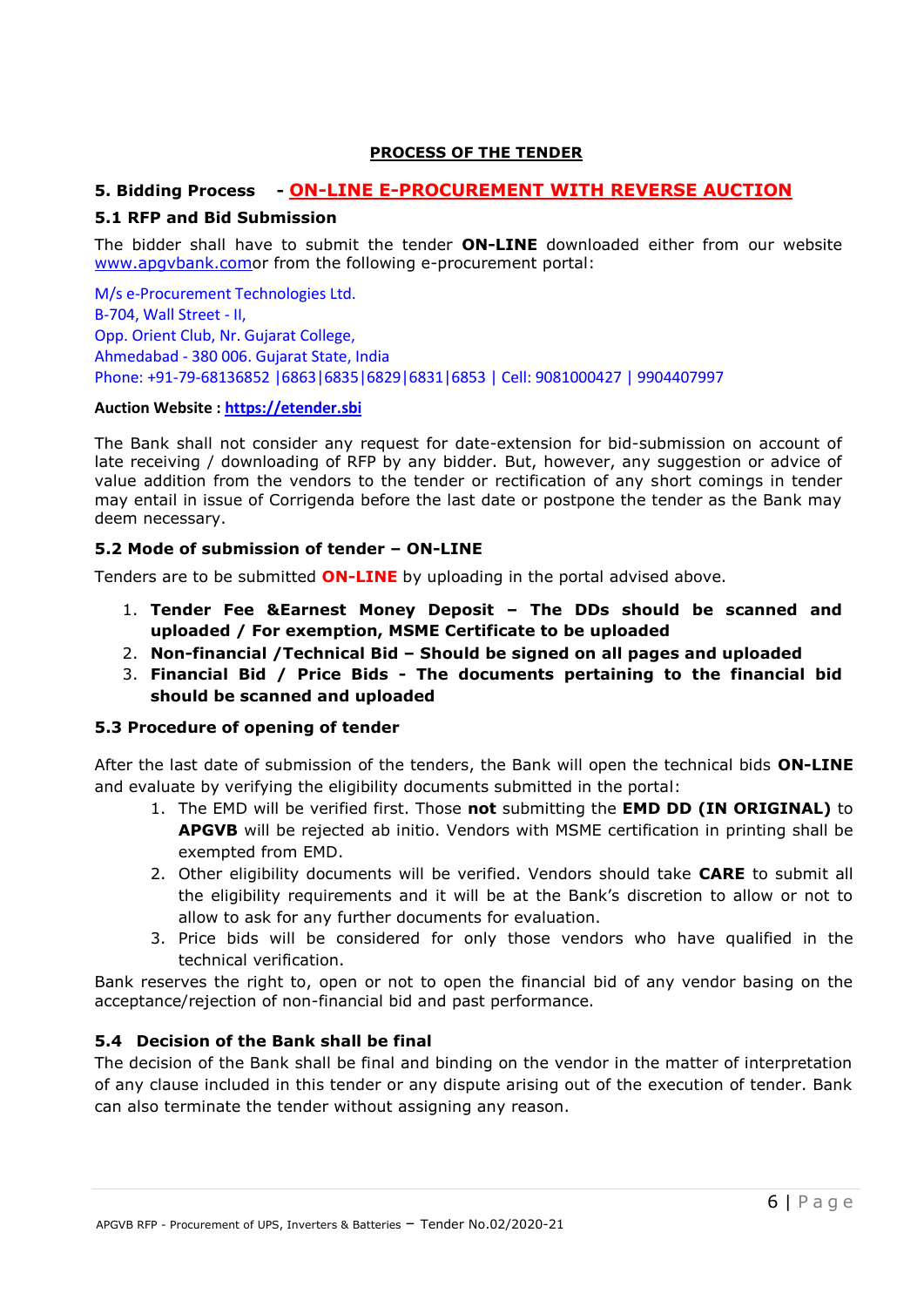#### **PROCESS OF THE TENDER**

### **5. Bidding Process - ON-LINE E-PROCUREMENT WITH REVERSE AUCTION**

#### **5.1 RFP and Bid Submission**

The bidder shall have to submit the tender **ON-LINE** downloaded either from our website [www.apgvbank.como](http://www.apgvbank.com/)r from the following e-procurement portal:

M/s e-Procurement Technologies Ltd. B-704, Wall Street - II, Opp. Orient Club, Nr. Gujarat College, Ahmedabad - 380 006. Gujarat State, India Phone: +91-79-68136852 |6863|6835|6829|6831|6853 | Cell: 9081000427 | 9904407997

#### **Auction Website : [https://etender.sbi](https://etender.sbi/)**

The Bank shall not consider any request for date-extension for bid-submission on account of late receiving / downloading of RFP by any bidder. But, however, any suggestion or advice of value addition from the vendors to the tender or rectification of any short comings in tender may entail in issue of Corrigenda before the last date or postpone the tender as the Bank may deem necessary.

#### **5.2 Mode of submission of tender – ON-LINE**

Tenders are to be submitted **ON-LINE** by uploading in the portal advised above.

- 1. **Tender Fee &Earnest Money Deposit – The DDs should be scanned and uploaded / For exemption, MSME Certificate to be uploaded**
- 2. **Non-financial /Technical Bid – Should be signed on all pages and uploaded**
- 3. **Financial Bid / Price Bids - The documents pertaining to the financial bid should be scanned and uploaded**

#### **5.3 Procedure of opening of tender**

After the last date of submission of the tenders, the Bank will open the technical bids **ON-LINE** and evaluate by verifying the eligibility documents submitted in the portal:

- 1. The EMD will be verified first. Those **not** submitting the **EMD DD (IN ORIGINAL)** to **APGVB** will be rejected ab initio. Vendors with MSME certification in printing shall be exempted from EMD.
- 2. Other eligibility documents will be verified. Vendors should take **CARE** to submit all the eligibility requirements and it will be at the Bank's discretion to allow or not to allow to ask for any further documents for evaluation.
- 3. Price bids will be considered for only those vendors who have qualified in the technical verification.

Bank reserves the right to, open or not to open the financial bid of any vendor basing on the acceptance/rejection of non-financial bid and past performance.

#### **5.4 Decision of the Bank shall be final**

The decision of the Bank shall be final and binding on the vendor in the matter of interpretation of any clause included in this tender or any dispute arising out of the execution of tender. Bank can also terminate the tender without assigning any reason.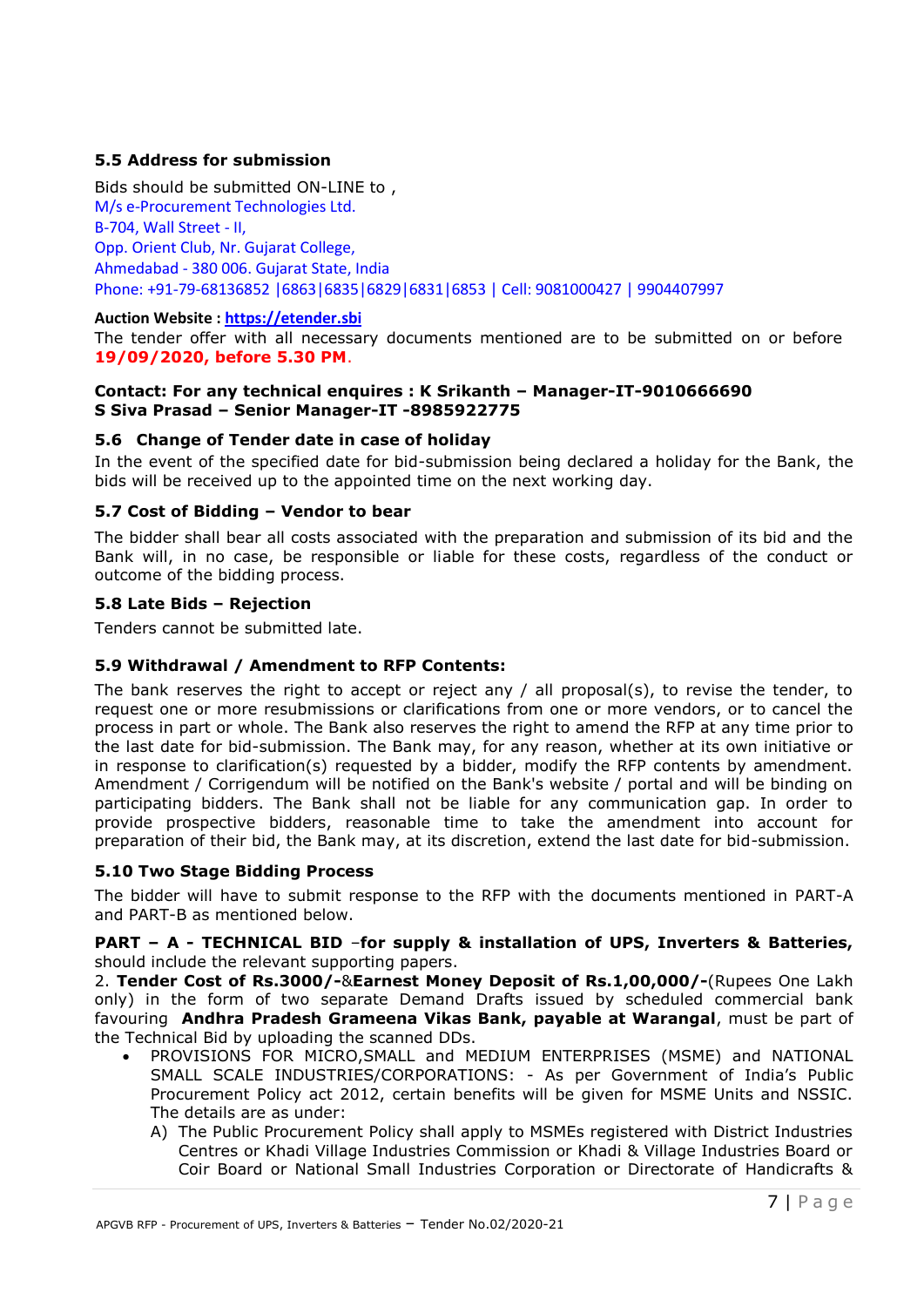### **5.5 Address for submission**

Bids should be submitted ON-LINE to , M/s e-Procurement Technologies Ltd. B-704, Wall Street - II, Opp. Orient Club, Nr. Gujarat College, Ahmedabad - 380 006. Gujarat State, India Phone: +91-79-68136852 |6863|6835|6829|6831|6853 | Cell: 9081000427 | 9904407997

#### **Auction Website : [https://etender.sbi](https://etender.sbi/)**

The tender offer with all necessary documents mentioned are to be submitted on or before **19/09/2020, before 5.30 PM**.

#### **Contact: For any technical enquires : K Srikanth – Manager-IT-9010666690 S Siva Prasad – Senior Manager-IT -8985922775**

#### **5.6 Change of Tender date in case of holiday**

In the event of the specified date for bid-submission being declared a holiday for the Bank, the bids will be received up to the appointed time on the next working day.

#### **5.7 Cost of Bidding – Vendor to bear**

The bidder shall bear all costs associated with the preparation and submission of its bid and the Bank will, in no case, be responsible or liable for these costs, regardless of the conduct or outcome of the bidding process.

#### **5.8 Late Bids – Rejection**

Tenders cannot be submitted late.

#### **5.9 Withdrawal / Amendment to RFP Contents:**

The bank reserves the right to accept or reject any / all proposal(s), to revise the tender, to request one or more resubmissions or clarifications from one or more vendors, or to cancel the process in part or whole. The Bank also reserves the right to amend the RFP at any time prior to the last date for bid-submission. The Bank may, for any reason, whether at its own initiative or in response to clarification(s) requested by a bidder, modify the RFP contents by amendment. Amendment / Corrigendum will be notified on the Bank's website / portal and will be binding on participating bidders. The Bank shall not be liable for any communication gap. In order to provide prospective bidders, reasonable time to take the amendment into account for preparation of their bid, the Bank may, at its discretion, extend the last date for bid-submission.

#### **5.10 Two Stage Bidding Process**

The bidder will have to submit response to the RFP with the documents mentioned in PART-A and PART-B as mentioned below.

#### **PART – A - TECHNICAL BID** –**for supply & installation of UPS, Inverters & Batteries,** should include the relevant supporting papers.

2. **Tender Cost of Rs.3000/-**&**Earnest Money Deposit of Rs.1,00,000/-**(Rupees One Lakh only) in the form of two separate Demand Drafts issued by scheduled commercial bank favouring **Andhra Pradesh Grameena Vikas Bank, payable at Warangal**, must be part of the Technical Bid by uploading the scanned DDs.

- PROVISIONS FOR MICRO,SMALL and MEDIUM ENTERPRISES (MSME) and NATIONAL SMALL SCALE INDUSTRIES/CORPORATIONS: - As per Government of India's Public Procurement Policy act 2012, certain benefits will be given for MSME Units and NSSIC. The details are as under:
	- A) The Public Procurement Policy shall apply to MSMEs registered with District Industries Centres or Khadi Village Industries Commission or Khadi & Village Industries Board or Coir Board or National Small Industries Corporation or Directorate of Handicrafts &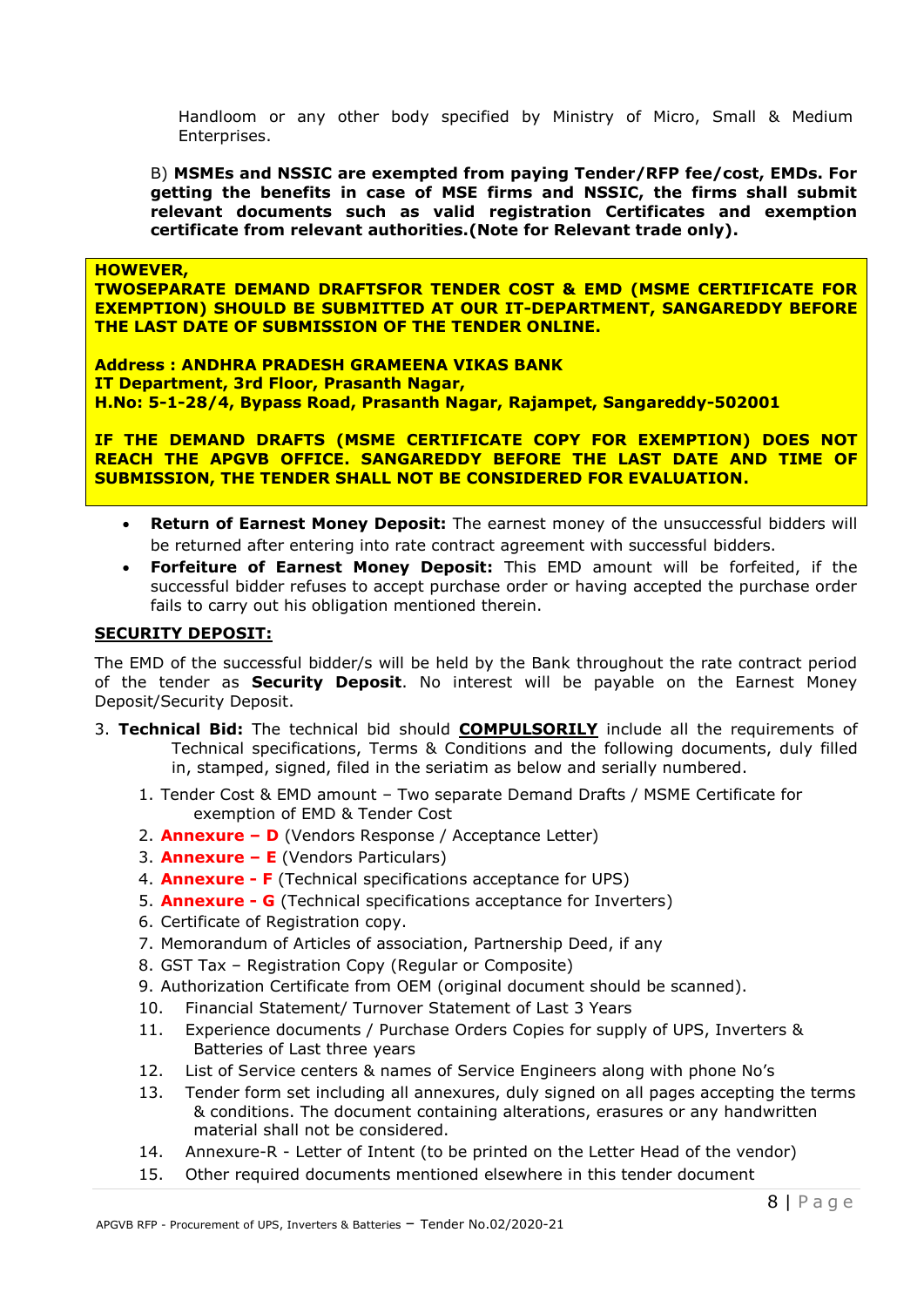Handloom or any other body specified by Ministry of Micro, Small & Medium Enterprises.

B) **MSMEs and NSSIC are exempted from paying Tender/RFP fee/cost, EMDs. For getting the benefits in case of MSE firms and NSSIC, the firms shall submit relevant documents such as valid registration Certificates and exemption certificate from relevant authorities.(Note for Relevant trade only).**

**HOWEVER,** 

**TWOSEPARATE DEMAND DRAFTSFOR TENDER COST & EMD (MSME CERTIFICATE FOR EXEMPTION) SHOULD BE SUBMITTED AT OUR IT-DEPARTMENT, SANGAREDDY BEFORE THE LAST DATE OF SUBMISSION OF THE TENDER ONLINE.**

**Address : ANDHRA PRADESH GRAMEENA VIKAS BANK IT Department, 3rd Floor, Prasanth Nagar, H.No: 5-1-28/4, Bypass Road, Prasanth Nagar, Rajampet, Sangareddy-502001**

**IF THE DEMAND DRAFTS (MSME CERTIFICATE COPY FOR EXEMPTION) DOES NOT REACH THE APGVB OFFICE. SANGAREDDY BEFORE THE LAST DATE AND TIME OF SUBMISSION, THE TENDER SHALL NOT BE CONSIDERED FOR EVALUATION.**

- **Return of Earnest Money Deposit:** The earnest money of the unsuccessful bidders will be returned after entering into rate contract agreement with successful bidders.
- **Forfeiture of Earnest Money Deposit:** This EMD amount will be forfeited, if the successful bidder refuses to accept purchase order or having accepted the purchase order fails to carry out his obligation mentioned therein.

#### **SECURITY DEPOSIT:**

The EMD of the successful bidder/s will be held by the Bank throughout the rate contract period of the tender as **Security Deposit**. No interest will be payable on the Earnest Money Deposit/Security Deposit.

- 3. **Technical Bid:** The technical bid should **COMPULSORILY** include all the requirements of Technical specifications, Terms & Conditions and the following documents, duly filled in, stamped, signed, filed in the seriatim as below and serially numbered.
	- 1. Tender Cost & EMD amount Two separate Demand Drafts / MSME Certificate for exemption of EMD & Tender Cost
	- 2. **Annexure – D** (Vendors Response / Acceptance Letter)
	- 3. **Annexure – E** (Vendors Particulars)
	- 4. **Annexure - F** (Technical specifications acceptance for UPS)
	- 5. **Annexure - G** (Technical specifications acceptance for Inverters)
	- 6. Certificate of Registration copy.
	- 7. Memorandum of Articles of association, Partnership Deed, if any
	- 8. GST Tax Registration Copy (Regular or Composite)
	- 9. Authorization Certificate from OEM (original document should be scanned).
	- 10. Financial Statement/ Turnover Statement of Last 3 Years
	- 11. Experience documents / Purchase Orders Copies for supply of UPS, Inverters & Batteries of Last three years
	- 12. List of Service centers & names of Service Engineers along with phone No's
	- 13. Tender form set including all annexures, duly signed on all pages accepting the terms & conditions. The document containing alterations, erasures or any handwritten material shall not be considered.
	- 14. Annexure-R Letter of Intent (to be printed on the Letter Head of the vendor)
	- 15. Other required documents mentioned elsewhere in this tender document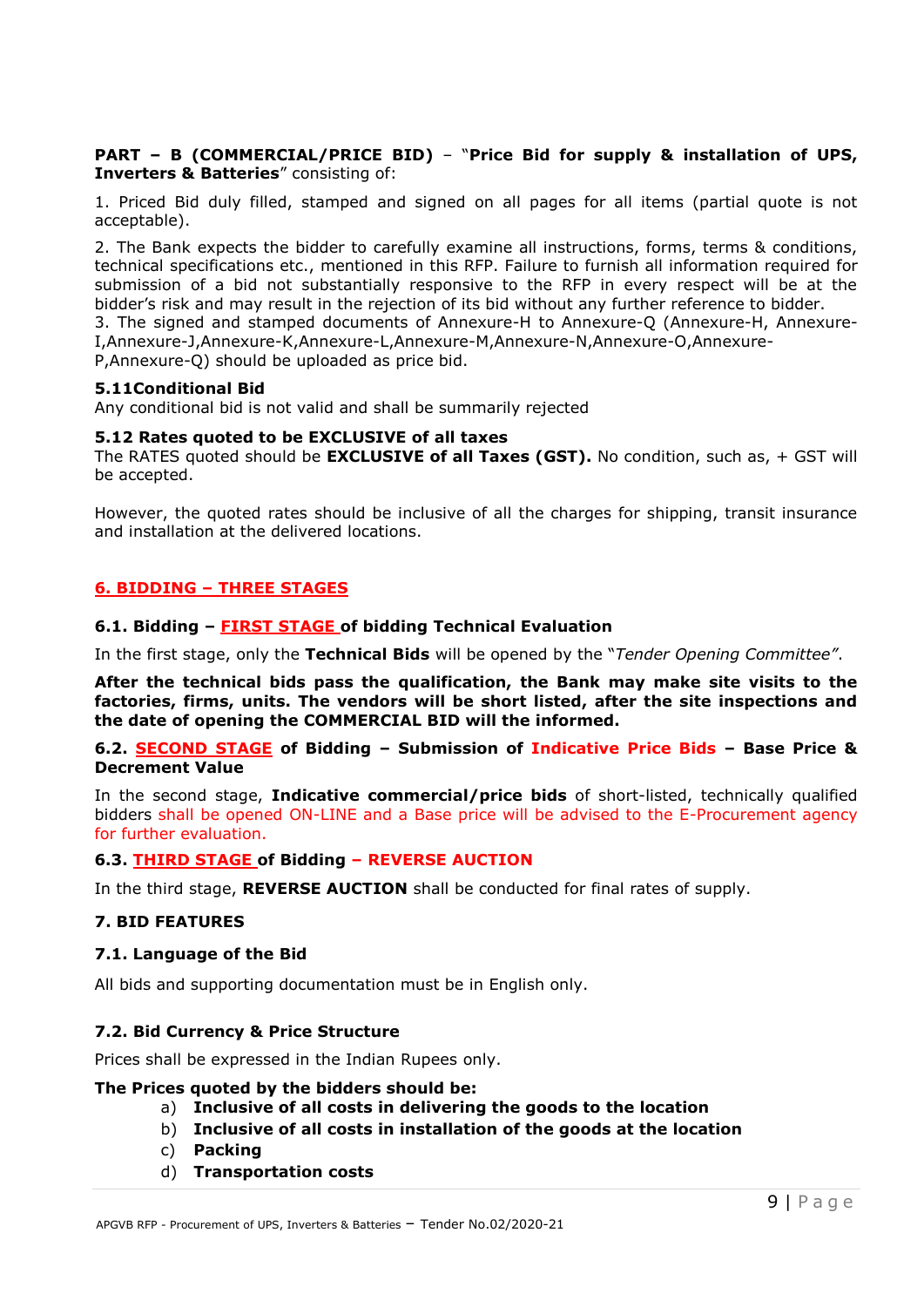#### **PART – B (COMMERCIAL/PRICE BID)** – "**Price Bid for supply & installation of UPS, Inverters & Batteries**" consisting of:

1. Priced Bid duly filled, stamped and signed on all pages for all items (partial quote is not acceptable).

2. The Bank expects the bidder to carefully examine all instructions, forms, terms & conditions, technical specifications etc., mentioned in this RFP. Failure to furnish all information required for submission of a bid not substantially responsive to the RFP in every respect will be at the bidder's risk and may result in the rejection of its bid without any further reference to bidder.

3. The signed and stamped documents of Annexure-H to Annexure-Q (Annexure-H, Annexure-I,Annexure-J,Annexure-K,Annexure-L,Annexure-M,Annexure-N,Annexure-O,Annexure-

P,Annexure-Q) should be uploaded as price bid.

#### **5.11Conditional Bid**

Any conditional bid is not valid and shall be summarily rejected

#### **5.12 Rates quoted to be EXCLUSIVE of all taxes**

The RATES quoted should be **EXCLUSIVE of all Taxes (GST).** No condition, such as, + GST will be accepted.

However, the quoted rates should be inclusive of all the charges for shipping, transit insurance and installation at the delivered locations.

#### **6. BIDDING – THREE STAGES**

#### **6.1. Bidding – FIRST STAGE of bidding Technical Evaluation**

In the first stage, only the **Technical Bids** will be opened by the "*Tender Opening Committee"*.

**After the technical bids pass the qualification, the Bank may make site visits to the factories, firms, units. The vendors will be short listed, after the site inspections and the date of opening the COMMERCIAL BID will the informed.**

#### **6.2. SECOND STAGE of Bidding – Submission of Indicative Price Bids – Base Price & Decrement Value**

In the second stage, **Indicative commercial/price bids** of short-listed, technically qualified bidders shall be opened ON-LINE and a Base price will be advised to the E-Procurement agency for further evaluation.

#### **6.3. THIRD STAGE of Bidding – REVERSE AUCTION**

In the third stage, **REVERSE AUCTION** shall be conducted for final rates of supply.

#### **7. BID FEATURES**

#### **7.1. Language of the Bid**

All bids and supporting documentation must be in English only.

#### **7.2. Bid Currency & Price Structure**

Prices shall be expressed in the Indian Rupees only.

#### **The Prices quoted by the bidders should be:**

- a) **Inclusive of all costs in delivering the goods to the location**
- b) **Inclusive of all costs in installation of the goods at the location**
- c) **Packing**
- d) **Transportation costs**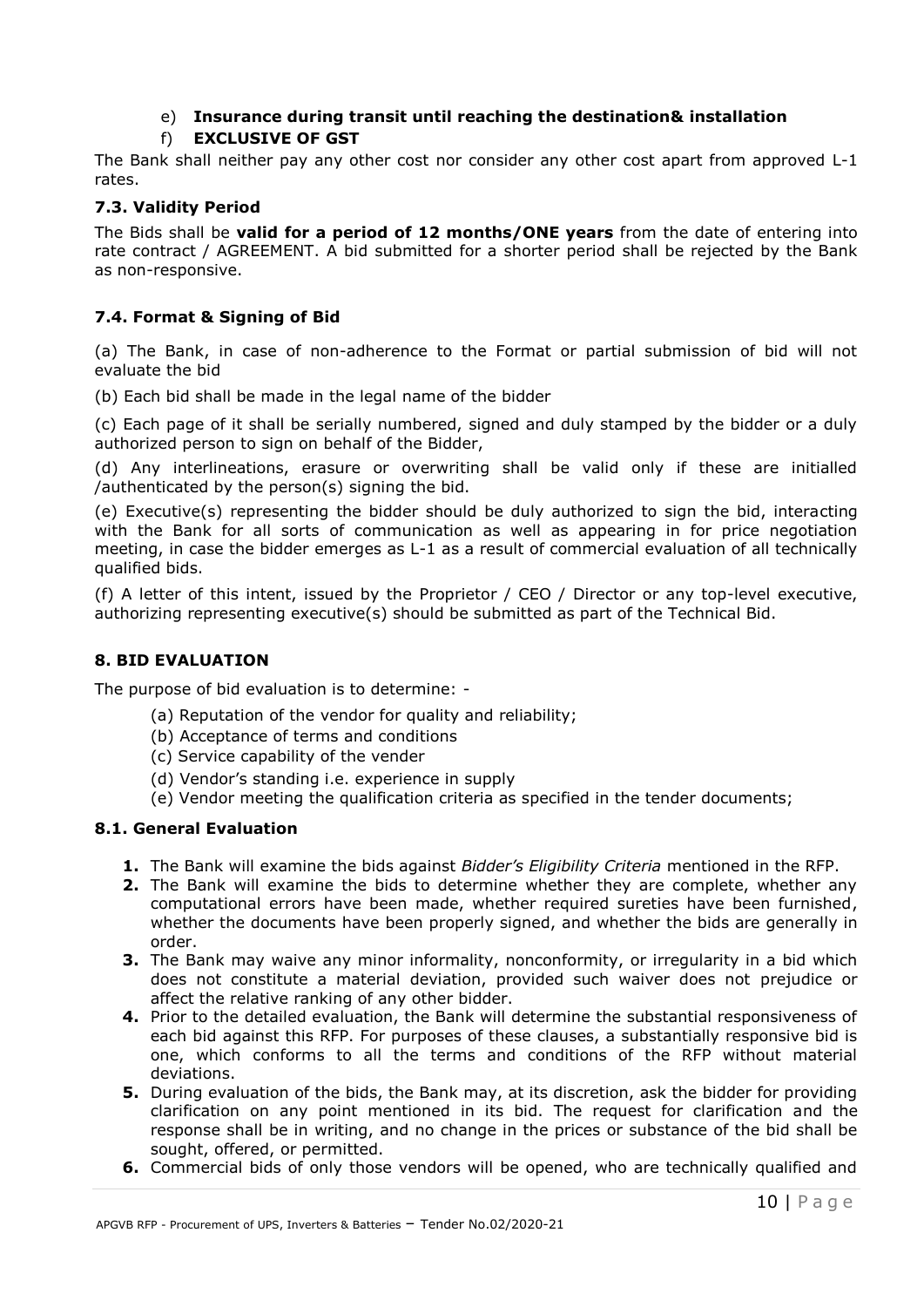# e) **Insurance during transit until reaching the destination& installation**

# f) **EXCLUSIVE OF GST**

The Bank shall neither pay any other cost nor consider any other cost apart from approved L-1 rates.

### **7.3. Validity Period**

The Bids shall be **valid for a period of 12 months/ONE years** from the date of entering into rate contract / AGREEMENT. A bid submitted for a shorter period shall be rejected by the Bank as non-responsive.

# **7.4. Format & Signing of Bid**

(a) The Bank, in case of non-adherence to the Format or partial submission of bid will not evaluate the bid

(b) Each bid shall be made in the legal name of the bidder

(c) Each page of it shall be serially numbered, signed and duly stamped by the bidder or a duly authorized person to sign on behalf of the Bidder,

(d) Any interlineations, erasure or overwriting shall be valid only if these are initialled /authenticated by the person(s) signing the bid.

(e) Executive(s) representing the bidder should be duly authorized to sign the bid, interacting with the Bank for all sorts of communication as well as appearing in for price negotiation meeting, in case the bidder emerges as L-1 as a result of commercial evaluation of all technically qualified bids.

(f) A letter of this intent, issued by the Proprietor / CEO / Director or any top-level executive, authorizing representing executive(s) should be submitted as part of the Technical Bid.

#### **8. BID EVALUATION**

The purpose of bid evaluation is to determine: -

- (a) Reputation of the vendor for quality and reliability;
- (b) Acceptance of terms and conditions
- (c) Service capability of the vender
- (d) Vendor's standing i.e. experience in supply
- (e) Vendor meeting the qualification criteria as specified in the tender documents;

### **8.1. General Evaluation**

- **1.** The Bank will examine the bids against *Bidder's Eligibility Criteria* mentioned in the RFP.
- **2.** The Bank will examine the bids to determine whether they are complete, whether any computational errors have been made, whether required sureties have been furnished, whether the documents have been properly signed, and whether the bids are generally in order.
- **3.** The Bank may waive any minor informality, nonconformity, or irregularity in a bid which does not constitute a material deviation, provided such waiver does not prejudice or affect the relative ranking of any other bidder.
- **4.** Prior to the detailed evaluation, the Bank will determine the substantial responsiveness of each bid against this RFP. For purposes of these clauses, a substantially responsive bid is one, which conforms to all the terms and conditions of the RFP without material deviations.
- **5.** During evaluation of the bids, the Bank may, at its discretion, ask the bidder for providing clarification on any point mentioned in its bid. The request for clarification and the response shall be in writing, and no change in the prices or substance of the bid shall be sought, offered, or permitted.
- **6.** Commercial bids of only those vendors will be opened, who are technically qualified and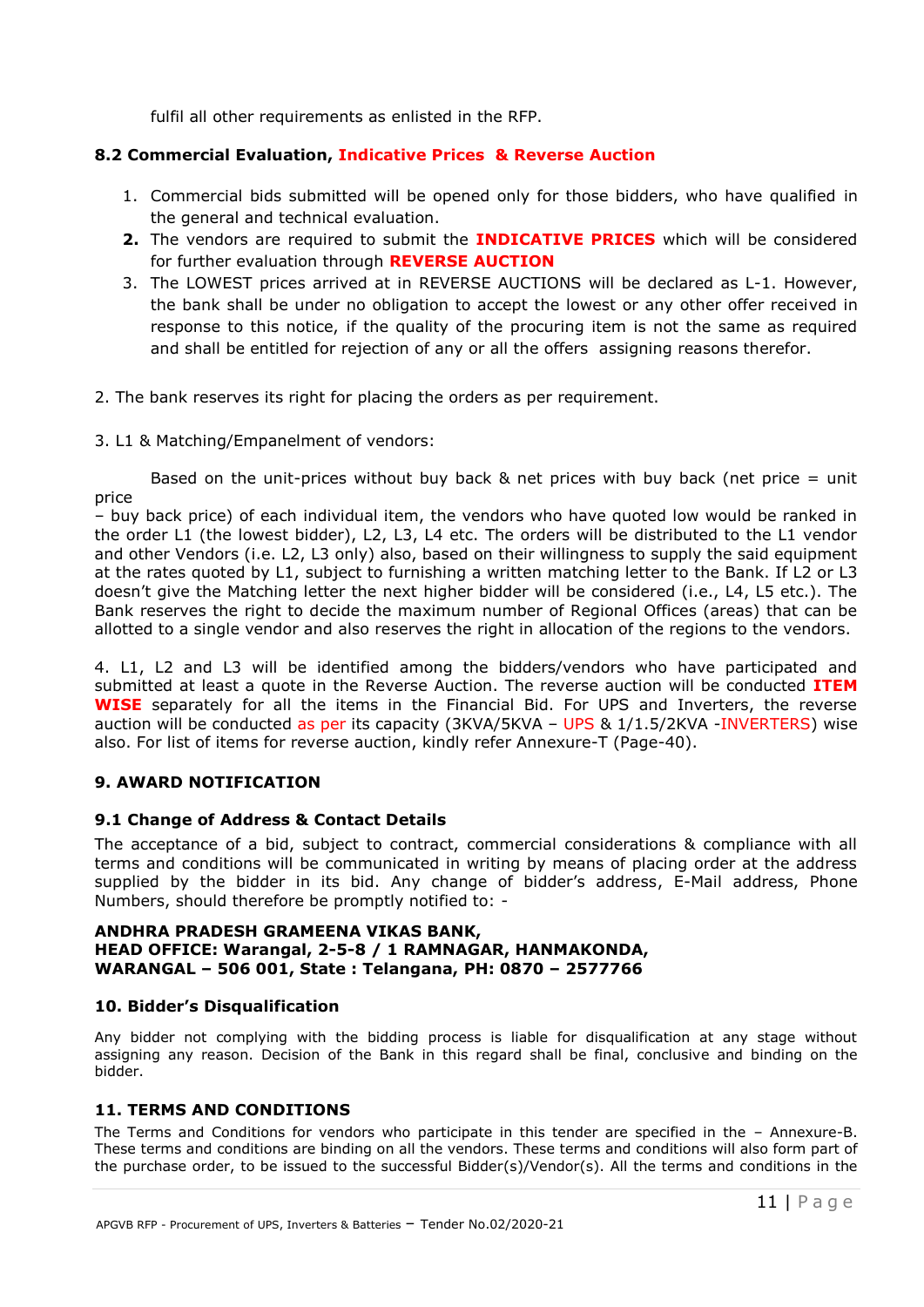fulfil all other requirements as enlisted in the RFP.

#### **8.2 Commercial Evaluation, Indicative Prices & Reverse Auction**

- 1. Commercial bids submitted will be opened only for those bidders, who have qualified in the general and technical evaluation.
- **2.** The vendors are required to submit the **INDICATIVE PRICES** which will be considered for further evaluation through **REVERSE AUCTION**
- 3. The LOWEST prices arrived at in REVERSE AUCTIONS will be declared as L-1. However, the bank shall be under no obligation to accept the lowest or any other offer received in response to this notice, if the quality of the procuring item is not the same as required and shall be entitled for rejection of any or all the offers assigning reasons therefor.
- 2. The bank reserves its right for placing the orders as per requirement.
- 3. L1 & Matching/Empanelment of vendors:

Based on the unit-prices without buy back  $&$  net prices with buy back (net price = unit price

– buy back price) of each individual item, the vendors who have quoted low would be ranked in the order L1 (the lowest bidder), L2, L3, L4 etc. The orders will be distributed to the L1 vendor and other Vendors (i.e. L2, L3 only) also, based on their willingness to supply the said equipment at the rates quoted by L1, subject to furnishing a written matching letter to the Bank. If L2 or L3 doesn't give the Matching letter the next higher bidder will be considered (i.e., L4, L5 etc.). The Bank reserves the right to decide the maximum number of Regional Offices (areas) that can be allotted to a single vendor and also reserves the right in allocation of the regions to the vendors.

4. L1, L2 and L3 will be identified among the bidders/vendors who have participated and submitted at least a quote in the Reverse Auction. The reverse auction will be conducted **ITEM WISE** separately for all the items in the Financial Bid. For UPS and Inverters, the reverse auction will be conducted as per its capacity (3KVA/5KVA - UPS & 1/1.5/2KVA -INVERTERS) wise also. For list of items for reverse auction, kindly refer Annexure-T (Page-40).

### **9. AWARD NOTIFICATION**

#### **9.1 Change of Address & Contact Details**

The acceptance of a bid, subject to contract, commercial considerations & compliance with all terms and conditions will be communicated in writing by means of placing order at the address supplied by the bidder in its bid. Any change of bidder's address, E-Mail address, Phone Numbers, should therefore be promptly notified to: -

#### **ANDHRA PRADESH GRAMEENA VIKAS BANK, HEAD OFFICE: Warangal, 2-5-8 / 1 RAMNAGAR, HANMAKONDA, WARANGAL – 506 001, State : Telangana, PH: 0870 – 2577766**

#### **10. Bidder's Disqualification**

Any bidder not complying with the bidding process is liable for disqualification at any stage without assigning any reason. Decision of the Bank in this regard shall be final, conclusive and binding on the bidder.

#### **11. TERMS AND CONDITIONS**

The Terms and Conditions for vendors who participate in this tender are specified in the – Annexure-B. These terms and conditions are binding on all the vendors. These terms and conditions will also form part of the purchase order, to be issued to the successful Bidder(s)/Vendor(s). All the terms and conditions in the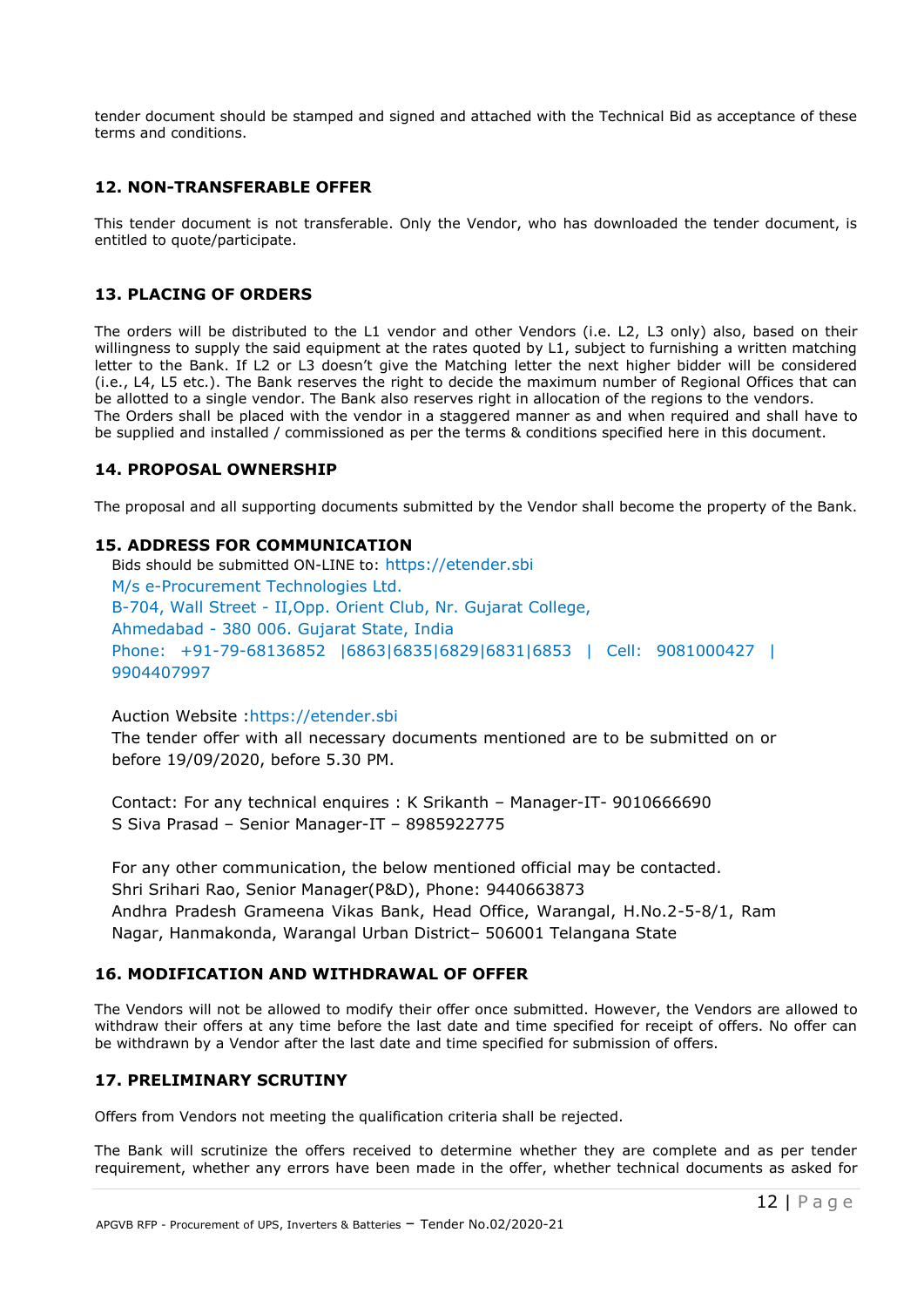tender document should be stamped and signed and attached with the Technical Bid as acceptance of these terms and conditions.

#### **12. NON-TRANSFERABLE OFFER**

This tender document is not transferable. Only the Vendor, who has downloaded the tender document, is entitled to quote/participate.

#### **13. PLACING OF ORDERS**

The orders will be distributed to the L1 vendor and other Vendors (i.e. L2, L3 only) also, based on their willingness to supply the said equipment at the rates quoted by L1, subject to furnishing a written matching letter to the Bank. If L2 or L3 doesn't give the Matching letter the next higher bidder will be considered (i.e., L4, L5 etc.). The Bank reserves the right to decide the maximum number of Regional Offices that can be allotted to a single vendor. The Bank also reserves right in allocation of the regions to the vendors. The Orders shall be placed with the vendor in a staggered manner as and when required and shall have to be supplied and installed / commissioned as per the terms & conditions specified here in this document.

#### **14. PROPOSAL OWNERSHIP**

The proposal and all supporting documents submitted by the Vendor shall become the property of the Bank.

#### **15. ADDRESS FOR COMMUNICATION**

Bids should be submitted ON-LINE to: https://etender.sbi M/s e-Procurement Technologies Ltd. B-704, Wall Street - II,Opp. Orient Club, Nr. Gujarat College, Ahmedabad - 380 006. Gujarat State, India Phone: +91-79-68136852 |6863|6835|6829|6831|6853 | Cell: 9081000427 | 9904407997

#### Auction Website :https://etender.sbi

The tender offer with all necessary documents mentioned are to be submitted on or before 19/09/2020, before 5.30 PM.

Contact: For any technical enquires : K Srikanth – Manager-IT- 9010666690 S Siva Prasad – Senior Manager-IT – 8985922775

For any other communication, the below mentioned official may be contacted. Shri Srihari Rao, Senior Manager(P&D), Phone: 9440663873 Andhra Pradesh Grameena Vikas Bank, Head Office, Warangal, H.No.2-5-8/1, Ram Nagar, Hanmakonda, Warangal Urban District– 506001 Telangana State

#### **16. MODIFICATION AND WITHDRAWAL OF OFFER**

The Vendors will not be allowed to modify their offer once submitted. However, the Vendors are allowed to withdraw their offers at any time before the last date and time specified for receipt of offers. No offer can be withdrawn by a Vendor after the last date and time specified for submission of offers.

#### **17. PRELIMINARY SCRUTINY**

Offers from Vendors not meeting the qualification criteria shall be rejected.

The Bank will scrutinize the offers received to determine whether they are complete and as per tender requirement, whether any errors have been made in the offer, whether technical documents as asked for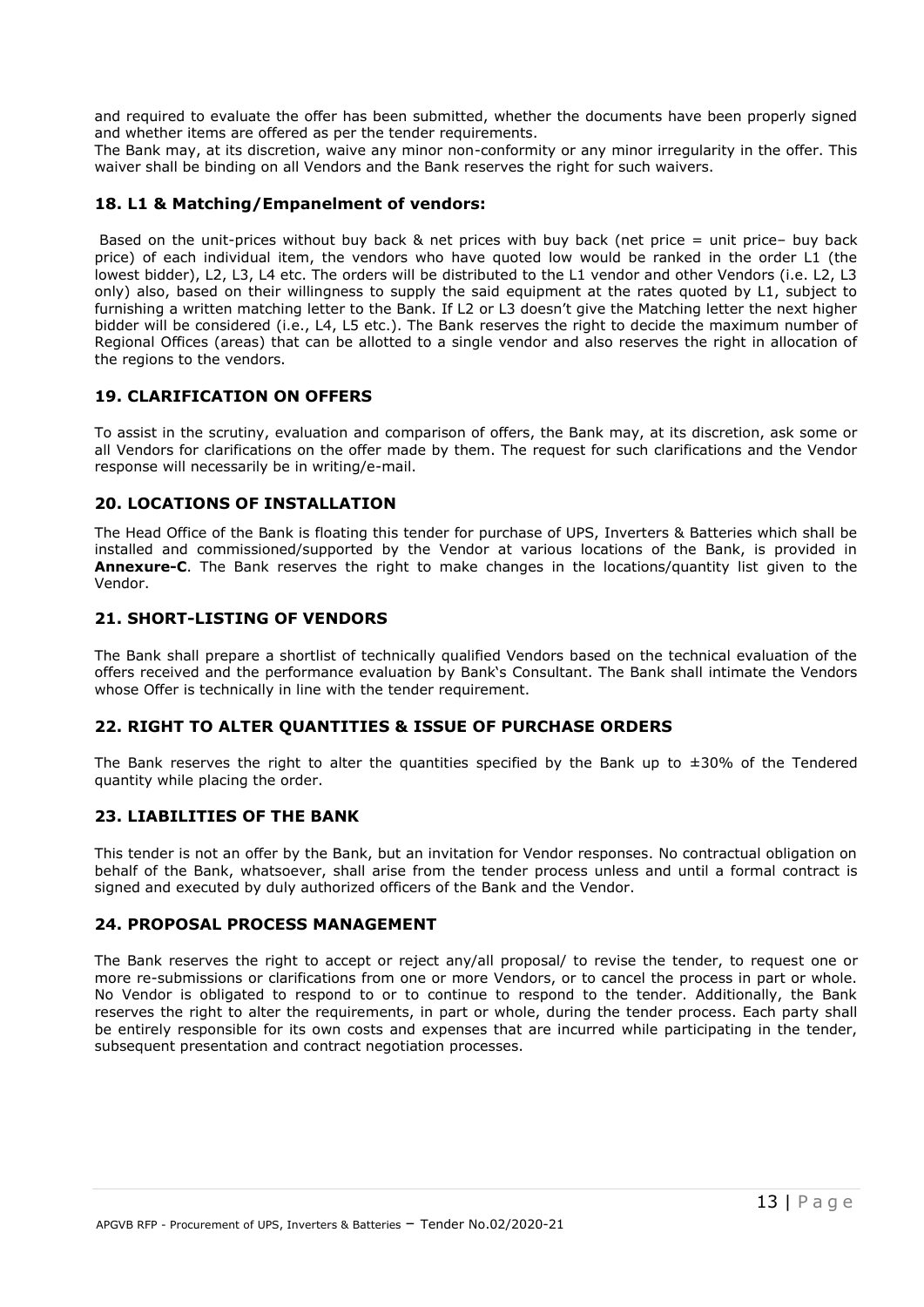and required to evaluate the offer has been submitted, whether the documents have been properly signed and whether items are offered as per the tender requirements.

The Bank may, at its discretion, waive any minor non-conformity or any minor irregularity in the offer. This waiver shall be binding on all Vendors and the Bank reserves the right for such waivers.

#### **18. L1 & Matching/Empanelment of vendors:**

Based on the unit-prices without buy back & net prices with buy back (net price = unit price– buy back price) of each individual item, the vendors who have quoted low would be ranked in the order L1 (the lowest bidder), L2, L3, L4 etc. The orders will be distributed to the L1 vendor and other Vendors (i.e. L2, L3 only) also, based on their willingness to supply the said equipment at the rates quoted by L1, subject to furnishing a written matching letter to the Bank. If L2 or L3 doesn't give the Matching letter the next higher bidder will be considered (i.e., L4, L5 etc.). The Bank reserves the right to decide the maximum number of Regional Offices (areas) that can be allotted to a single vendor and also reserves the right in allocation of the regions to the vendors.

#### **19. CLARIFICATION ON OFFERS**

To assist in the scrutiny, evaluation and comparison of offers, the Bank may, at its discretion, ask some or all Vendors for clarifications on the offer made by them. The request for such clarifications and the Vendor response will necessarily be in writing/e-mail.

#### **20. LOCATIONS OF INSTALLATION**

The Head Office of the Bank is floating this tender for purchase of UPS, Inverters & Batteries which shall be installed and commissioned/supported by the Vendor at various locations of the Bank, is provided in **Annexure-C**. The Bank reserves the right to make changes in the locations/quantity list given to the Vendor.

#### **21. SHORT-LISTING OF VENDORS**

The Bank shall prepare a shortlist of technically qualified Vendors based on the technical evaluation of the offers received and the performance evaluation by Bank's Consultant. The Bank shall intimate the Vendors whose Offer is technically in line with the tender requirement.

#### **22. RIGHT TO ALTER QUANTITIES & ISSUE OF PURCHASE ORDERS**

The Bank reserves the right to alter the quantities specified by the Bank up to  $\pm 30\%$  of the Tendered quantity while placing the order.

#### **23. LIABILITIES OF THE BANK**

This tender is not an offer by the Bank, but an invitation for Vendor responses. No contractual obligation on behalf of the Bank, whatsoever, shall arise from the tender process unless and until a formal contract is signed and executed by duly authorized officers of the Bank and the Vendor.

#### **24. PROPOSAL PROCESS MANAGEMENT**

The Bank reserves the right to accept or reject any/all proposal/ to revise the tender, to request one or more re-submissions or clarifications from one or more Vendors, or to cancel the process in part or whole. No Vendor is obligated to respond to or to continue to respond to the tender. Additionally, the Bank reserves the right to alter the requirements, in part or whole, during the tender process. Each party shall be entirely responsible for its own costs and expenses that are incurred while participating in the tender, subsequent presentation and contract negotiation processes.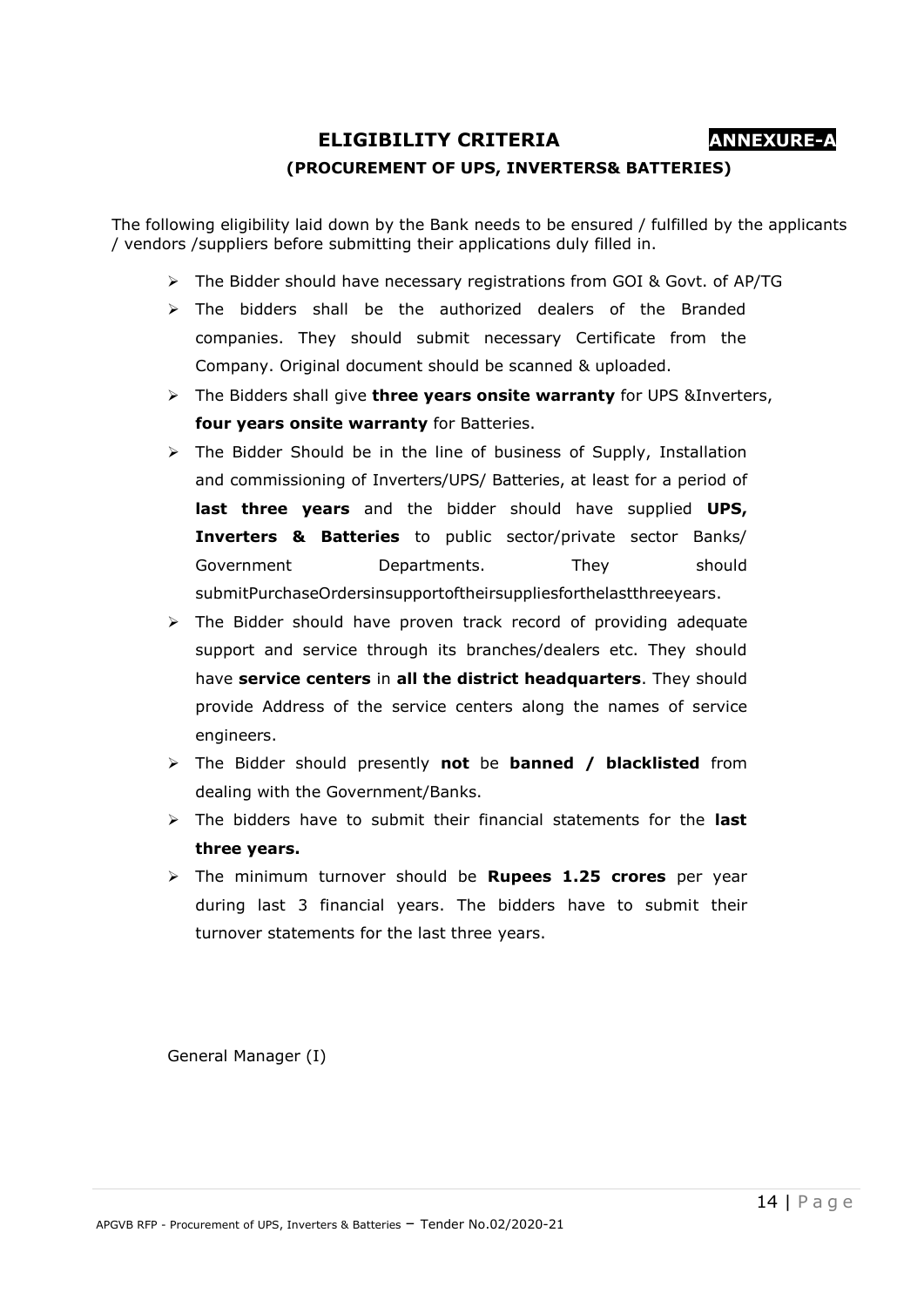**ELIGIBILITY CRITERIA ANNEXURE-A**

### **(PROCUREMENT OF UPS, INVERTERS& BATTERIES)**

The following eligibility laid down by the Bank needs to be ensured / fulfilled by the applicants / vendors /suppliers before submitting their applications duly filled in.

- $\triangleright$  The Bidder should have necessary registrations from GOI & Govt. of AP/TG
- $\triangleright$  The bidders shall be the authorized dealers of the Branded companies. They should submit necessary Certificate from the Company. Original document should be scanned & uploaded.
- The Bidders shall give **three years onsite warranty** for UPS &Inverters, **four years onsite warranty** for Batteries.
- $\triangleright$  The Bidder Should be in the line of business of Supply, Installation and commissioning of Inverters/UPS/ Batteries, at least for a period of **last three years** and the bidder should have supplied **UPS, Inverters & Batteries** to public sector/private sector Banks/ Government Departments. They should submitPurchaseOrdersinsupportoftheirsuppliesforthelastthreeyears.
- $\triangleright$  The Bidder should have proven track record of providing adequate support and service through its branches/dealers etc. They should have **service centers** in **all the district headquarters**. They should provide Address of the service centers along the names of service engineers.
- The Bidder should presently **not** be **banned / blacklisted** from dealing with the Government/Banks.
- The bidders have to submit their financial statements for the **last three years.**
- The minimum turnover should be **Rupees 1.25 crores** per year during last 3 financial years. The bidders have to submit their turnover statements for the last three years.

General Manager (I)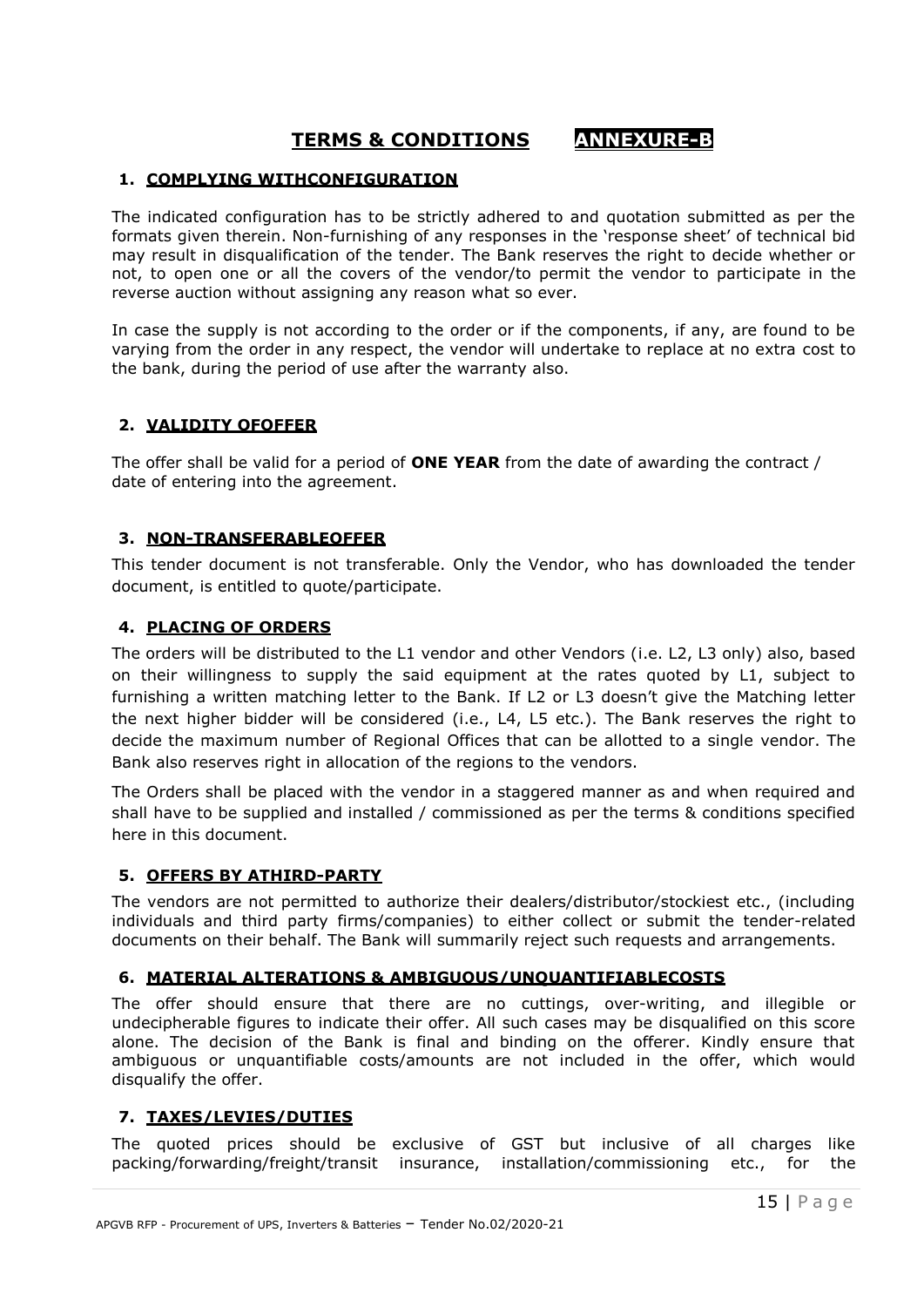# **TERMS & CONDITIONS ANNEXURE-B**

#### **1. COMPLYING WITHCONFIGURATION**

The indicated configuration has to be strictly adhered to and quotation submitted as per the formats given therein. Non-furnishing of any responses in the 'response sheet' of technical bid may result in disqualification of the tender. The Bank reserves the right to decide whether or not, to open one or all the covers of the vendor/to permit the vendor to participate in the reverse auction without assigning any reason what so ever.

In case the supply is not according to the order or if the components, if any, are found to be varying from the order in any respect, the vendor will undertake to replace at no extra cost to the bank, during the period of use after the warranty also.

#### **2. VALIDITY OFOFFER**

The offer shall be valid for a period of **ONE YEAR** from the date of awarding the contract / date of entering into the agreement.

#### **3. NON-TRANSFERABLEOFFER**

This tender document is not transferable. Only the Vendor, who has downloaded the tender document, is entitled to quote/participate.

#### **4. PLACING OF ORDERS**

The orders will be distributed to the L1 vendor and other Vendors (i.e. L2, L3 only) also, based on their willingness to supply the said equipment at the rates quoted by L1, subject to furnishing a written matching letter to the Bank. If L2 or L3 doesn't give the Matching letter the next higher bidder will be considered (i.e., L4, L5 etc.). The Bank reserves the right to decide the maximum number of Regional Offices that can be allotted to a single vendor. The Bank also reserves right in allocation of the regions to the vendors.

The Orders shall be placed with the vendor in a staggered manner as and when required and shall have to be supplied and installed / commissioned as per the terms & conditions specified here in this document.

### **5. OFFERS BY ATHIRD-PARTY**

The vendors are not permitted to authorize their dealers/distributor/stockiest etc., (including individuals and third party firms/companies) to either collect or submit the tender-related documents on their behalf. The Bank will summarily reject such requests and arrangements.

#### **6. MATERIAL ALTERATIONS & AMBIGUOUS/UNQUANTIFIABLECOSTS**

The offer should ensure that there are no cuttings, over-writing, and illegible or undecipherable figures to indicate their offer. All such cases may be disqualified on this score alone. The decision of the Bank is final and binding on the offerer. Kindly ensure that ambiguous or unquantifiable costs/amounts are not included in the offer, which would disqualify the offer.

#### **7. TAXES/LEVIES/DUTIES**

The quoted prices should be exclusive of GST but inclusive of all charges like packing/forwarding/freight/transit insurance, installation/commissioning etc., for the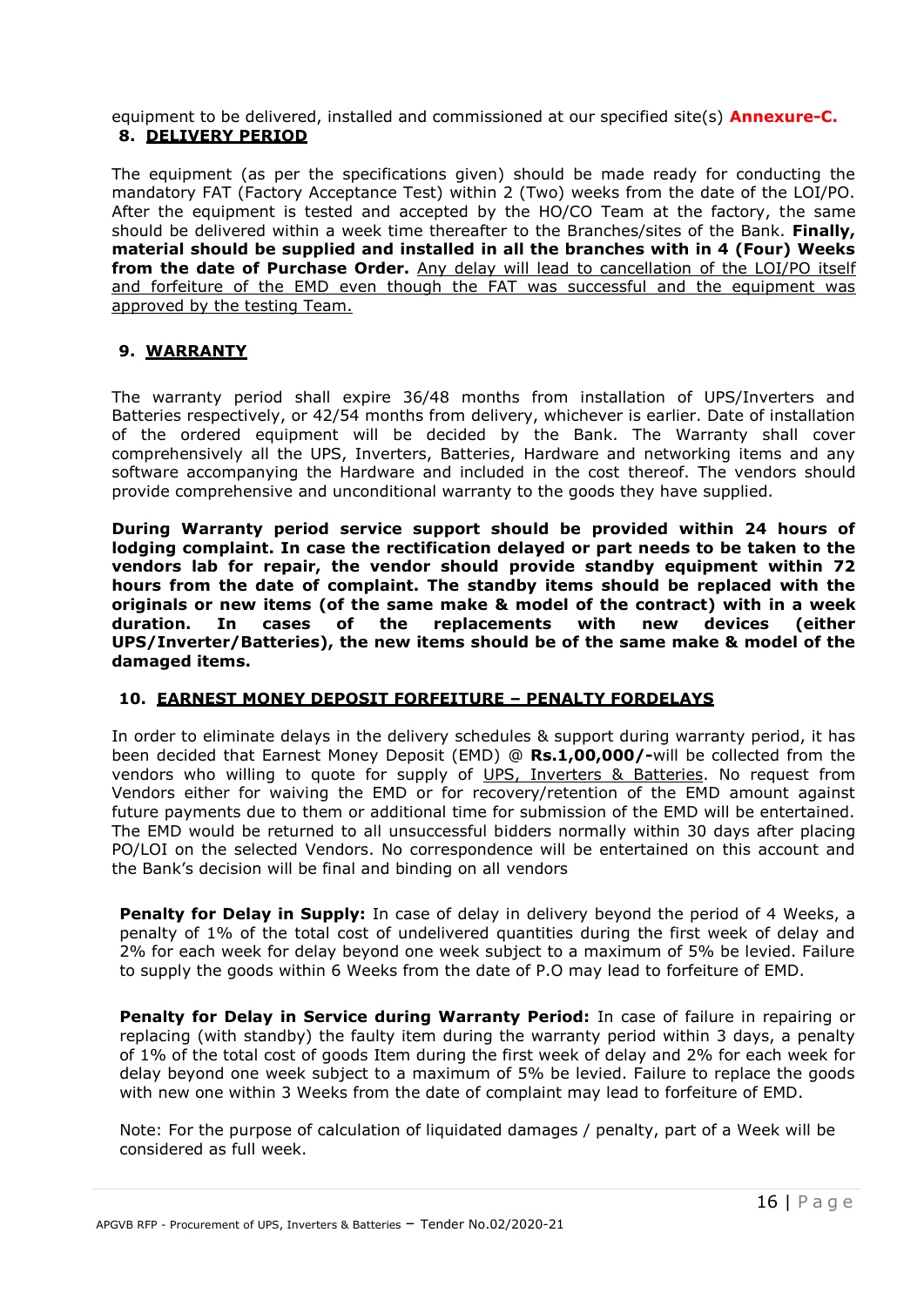equipment to be delivered, installed and commissioned at our specified site(s) **Annexure-C. 8. DELIVERY PERIOD**

The equipment (as per the specifications given) should be made ready for conducting the mandatory FAT (Factory Acceptance Test) within 2 (Two) weeks from the date of the LOI/PO. After the equipment is tested and accepted by the HO/CO Team at the factory, the same should be delivered within a week time thereafter to the Branches/sites of the Bank. **Finally, material should be supplied and installed in all the branches with in 4 (Four) Weeks from the date of Purchase Order.** Any delay will lead to cancellation of the LOI/PO itself and forfeiture of the EMD even though the FAT was successful and the equipment was approved by the testing Team.

#### **9. WARRANTY**

The warranty period shall expire 36/48 months from installation of UPS/Inverters and Batteries respectively, or 42/54 months from delivery, whichever is earlier. Date of installation of the ordered equipment will be decided by the Bank. The Warranty shall cover comprehensively all the UPS, Inverters, Batteries, Hardware and networking items and any software accompanying the Hardware and included in the cost thereof. The vendors should provide comprehensive and unconditional warranty to the goods they have supplied.

**During Warranty period service support should be provided within 24 hours of lodging complaint. In case the rectification delayed or part needs to be taken to the vendors lab for repair, the vendor should provide standby equipment within 72 hours from the date of complaint. The standby items should be replaced with the originals or new items (of the same make & model of the contract) with in a week duration. In cases of the replacements with new devices (either UPS/Inverter/Batteries), the new items should be of the same make & model of the damaged items.**

#### **10. EARNEST MONEY DEPOSIT FORFEITURE – PENALTY FORDELAYS**

In order to eliminate delays in the delivery schedules & support during warranty period, it has been decided that Earnest Money Deposit (EMD) @ **Rs.1,00,000/-**will be collected from the vendors who willing to quote for supply of UPS, Inverters & Batteries. No request from Vendors either for waiving the EMD or for recovery/retention of the EMD amount against future payments due to them or additional time for submission of the EMD will be entertained. The EMD would be returned to all unsuccessful bidders normally within 30 days after placing PO/LOI on the selected Vendors. No correspondence will be entertained on this account and the Bank's decision will be final and binding on all vendors

**Penalty for Delay in Supply:** In case of delay in delivery beyond the period of 4 Weeks, a penalty of 1% of the total cost of undelivered quantities during the first week of delay and 2% for each week for delay beyond one week subject to a maximum of 5% be levied. Failure to supply the goods within 6 Weeks from the date of P.O may lead to forfeiture of EMD.

Penalty for Delay in Service during Warranty Period: In case of failure in repairing or replacing (with standby) the faulty item during the warranty period within 3 days, a penalty of 1% of the total cost of goods Item during the first week of delay and 2% for each week for delay beyond one week subject to a maximum of 5% be levied. Failure to replace the goods with new one within 3 Weeks from the date of complaint may lead to forfeiture of EMD.

Note: For the purpose of calculation of liquidated damages / penalty, part of a Week will be considered as full week.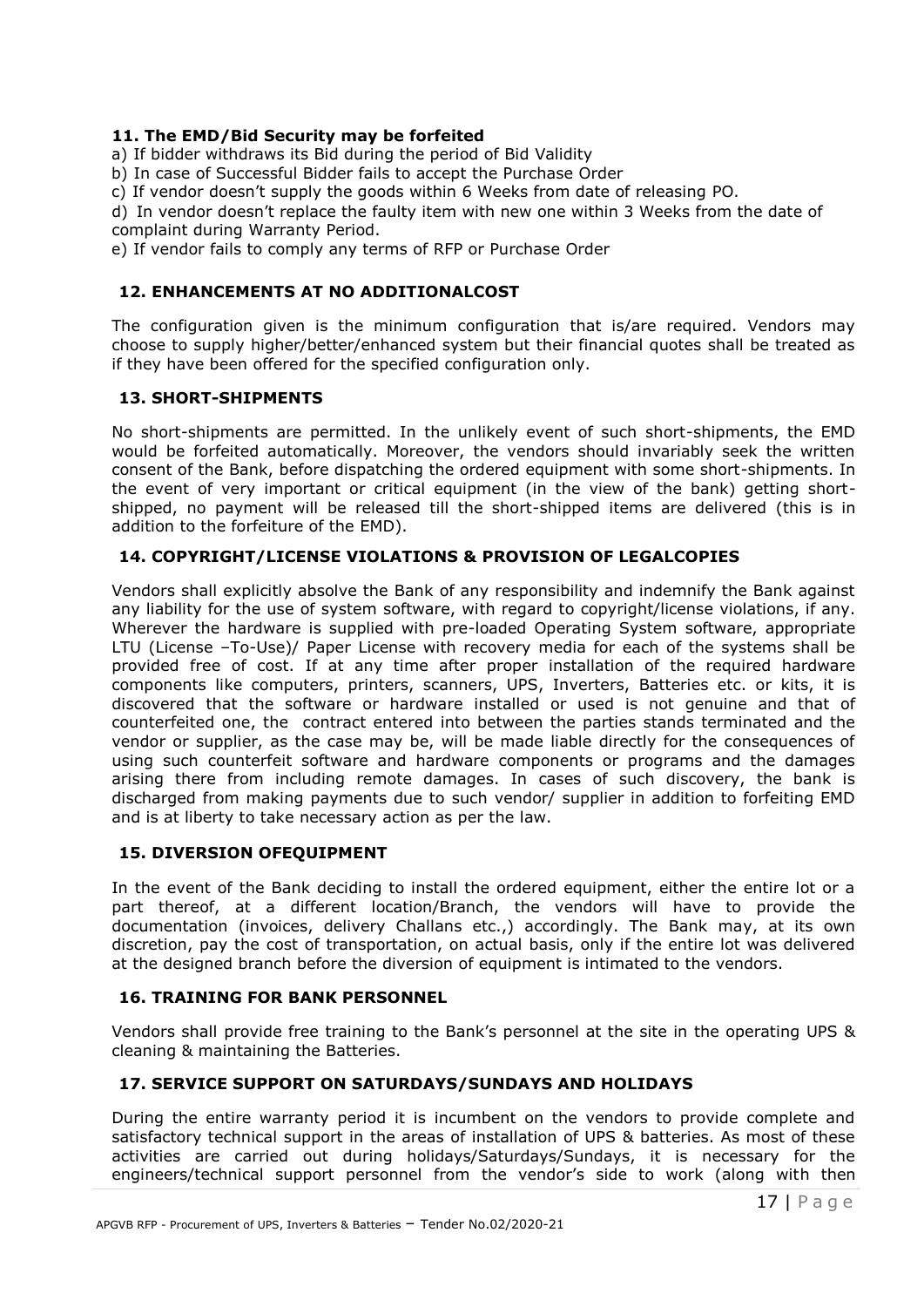#### **11. The EMD/Bid Security may be forfeited**

a) If bidder withdraws its Bid during the period of Bid Validity

b) In case of Successful Bidder fails to accept the Purchase Order

c) If vendor doesn't supply the goods within 6 Weeks from date of releasing PO.

d) In vendor doesn't replace the faulty item with new one within 3 Weeks from the date of complaint during Warranty Period.

e) If vendor fails to comply any terms of RFP or Purchase Order

#### **12. ENHANCEMENTS AT NO ADDITIONALCOST**

The configuration given is the minimum configuration that is/are required. Vendors may choose to supply higher/better/enhanced system but their financial quotes shall be treated as if they have been offered for the specified configuration only.

#### **13. SHORT-SHIPMENTS**

No short-shipments are permitted. In the unlikely event of such short-shipments, the EMD would be forfeited automatically. Moreover, the vendors should invariably seek the written consent of the Bank, before dispatching the ordered equipment with some short-shipments. In the event of very important or critical equipment (in the view of the bank) getting shortshipped, no payment will be released till the short-shipped items are delivered (this is in addition to the forfeiture of the EMD).

#### **14. COPYRIGHT/LICENSE VIOLATIONS & PROVISION OF LEGALCOPIES**

Vendors shall explicitly absolve the Bank of any responsibility and indemnify the Bank against any liability for the use of system software, with regard to copyright/license violations, if any. Wherever the hardware is supplied with pre-loaded Operating System software, appropriate LTU (License –To-Use)/ Paper License with recovery media for each of the systems shall be provided free of cost. If at any time after proper installation of the required hardware components like computers, printers, scanners, UPS, Inverters, Batteries etc. or kits, it is discovered that the software or hardware installed or used is not genuine and that of counterfeited one, the contract entered into between the parties stands terminated and the vendor or supplier, as the case may be, will be made liable directly for the consequences of using such counterfeit software and hardware components or programs and the damages arising there from including remote damages. In cases of such discovery, the bank is discharged from making payments due to such vendor/ supplier in addition to forfeiting EMD and is at liberty to take necessary action as per the law.

#### **15. DIVERSION OFEQUIPMENT**

In the event of the Bank deciding to install the ordered equipment, either the entire lot or a part thereof, at a different location/Branch, the vendors will have to provide the documentation (invoices, delivery Challans etc.,) accordingly. The Bank may, at its own discretion, pay the cost of transportation, on actual basis, only if the entire lot was delivered at the designed branch before the diversion of equipment is intimated to the vendors.

#### **16. TRAINING FOR BANK PERSONNEL**

Vendors shall provide free training to the Bank's personnel at the site in the operating UPS & cleaning & maintaining the Batteries.

### **17. SERVICE SUPPORT ON SATURDAYS/SUNDAYS AND HOLIDAYS**

During the entire warranty period it is incumbent on the vendors to provide complete and satisfactory technical support in the areas of installation of UPS & batteries. As most of these activities are carried out during holidays/Saturdays/Sundays, it is necessary for the engineers/technical support personnel from the vendor's side to work (along with then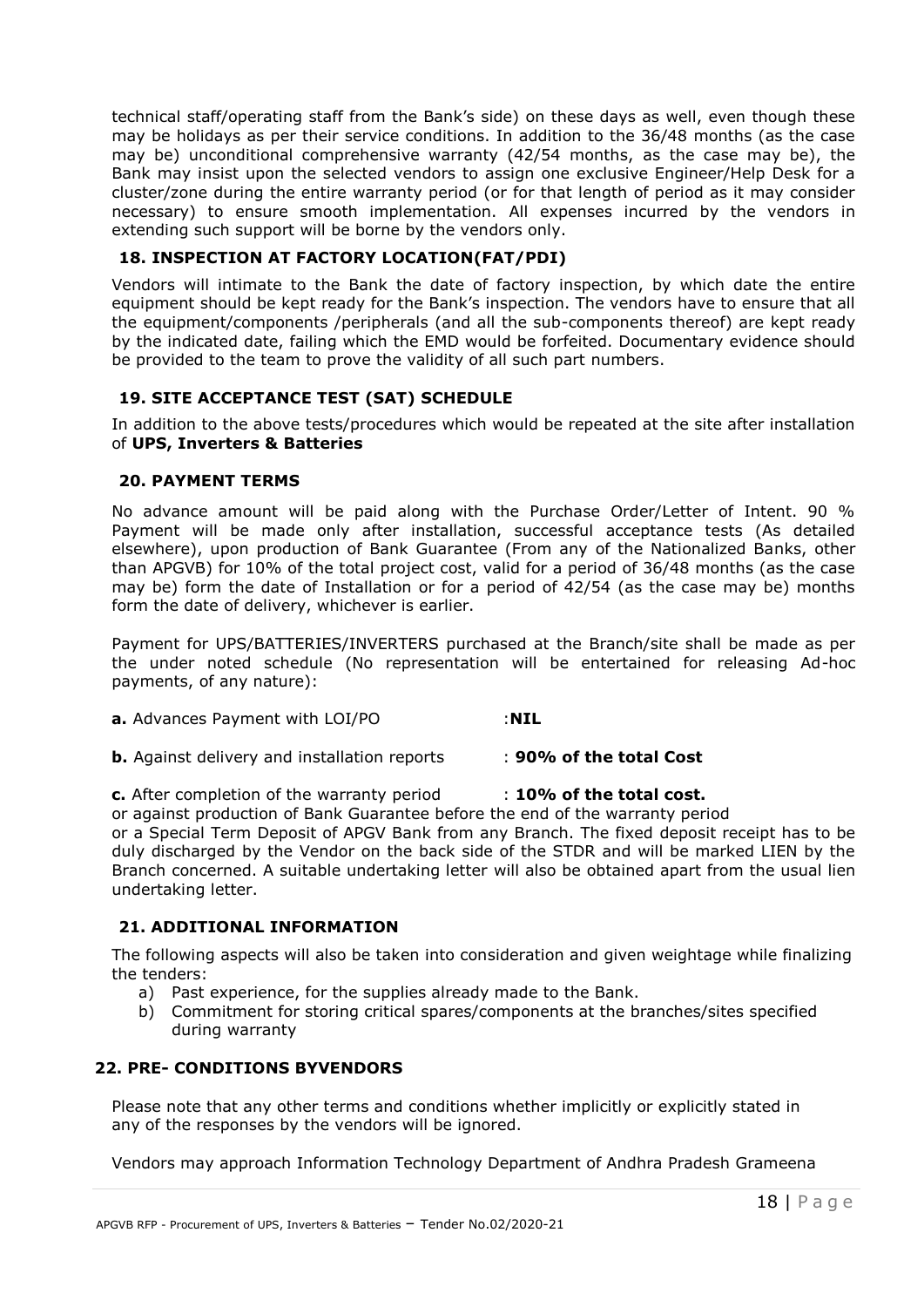technical staff/operating staff from the Bank's side) on these days as well, even though these may be holidays as per their service conditions. In addition to the 36/48 months (as the case may be) unconditional comprehensive warranty (42/54 months, as the case may be), the Bank may insist upon the selected vendors to assign one exclusive Engineer/Help Desk for a cluster/zone during the entire warranty period (or for that length of period as it may consider necessary) to ensure smooth implementation. All expenses incurred by the vendors in extending such support will be borne by the vendors only.

#### **18. INSPECTION AT FACTORY LOCATION(FAT/PDI)**

Vendors will intimate to the Bank the date of factory inspection, by which date the entire equipment should be kept ready for the Bank's inspection. The vendors have to ensure that all the equipment/components /peripherals (and all the sub-components thereof) are kept ready by the indicated date, failing which the EMD would be forfeited. Documentary evidence should be provided to the team to prove the validity of all such part numbers.

### **19. SITE ACCEPTANCE TEST (SAT) SCHEDULE**

In addition to the above tests/procedures which would be repeated at the site after installation of **UPS, Inverters & Batteries**

#### **20. PAYMENT TERMS**

No advance amount will be paid along with the Purchase Order/Letter of Intent. 90 % Payment will be made only after installation, successful acceptance tests (As detailed elsewhere), upon production of Bank Guarantee (From any of the Nationalized Banks, other than APGVB) for 10% of the total project cost, valid for a period of 36/48 months (as the case may be) form the date of Installation or for a period of 42/54 (as the case may be) months form the date of delivery, whichever is earlier.

Payment for UPS/BATTERIES/INVERTERS purchased at the Branch/site shall be made as per the under noted schedule (No representation will be entertained for releasing Ad-hoc payments, of any nature):

| <b>a.</b> Advances Payment with LOI/PO | : NIL |
|----------------------------------------|-------|
|                                        |       |

**b.** Against delivery and installation reports : **90% of the total Cost**

**c.** After completion of the warranty period : **10% of the total cost.**

or against production of Bank Guarantee before the end of the warranty period

or a Special Term Deposit of APGV Bank from any Branch. The fixed deposit receipt has to be duly discharged by the Vendor on the back side of the STDR and will be marked LIEN by the Branch concerned. A suitable undertaking letter will also be obtained apart from the usual lien undertaking letter.

### **21. ADDITIONAL INFORMATION**

The following aspects will also be taken into consideration and given weightage while finalizing the tenders:

- a) Past experience, for the supplies already made to the Bank.
- b) Commitment for storing critical spares/components at the branches/sites specified during warranty

#### **22. PRE- CONDITIONS BYVENDORS**

Please note that any other terms and conditions whether implicitly or explicitly stated in any of the responses by the vendors will be ignored.

Vendors may approach Information Technology Department of Andhra Pradesh Grameena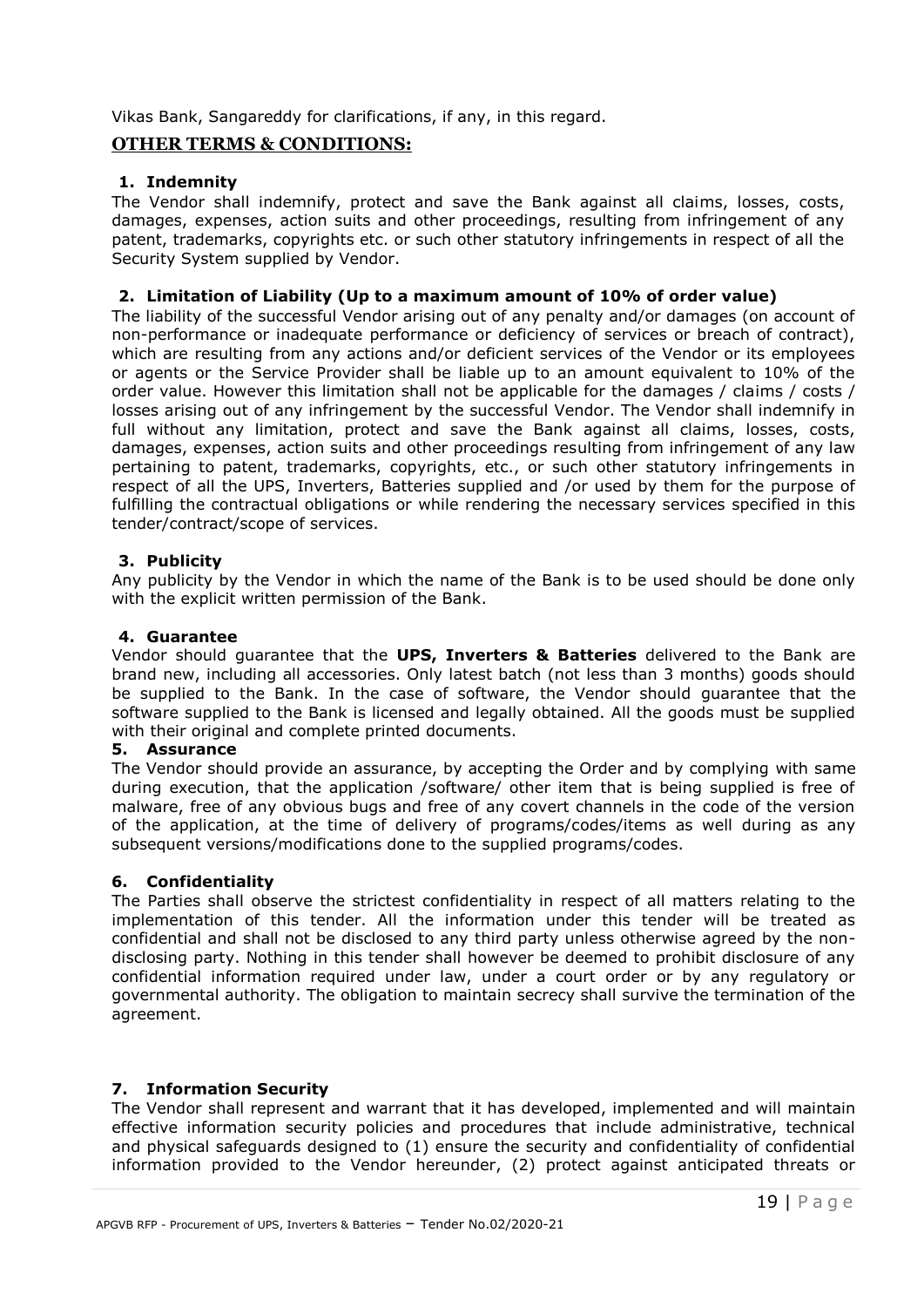Vikas Bank, Sangareddy for clarifications, if any, in this regard.

### **OTHER TERMS & CONDITIONS:**

#### **1. Indemnity**

The Vendor shall indemnify, protect and save the Bank against all claims, losses, costs, damages, expenses, action suits and other proceedings, resulting from infringement of any patent, trademarks, copyrights etc. or such other statutory infringements in respect of all the Security System supplied by Vendor.

#### **2. Limitation of Liability (Up to a maximum amount of 10% of order value)**

The liability of the successful Vendor arising out of any penalty and/or damages (on account of non-performance or inadequate performance or deficiency of services or breach of contract), which are resulting from any actions and/or deficient services of the Vendor or its employees or agents or the Service Provider shall be liable up to an amount equivalent to 10% of the order value. However this limitation shall not be applicable for the damages / claims / costs / losses arising out of any infringement by the successful Vendor. The Vendor shall indemnify in full without any limitation, protect and save the Bank against all claims, losses, costs, damages, expenses, action suits and other proceedings resulting from infringement of any law pertaining to patent, trademarks, copyrights, etc., or such other statutory infringements in respect of all the UPS, Inverters, Batteries supplied and /or used by them for the purpose of fulfilling the contractual obligations or while rendering the necessary services specified in this tender/contract/scope of services.

#### **3. Publicity**

Any publicity by the Vendor in which the name of the Bank is to be used should be done only with the explicit written permission of the Bank.

#### **4. Guarantee**

Vendor should guarantee that the **UPS, Inverters & Batteries** delivered to the Bank are brand new, including all accessories. Only latest batch (not less than 3 months) goods should be supplied to the Bank. In the case of software, the Vendor should guarantee that the software supplied to the Bank is licensed and legally obtained. All the goods must be supplied with their original and complete printed documents.

#### **5. Assurance**

The Vendor should provide an assurance, by accepting the Order and by complying with same during execution, that the application /software/ other item that is being supplied is free of malware, free of any obvious bugs and free of any covert channels in the code of the version of the application, at the time of delivery of programs/codes/items as well during as any subsequent versions/modifications done to the supplied programs/codes.

#### **6. Confidentiality**

The Parties shall observe the strictest confidentiality in respect of all matters relating to the implementation of this tender. All the information under this tender will be treated as confidential and shall not be disclosed to any third party unless otherwise agreed by the nondisclosing party. Nothing in this tender shall however be deemed to prohibit disclosure of any confidential information required under law, under a court order or by any regulatory or governmental authority. The obligation to maintain secrecy shall survive the termination of the agreement.

### **7. Information Security**

The Vendor shall represent and warrant that it has developed, implemented and will maintain effective information security policies and procedures that include administrative, technical and physical safeguards designed to (1) ensure the security and confidentiality of confidential information provided to the Vendor hereunder, (2) protect against anticipated threats or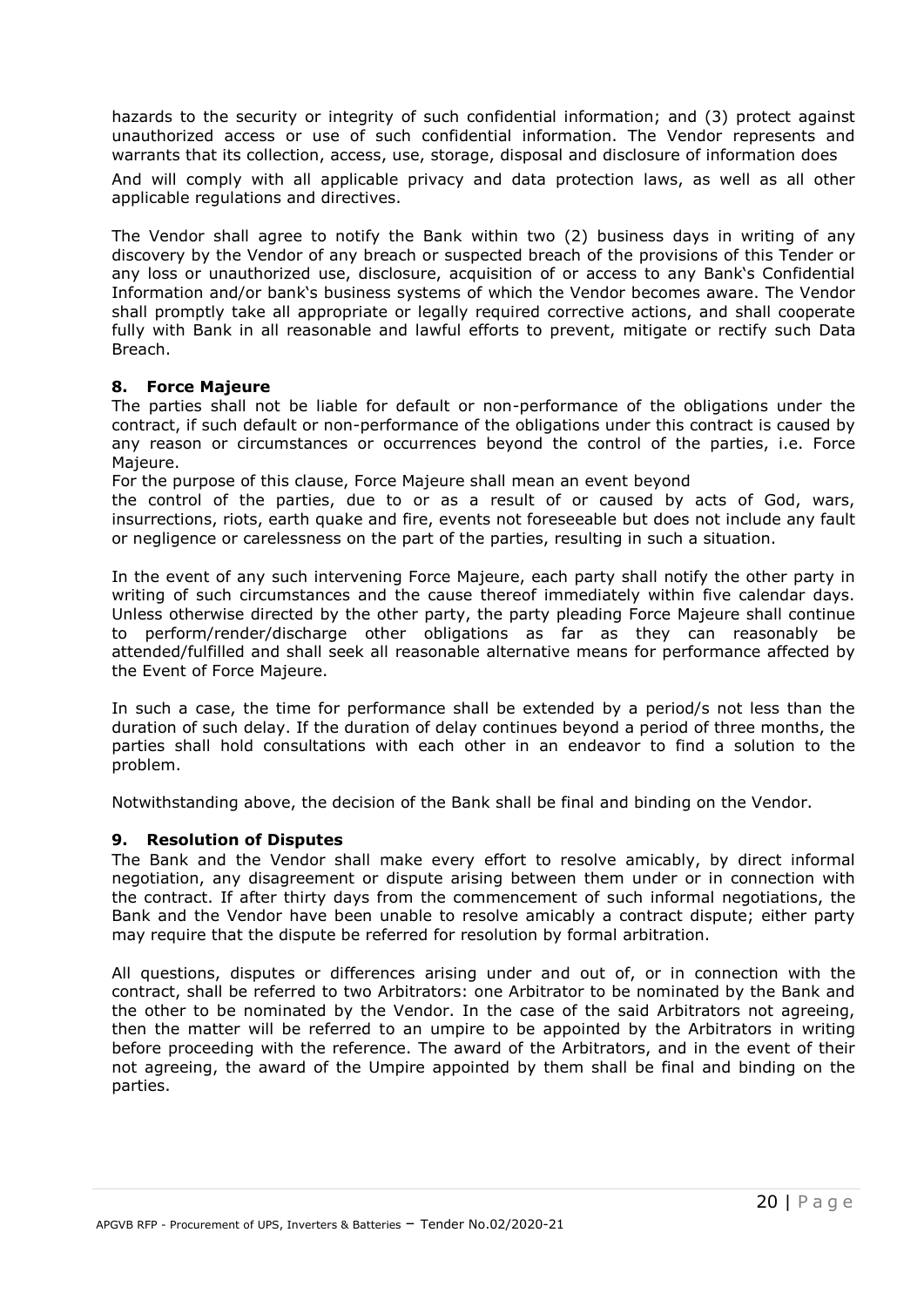hazards to the security or integrity of such confidential information; and (3) protect against unauthorized access or use of such confidential information. The Vendor represents and warrants that its collection, access, use, storage, disposal and disclosure of information does

And will comply with all applicable privacy and data protection laws, as well as all other applicable regulations and directives.

The Vendor shall agree to notify the Bank within two (2) business days in writing of any discovery by the Vendor of any breach or suspected breach of the provisions of this Tender or any loss or unauthorized use, disclosure, acquisition of or access to any Bank's Confidential Information and/or bank's business systems of which the Vendor becomes aware. The Vendor shall promptly take all appropriate or legally required corrective actions, and shall cooperate fully with Bank in all reasonable and lawful efforts to prevent, mitigate or rectify such Data Breach.

#### **8. Force Majeure**

The parties shall not be liable for default or non-performance of the obligations under the contract, if such default or non-performance of the obligations under this contract is caused by any reason or circumstances or occurrences beyond the control of the parties, i.e. Force Majeure.

For the purpose of this clause, Force Majeure shall mean an event beyond

the control of the parties, due to or as a result of or caused by acts of God, wars, insurrections, riots, earth quake and fire, events not foreseeable but does not include any fault or negligence or carelessness on the part of the parties, resulting in such a situation.

In the event of any such intervening Force Majeure, each party shall notify the other party in writing of such circumstances and the cause thereof immediately within five calendar days. Unless otherwise directed by the other party, the party pleading Force Majeure shall continue to perform/render/discharge other obligations as far as they can reasonably be attended/fulfilled and shall seek all reasonable alternative means for performance affected by the Event of Force Majeure.

In such a case, the time for performance shall be extended by a period/s not less than the duration of such delay. If the duration of delay continues beyond a period of three months, the parties shall hold consultations with each other in an endeavor to find a solution to the problem.

Notwithstanding above, the decision of the Bank shall be final and binding on the Vendor.

#### **9. Resolution of Disputes**

The Bank and the Vendor shall make every effort to resolve amicably, by direct informal negotiation, any disagreement or dispute arising between them under or in connection with the contract. If after thirty days from the commencement of such informal negotiations, the Bank and the Vendor have been unable to resolve amicably a contract dispute; either party may require that the dispute be referred for resolution by formal arbitration.

All questions, disputes or differences arising under and out of, or in connection with the contract, shall be referred to two Arbitrators: one Arbitrator to be nominated by the Bank and the other to be nominated by the Vendor. In the case of the said Arbitrators not agreeing, then the matter will be referred to an umpire to be appointed by the Arbitrators in writing before proceeding with the reference. The award of the Arbitrators, and in the event of their not agreeing, the award of the Umpire appointed by them shall be final and binding on the parties.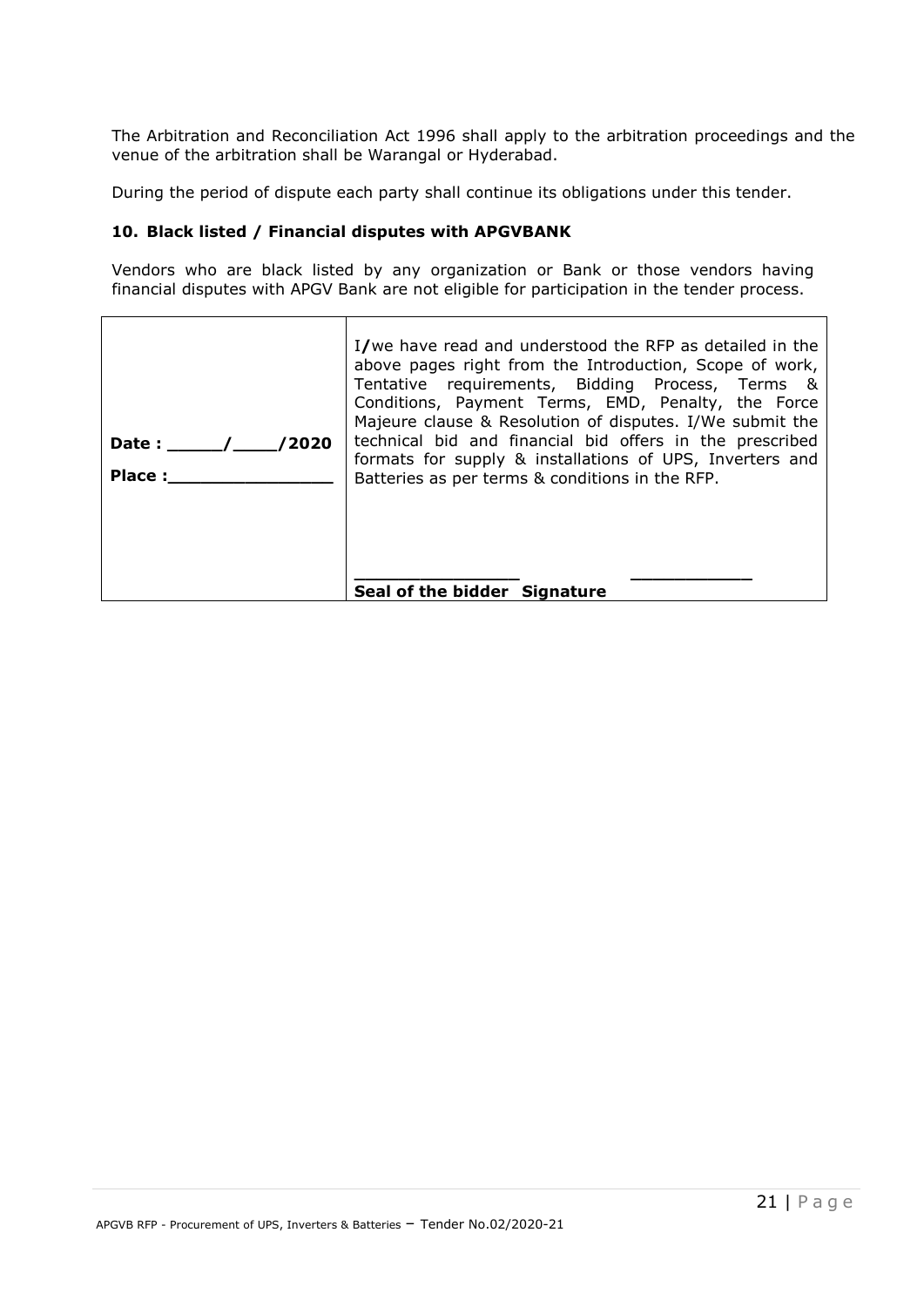The Arbitration and Reconciliation Act 1996 shall apply to the arbitration proceedings and the venue of the arbitration shall be Warangal or Hyderabad.

During the period of dispute each party shall continue its obligations under this tender.

#### **10. Black listed / Financial disputes with APGVBANK**

Vendors who are black listed by any organization or Bank or those vendors having financial disputes with APGV Bank are not eligible for participation in the tender process.

| 2002/<br>Date :<br>Place: | I/we have read and understood the RFP as detailed in the<br>above pages right from the Introduction, Scope of work,<br>Tentative requirements, Bidding Process, Terms &<br>Conditions, Payment Terms, EMD, Penalty, the Force<br>Majeure clause & Resolution of disputes. I/We submit the<br>technical bid and financial bid offers in the prescribed<br>formats for supply & installations of UPS, Inverters and<br>Batteries as per terms & conditions in the RFP. |
|---------------------------|----------------------------------------------------------------------------------------------------------------------------------------------------------------------------------------------------------------------------------------------------------------------------------------------------------------------------------------------------------------------------------------------------------------------------------------------------------------------|
|                           | Seal of the bidder Signature                                                                                                                                                                                                                                                                                                                                                                                                                                         |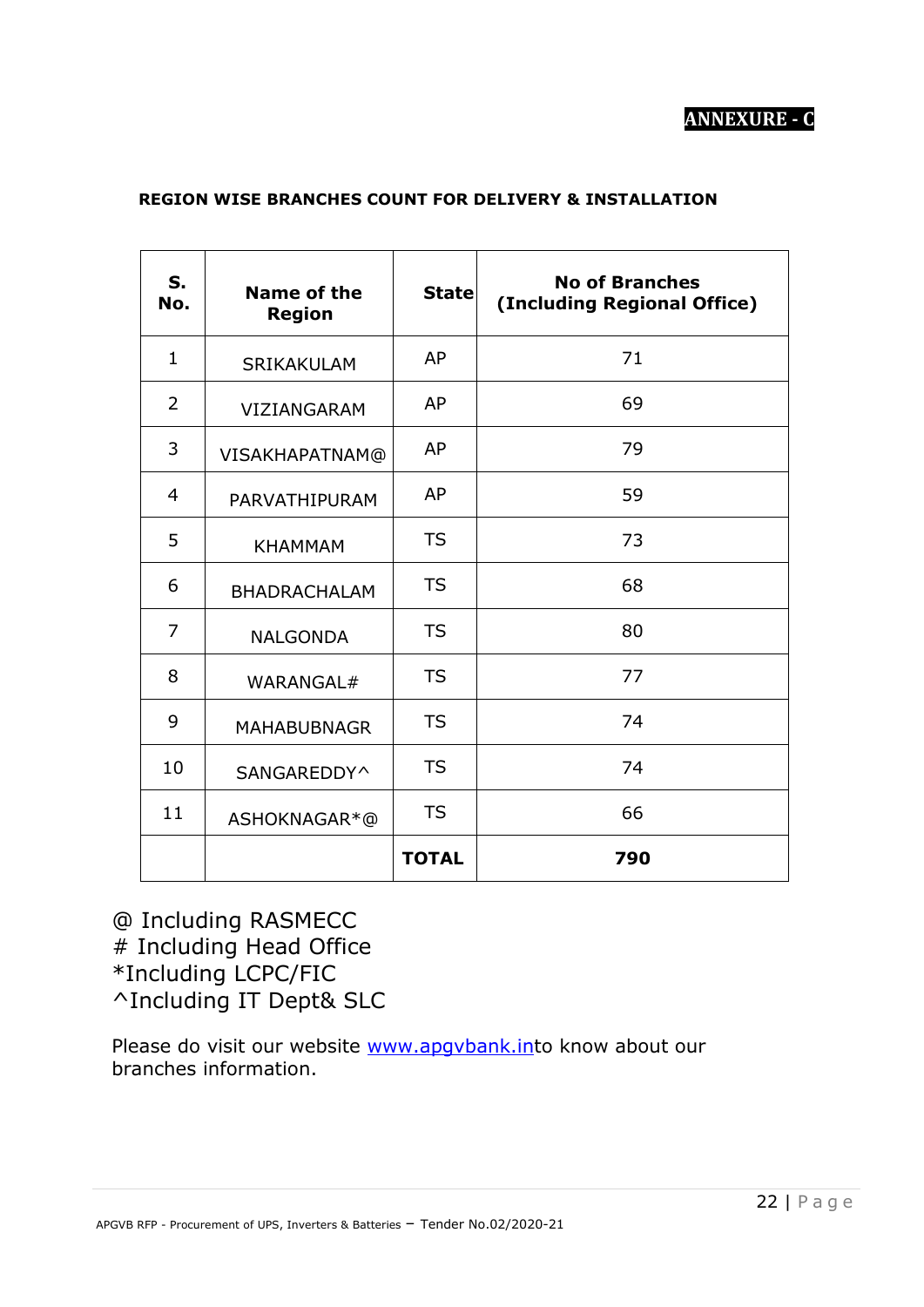# **ANNEXURE - C**

| S.<br>No.    | Name of the<br><b>Region</b> | <b>State</b> | <b>No of Branches</b><br>(Including Regional Office) |
|--------------|------------------------------|--------------|------------------------------------------------------|
| $\mathbf{1}$ | SRIKAKULAM                   | AP           | 71                                                   |
| 2            | VIZIANGARAM                  | AP           | 69                                                   |
| 3            | VISAKHAPATNAM@               | AP           | 79                                                   |
| 4            | PARVATHIPURAM                | AP           | 59                                                   |
| 5            | <b>KHAMMAM</b>               | <b>TS</b>    | 73                                                   |
| 6            | <b>BHADRACHALAM</b>          | <b>TS</b>    | 68                                                   |
| 7            | <b>NALGONDA</b>              | <b>TS</b>    | 80                                                   |
| 8            | WARANGAL#                    | <b>TS</b>    | 77                                                   |
| 9            | <b>MAHABUBNAGR</b>           | <b>TS</b>    | 74                                                   |
| 10           | SANGAREDDY^                  | <b>TS</b>    | 74                                                   |
| 11           | ASHOKNAGAR*@                 | <b>TS</b>    | 66                                                   |
|              |                              | <b>TOTAL</b> | 790                                                  |

# **REGION WISE BRANCHES COUNT FOR DELIVERY & INSTALLATION**

@ Including RASMECC # Including Head Office \*Including LCPC/FIC ^Including IT Dept& SLC

Please do visit our website [www.apgvbank.int](http://www.apgvbank.in/)o know about our branches information.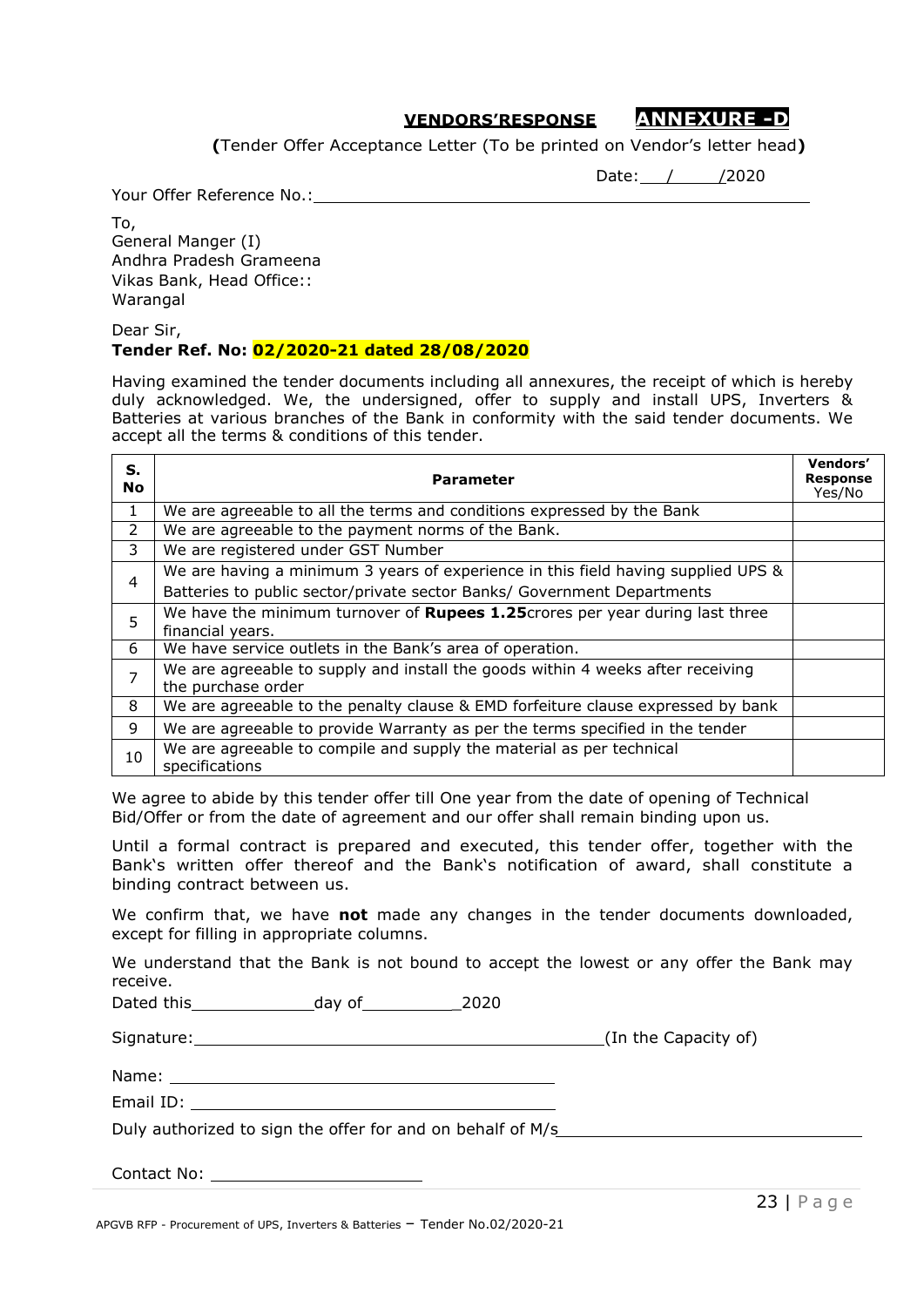# **VENDORS'RESPONSE ANNEXURE -D**

**(**Tender Offer Acceptance Letter (To be printed on Vendor's letter head**)**

Date: / /2020

Your Offer Reference No.:

To, General Manger (I) Andhra Pradesh Grameena Vikas Bank, Head Office:: Warangal

Dear Sir,

#### **Tender Ref. No: 02/2020-21 dated 28/08/2020**

Having examined the tender documents including all annexures, the receipt of which is hereby duly acknowledged. We, the undersigned, offer to supply and install UPS, Inverters & Batteries at various branches of the Bank in conformity with the said tender documents. We accept all the terms & conditions of this tender.

| S.<br><b>No</b> | <b>Parameter</b>                                                                                      | <b>Vendors'</b><br><b>Response</b><br>Yes/No |
|-----------------|-------------------------------------------------------------------------------------------------------|----------------------------------------------|
| 1               | We are agreeable to all the terms and conditions expressed by the Bank                                |                                              |
| $\mathcal{P}$   | We are agreeable to the payment norms of the Bank.                                                    |                                              |
| 3               | We are registered under GST Number                                                                    |                                              |
|                 | We are having a minimum 3 years of experience in this field having supplied UPS &                     |                                              |
| 4               | Batteries to public sector/private sector Banks/ Government Departments                               |                                              |
| 5               | We have the minimum turnover of Rupees 1.25 crores per year during last three<br>financial years.     |                                              |
| 6               | We have service outlets in the Bank's area of operation.                                              |                                              |
| $\overline{ }$  | We are agreeable to supply and install the goods within 4 weeks after receiving<br>the purchase order |                                              |
| 8               | We are agreeable to the penalty clause & EMD forfeiture clause expressed by bank                      |                                              |
| 9               | We are agreeable to provide Warranty as per the terms specified in the tender                         |                                              |
| 10              | We are agreeable to compile and supply the material as per technical<br>specifications                |                                              |

We agree to abide by this tender offer till One year from the date of opening of Technical Bid/Offer or from the date of agreement and our offer shall remain binding upon us.

Until a formal contract is prepared and executed, this tender offer, together with the Bank's written offer thereof and the Bank's notification of award, shall constitute a binding contract between us.

We confirm that, we have **not** made any changes in the tender documents downloaded, except for filling in appropriate columns.

We understand that the Bank is not bound to accept the lowest or any offer the Bank may receive.

Dated this day of \_2020

Email ID:

Signature: (In the Capacity of)

Name:

Duly authorized to sign the offer for and on behalf of M/s

Contact No: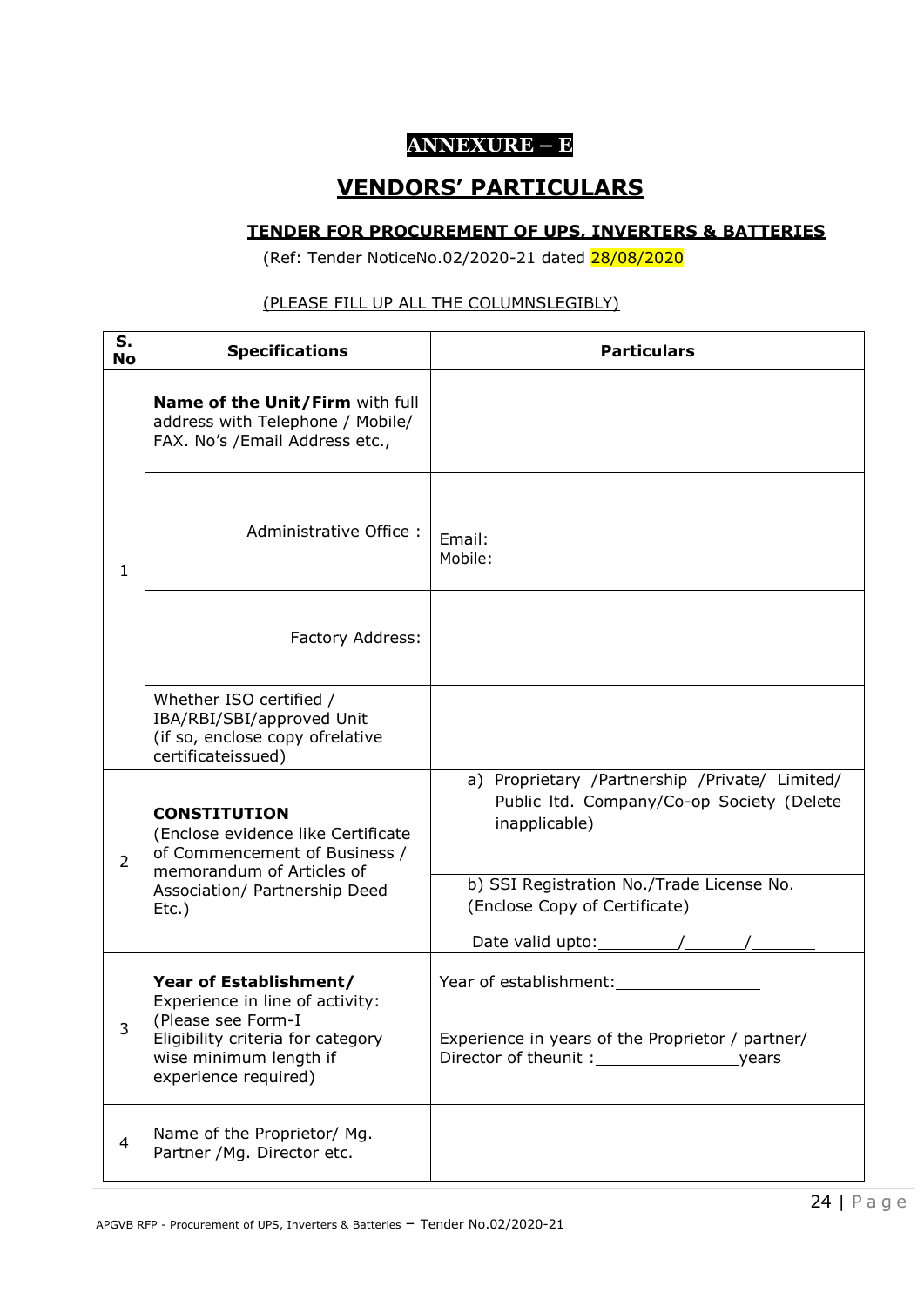# **ANNEXURE – E**

# **VENDORS' PARTICULARS**

#### **TENDER FOR PROCUREMENT OF UPS, INVERTERS & BATTERIES**

(Ref: Tender NoticeNo.02/2020-21 dated 28/08/2020

# (PLEASE FILL UP ALL THE COLUMNSLEGIBLY)

| S.<br><b>No</b> | <b>Specifications</b>                                                                                                                                                  | <b>Particulars</b>                                                                                           |
|-----------------|------------------------------------------------------------------------------------------------------------------------------------------------------------------------|--------------------------------------------------------------------------------------------------------------|
|                 | Name of the Unit/Firm with full<br>address with Telephone / Mobile/<br>FAX. No's /Email Address etc.,                                                                  |                                                                                                              |
| $\mathbf{1}$    | Administrative Office:                                                                                                                                                 | Email:<br>Mobile:                                                                                            |
|                 | Factory Address:                                                                                                                                                       |                                                                                                              |
|                 | Whether ISO certified /<br>IBA/RBI/SBI/approved Unit<br>(if so, enclose copy ofrelative<br>certificateissued)                                                          |                                                                                                              |
| $\overline{2}$  | <b>CONSTITUTION</b><br>(Enclose evidence like Certificate<br>of Commencement of Business /<br>memorandum of Articles of                                                | a) Proprietary /Partnership /Private/ Limited/<br>Public Itd. Company/Co-op Society (Delete<br>inapplicable) |
|                 | Association/ Partnership Deed<br>$Etc.$ )                                                                                                                              | b) SSI Registration No./Trade License No.<br>(Enclose Copy of Certificate)<br>Date valid upto: $\sqrt{2\pi}$ |
| 3               | Year of Establishment/<br>Experience in line of activity:<br>(Please see Form-I<br>Eligibility criteria for category<br>wise minimum length if<br>experience required) | Year of establishment:<br>Experience in years of the Proprietor / partner/                                   |
| 4               | Name of the Proprietor/ Mg.<br>Partner / Mg. Director etc.                                                                                                             |                                                                                                              |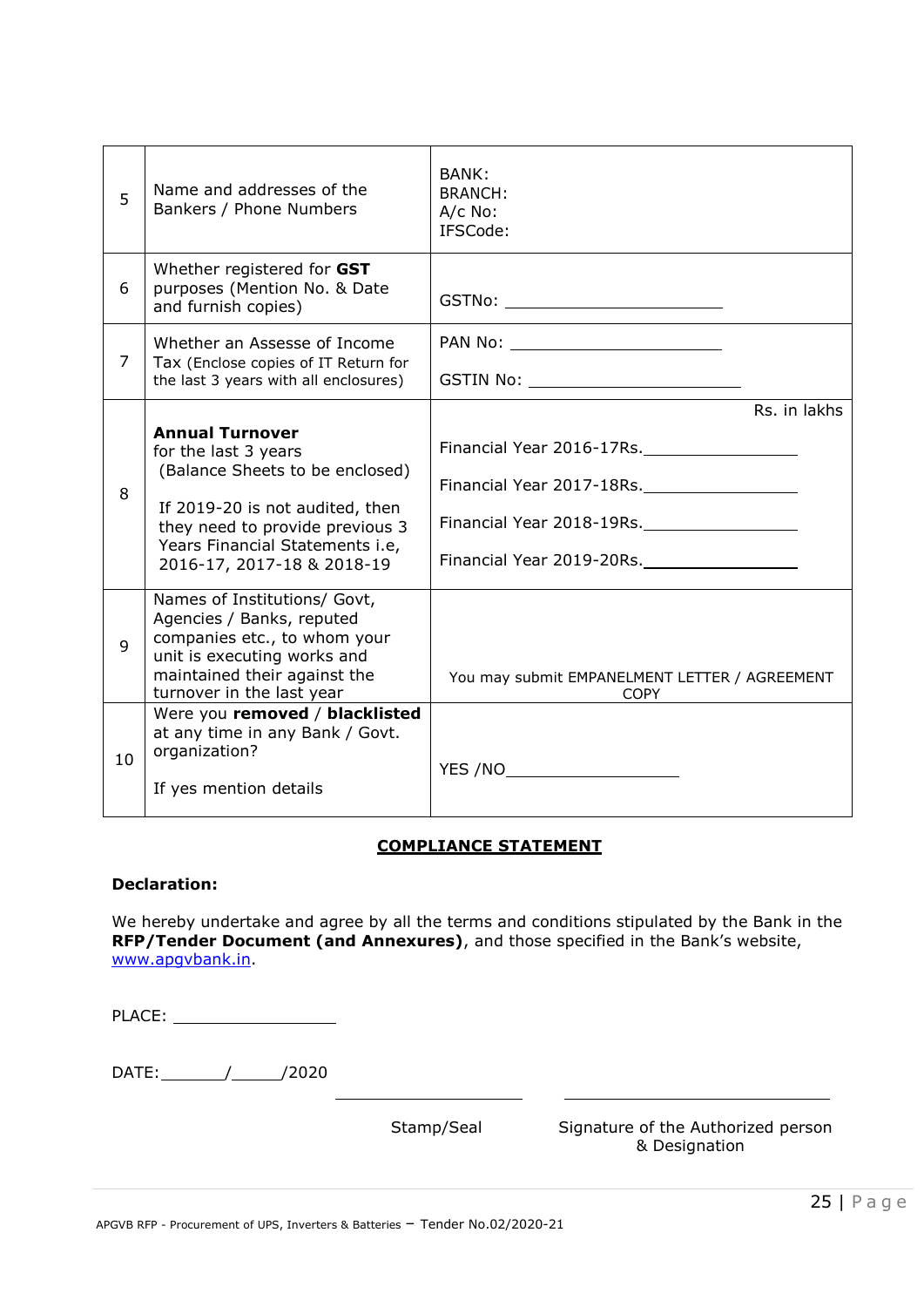| 5              | Name and addresses of the<br>Bankers / Phone Numbers                                                                                                                                                                     | BANK:<br><b>BRANCH:</b><br>A/c No:<br>IFSCode:                         |
|----------------|--------------------------------------------------------------------------------------------------------------------------------------------------------------------------------------------------------------------------|------------------------------------------------------------------------|
| 6              | Whether registered for GST<br>purposes (Mention No. & Date<br>and furnish copies)                                                                                                                                        | GSTNo: ___________________________                                     |
| $\overline{7}$ | Whether an Assesse of Income<br>Tax (Enclose copies of IT Return for<br>the last 3 years with all enclosures)                                                                                                            | PAN No: ____________________________                                   |
| 8              | <b>Annual Turnover</b><br>for the last 3 years<br>(Balance Sheets to be enclosed)<br>If 2019-20 is not audited, then<br>they need to provide previous 3<br>Years Financial Statements i.e,<br>2016-17, 2017-18 & 2018-19 | Rs. in lakhs<br>Financial Year 2016-17Rs.<br>Financial Year 2019-20Rs. |
| 9              | Names of Institutions/ Govt,<br>Agencies / Banks, reputed<br>companies etc., to whom your<br>unit is executing works and<br>maintained their against the<br>turnover in the last year                                    | You may submit EMPANELMENT LETTER / AGREEMENT<br><b>COPY</b>           |
| 10             | Were you removed / blacklisted<br>at any time in any Bank / Govt.<br>organization?<br>If yes mention details                                                                                                             | YES /NO_______________________                                         |

#### **COMPLIANCE STATEMENT**

#### **Declaration:**

We hereby undertake and agree by all the terms and conditions stipulated by the Bank in the **RFP/Tender Document (and Annexures)**, and those specified in the Bank's website, [www.apgvbank.in.](http://www.apgvbank.in/)

| PLACE:             |            |                                                     |
|--------------------|------------|-----------------------------------------------------|
| $DATE:$ /<br>/2020 |            |                                                     |
|                    | Stamp/Seal | Signature of the Authorized person<br>& Designation |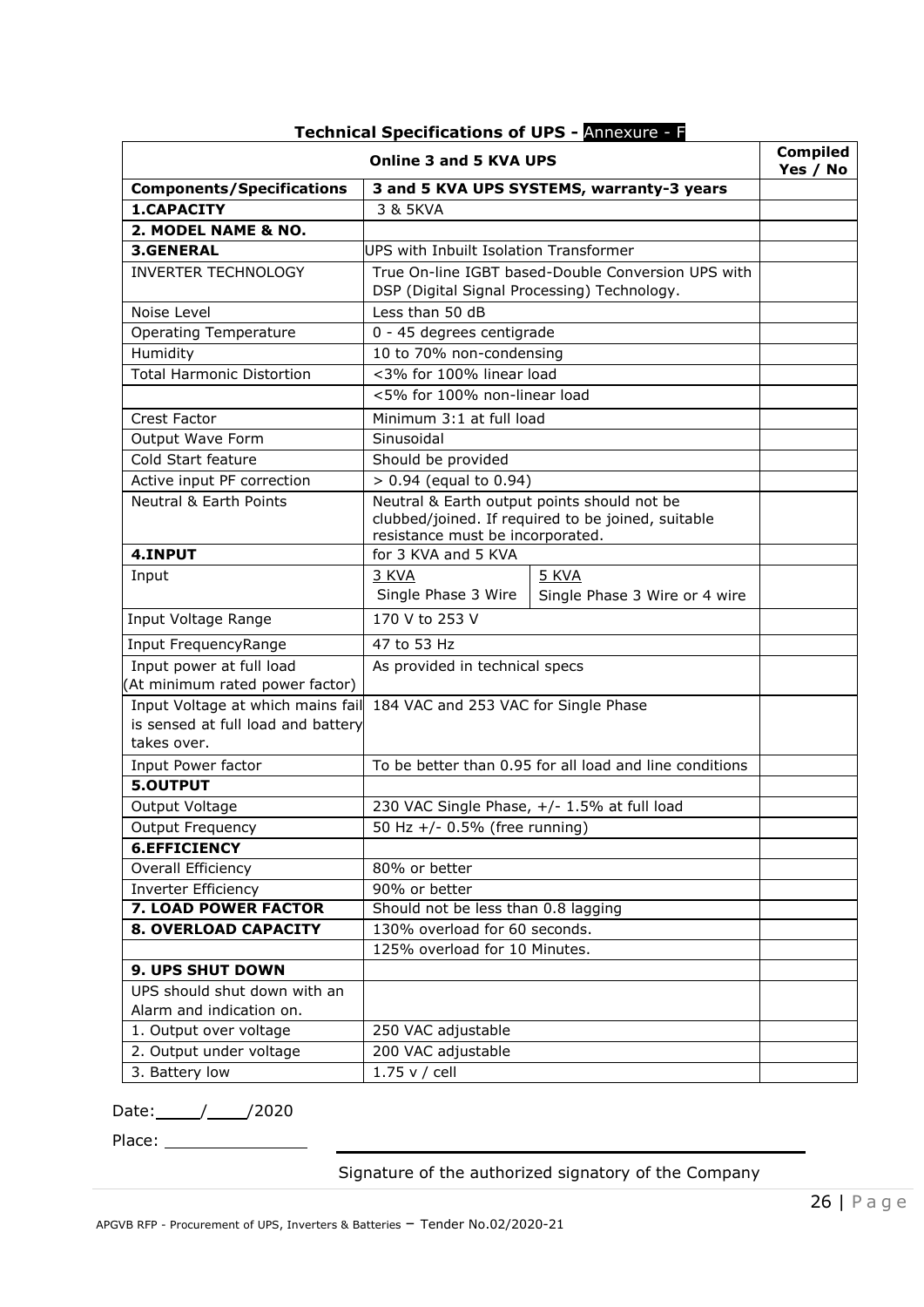| <b>Online 3 and 5 KVA UPS</b>                                                          |                                                                                                                                       |                                                         |  |
|----------------------------------------------------------------------------------------|---------------------------------------------------------------------------------------------------------------------------------------|---------------------------------------------------------|--|
| <b>Components/Specifications</b>                                                       |                                                                                                                                       | 3 and 5 KVA UPS SYSTEMS, warranty-3 years               |  |
| 1.CAPACITY                                                                             | 3 & 5KVA                                                                                                                              |                                                         |  |
| 2. MODEL NAME & NO.                                                                    |                                                                                                                                       |                                                         |  |
| <b>3.GENERAL</b>                                                                       | UPS with Inbuilt Isolation Transformer                                                                                                |                                                         |  |
| <b>INVERTER TECHNOLOGY</b>                                                             |                                                                                                                                       | True On-line IGBT based-Double Conversion UPS with      |  |
|                                                                                        | DSP (Digital Signal Processing) Technology.                                                                                           |                                                         |  |
| Noise Level                                                                            | Less than 50 dB                                                                                                                       |                                                         |  |
| <b>Operating Temperature</b>                                                           | 0 - 45 degrees centigrade                                                                                                             |                                                         |  |
| Humidity                                                                               | 10 to 70% non-condensing                                                                                                              |                                                         |  |
| <b>Total Harmonic Distortion</b>                                                       | <3% for 100% linear load                                                                                                              |                                                         |  |
|                                                                                        | <5% for 100% non-linear load                                                                                                          |                                                         |  |
| Crest Factor                                                                           | Minimum 3:1 at full load                                                                                                              |                                                         |  |
| Output Wave Form                                                                       | Sinusoidal                                                                                                                            |                                                         |  |
| Cold Start feature                                                                     | Should be provided                                                                                                                    |                                                         |  |
| Active input PF correction                                                             | $> 0.94$ (equal to 0.94)                                                                                                              |                                                         |  |
| <b>Neutral &amp; Earth Points</b>                                                      | Neutral & Earth output points should not be<br>clubbed/joined. If required to be joined, suitable<br>resistance must be incorporated. |                                                         |  |
| 4.INPUT                                                                                | for 3 KVA and 5 KVA                                                                                                                   |                                                         |  |
| Input                                                                                  | 3 KVA<br>Single Phase 3 Wire                                                                                                          |                                                         |  |
| Input Voltage Range                                                                    | 170 V to 253 V                                                                                                                        | Single Phase 3 Wire or 4 wire                           |  |
| Input FrequencyRange                                                                   | 47 to 53 Hz                                                                                                                           |                                                         |  |
| Input power at full load<br>(At minimum rated power factor)                            | As provided in technical specs                                                                                                        |                                                         |  |
| Input Voltage at which mains fail<br>is sensed at full load and battery<br>takes over. | 184 VAC and 253 VAC for Single Phase                                                                                                  |                                                         |  |
| Input Power factor                                                                     |                                                                                                                                       | To be better than 0.95 for all load and line conditions |  |
| 5.OUTPUT                                                                               |                                                                                                                                       |                                                         |  |
| Output Voltage                                                                         |                                                                                                                                       | 230 VAC Single Phase, +/- 1.5% at full load             |  |
| <b>Output Frequency</b>                                                                | 50 Hz +/- 0.5% (free running)                                                                                                         |                                                         |  |
| <b>6.EFFICIENCY</b>                                                                    |                                                                                                                                       |                                                         |  |
| Overall Efficiency                                                                     | 80% or better                                                                                                                         |                                                         |  |
| Inverter Efficiency                                                                    | 90% or better                                                                                                                         |                                                         |  |
| <b>7. LOAD POWER FACTOR</b>                                                            | Should not be less than 0.8 lagging                                                                                                   |                                                         |  |
| 8. OVERLOAD CAPACITY                                                                   | 130% overload for 60 seconds.                                                                                                         |                                                         |  |
|                                                                                        | 125% overload for 10 Minutes.                                                                                                         |                                                         |  |
| 9. UPS SHUT DOWN                                                                       |                                                                                                                                       |                                                         |  |
| UPS should shut down with an<br>Alarm and indication on.                               |                                                                                                                                       |                                                         |  |
| 1. Output over voltage                                                                 | 250 VAC adjustable                                                                                                                    |                                                         |  |
| 2. Output under voltage                                                                | 200 VAC adjustable                                                                                                                    |                                                         |  |
| 3. Battery low                                                                         | 1.75 v / cell                                                                                                                         |                                                         |  |

# **Technical Specifications of UPS -** Annexure - F

Date: // /2020

Place:

Signature of the authorized signatory of the Company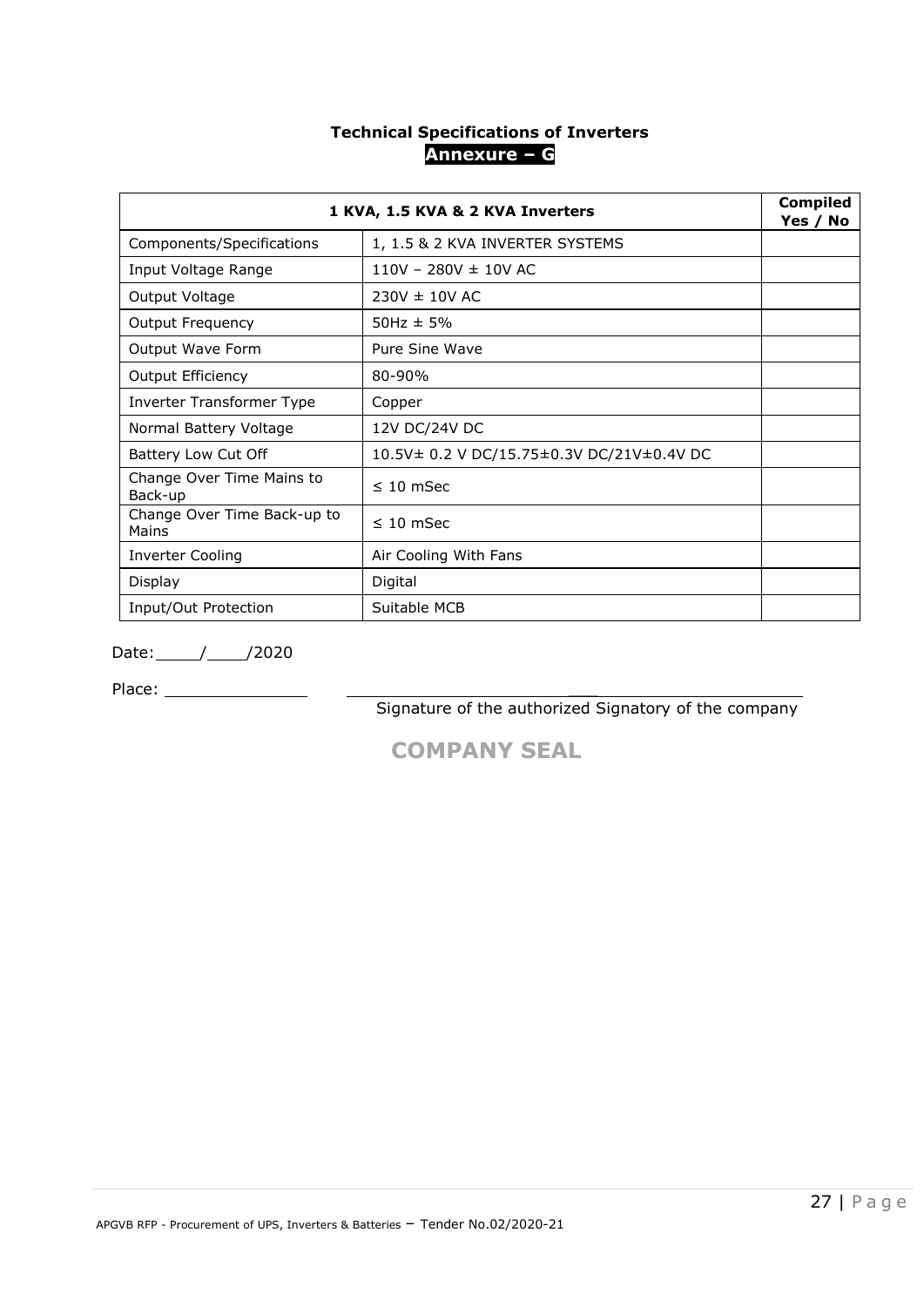# **Technical Specifications of Inverters Annexure – G**

|                                      | 1 KVA, 1.5 KVA & 2 KVA Inverters          |  |  |
|--------------------------------------|-------------------------------------------|--|--|
| Components/Specifications            | 1, 1.5 & 2 KVA INVERTER SYSTEMS           |  |  |
| Input Voltage Range                  | $110V - 280V \pm 10V$ AC                  |  |  |
| Output Voltage                       | $230V \pm 10V$ AC                         |  |  |
| <b>Output Frequency</b>              | $50$ Hz $\pm$ 5%                          |  |  |
| Output Wave Form                     | Pure Sine Wave                            |  |  |
| <b>Output Efficiency</b>             | 80-90%                                    |  |  |
| Inverter Transformer Type            | Copper                                    |  |  |
| Normal Battery Voltage               | 12V DC/24V DC                             |  |  |
| Battery Low Cut Off                  | 10.5V± 0.2 V DC/15.75±0.3V DC/21V±0.4V DC |  |  |
| Change Over Time Mains to<br>Back-up | $\leq 10$ mSec                            |  |  |
| Change Over Time Back-up to<br>Mains | $\leq 10$ mSec                            |  |  |
| <b>Inverter Cooling</b>              | Air Cooling With Fans                     |  |  |
| <b>Display</b>                       | Digital                                   |  |  |
| Input/Out Protection                 | Suitable MCB                              |  |  |

Date: // /2020

Place: \_\_\_

Signature of the authorized Signatory of the company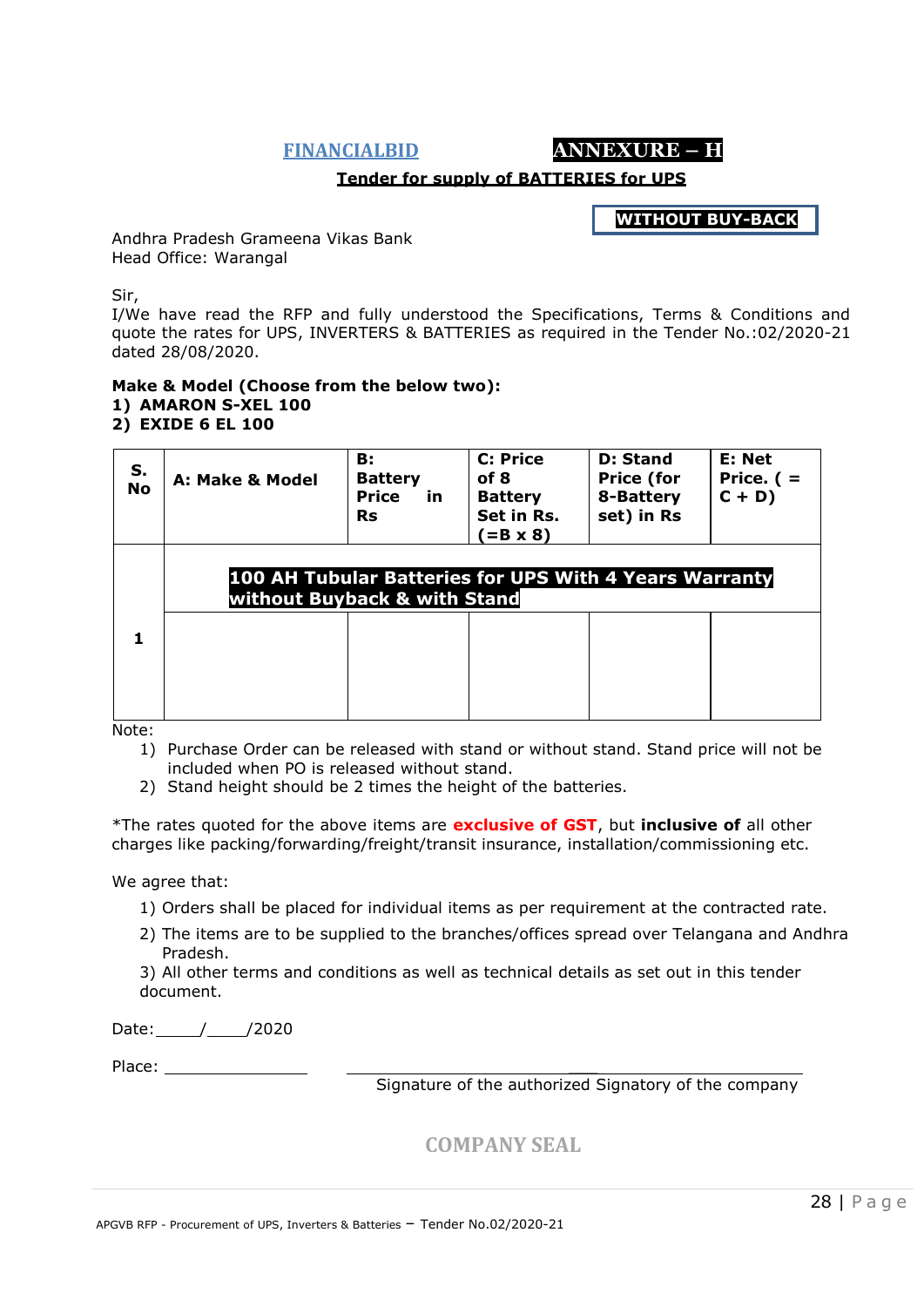**FINANCIALBID ANNEXURE – H**

#### **Tender for supply of BATTERIES for UPS**

**WITHOUT BUY-BACK**

Andhra Pradesh Grameena Vikas Bank Head Office: Warangal

Sir,

I/We have read the RFP and fully understood the Specifications, Terms & Conditions and quote the rates for UPS, INVERTERS & BATTERIES as required in the Tender No.:02/2020-21 dated 28/08/2020.

#### **Make & Model (Choose from the below two): 1) AMARON S-XEL 100 2) EXIDE 6 EL 100**

| S.<br><b>No</b> | A: Make & Model                                                                        | <b>B</b> :<br><b>Battery</b><br><b>Price</b><br>in<br><b>Rs</b> | <b>C: Price</b><br>of 8<br><b>Battery</b><br>Set in Rs.<br>$(=B \times 8)$ | D: Stand<br><b>Price (for</b><br>8-Battery<br>set) in Rs | E: Net<br>Price. $($ =<br>$C + D$ |
|-----------------|----------------------------------------------------------------------------------------|-----------------------------------------------------------------|----------------------------------------------------------------------------|----------------------------------------------------------|-----------------------------------|
|                 | 100 AH Tubular Batteries for UPS With 4 Years Warranty<br>without Buyback & with Stand |                                                                 |                                                                            |                                                          |                                   |
| 1               |                                                                                        |                                                                 |                                                                            |                                                          |                                   |
|                 |                                                                                        |                                                                 |                                                                            |                                                          |                                   |

Note:

- 1) Purchase Order can be released with stand or without stand. Stand price will not be included when PO is released without stand.
- 2) Stand height should be 2 times the height of the batteries.

\*The rates quoted for the above items are **exclusive of GST**, but **inclusive of** all other charges like packing/forwarding/freight/transit insurance, installation/commissioning etc.

We agree that:

- 1) Orders shall be placed for individual items as per requirement at the contracted rate.
- 2) The items are to be supplied to the branches/offices spread over Telangana and Andhra Pradesh.
- 3) All other terms and conditions as well as technical details as set out in this tender document.

Date: / /2020

Place:  $\blacksquare$ 

Signature of the authorized Signatory of the company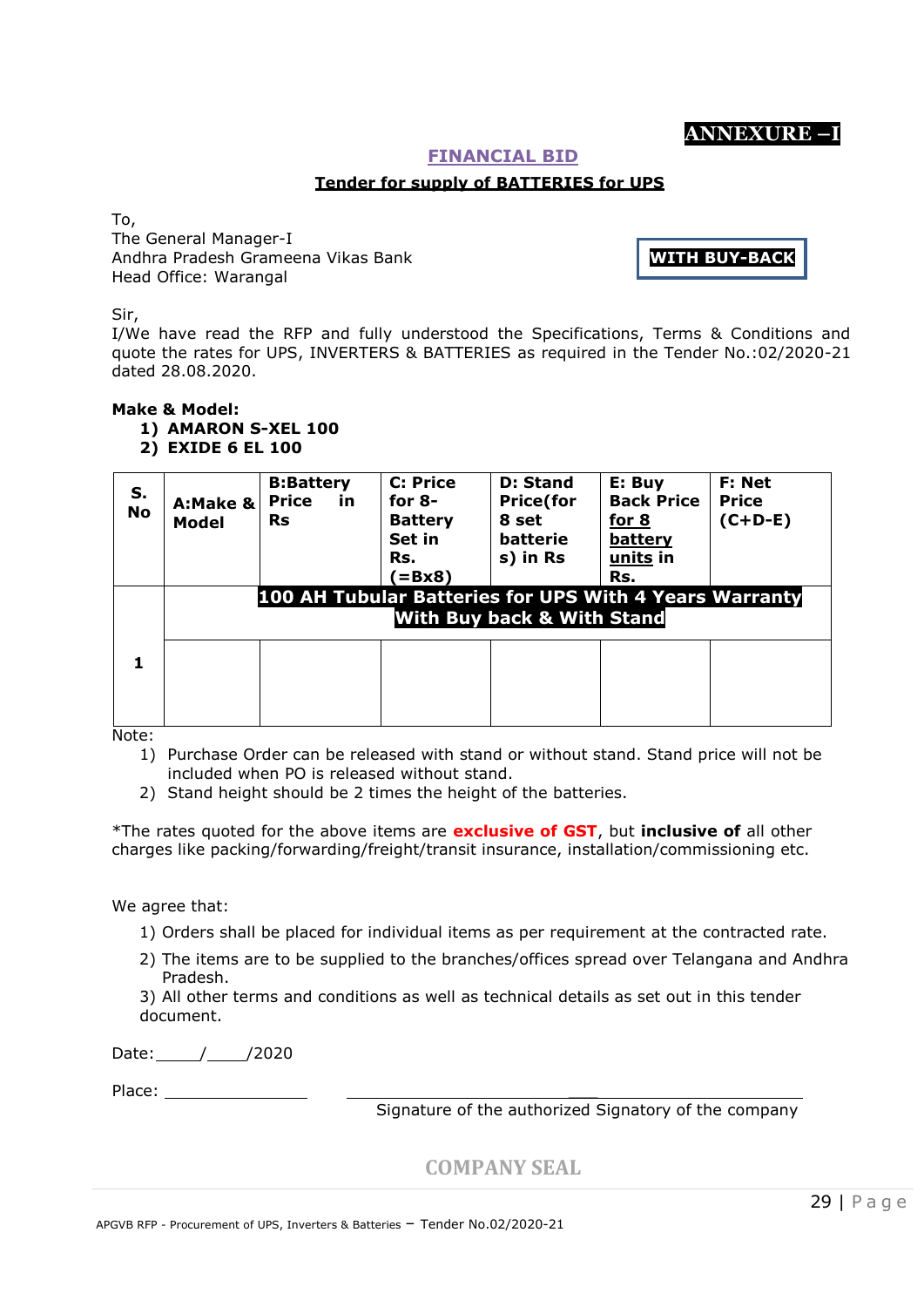# **ANNEXURE –I**

#### **FINANCIAL BID**

#### **Tender for supply of BATTERIES for UPS**

To,

The General Manager-I Andhra Pradesh Grameena Vikas Bank Head Office: Warangal

**WITH BUY-BACK**

Sir,

I/We have read the RFP and fully understood the Specifications, Terms & Conditions and quote the rates for UPS, INVERTERS & BATTERIES as required in the Tender No.:02/2020-21 dated 28.08.2020.

#### **Make & Model:**

**1) AMARON S-XEL 100**

**2) EXIDE 6 EL 100**

| S.<br><b>No</b> | A:Make &<br>Model | <b>B:Battery</b><br><b>Price</b><br>in<br><b>Rs</b><br>100 AH Tubular Batteries for UPS With 4 Years Warranty | <b>C: Price</b><br>for $8-$<br><b>Battery</b><br>Set in<br>Rs.<br>$=$ Bx8) | <b>D: Stand</b><br><b>Price</b> (for<br>8 set<br><b>batterie</b><br>s) in Rs<br><b>With Buy back &amp; With Stand</b> | E: Buy<br><b>Back Price</b><br>for 8<br>battery<br>units in<br>Rs. | F: Net<br><b>Price</b><br>$(C+D-E)$ |
|-----------------|-------------------|---------------------------------------------------------------------------------------------------------------|----------------------------------------------------------------------------|-----------------------------------------------------------------------------------------------------------------------|--------------------------------------------------------------------|-------------------------------------|
| 1               |                   |                                                                                                               |                                                                            |                                                                                                                       |                                                                    |                                     |

Note:

1) Purchase Order can be released with stand or without stand. Stand price will not be included when PO is released without stand.

2) Stand height should be 2 times the height of the batteries.

\*The rates quoted for the above items are **exclusive of GST**, but **inclusive of** all other charges like packing/forwarding/freight/transit insurance, installation/commissioning etc.

We agree that:

- 1) Orders shall be placed for individual items as per requirement at the contracted rate.
- 2) The items are to be supplied to the branches/offices spread over Telangana and Andhra Pradesh.

3) All other terms and conditions as well as technical details as set out in this tender document.

Date: / /2020

Place: \_\_\_

Signature of the authorized Signatory of the company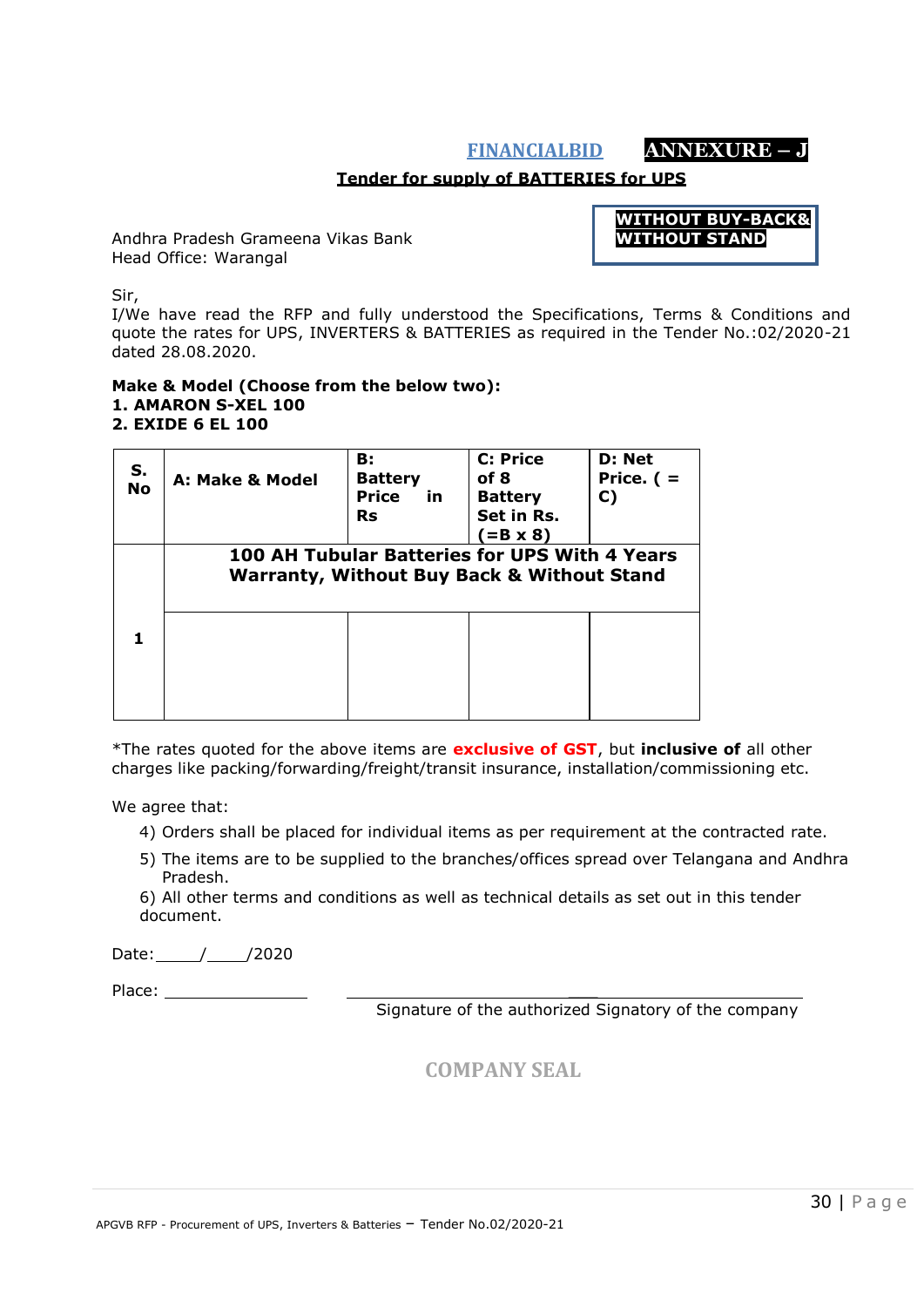# **FINANCIALBID ANNEXURE – J**

### **Tender for supply of BATTERIES for UPS**

Andhra Pradesh Grameena Vikas Bank Head Office: Warangal



Sir,

I/We have read the RFP and fully understood the Specifications, Terms & Conditions and quote the rates for UPS, INVERTERS & BATTERIES as required in the Tender No.:02/2020-21 dated 28.08.2020.

#### **Make & Model (Choose from the below two): 1. AMARON S-XEL 100 2. EXIDE 6 EL 100**

| S.<br><b>No</b> | A: Make & Model | <b>B</b> :<br><b>Battery</b><br><b>Price</b><br>in<br><b>Rs</b> | <b>C: Price</b><br>of 8<br><b>Battery</b><br>Set in Rs.<br>$(=B \times 8)$                             | D: Net<br>Price. $($ =<br>C) |
|-----------------|-----------------|-----------------------------------------------------------------|--------------------------------------------------------------------------------------------------------|------------------------------|
|                 |                 |                                                                 | 100 AH Tubular Batteries for UPS With 4 Years<br><b>Warranty, Without Buy Back &amp; Without Stand</b> |                              |
|                 |                 |                                                                 |                                                                                                        |                              |

\*The rates quoted for the above items are **exclusive of GST**, but **inclusive of** all other charges like packing/forwarding/freight/transit insurance, installation/commissioning etc.

We agree that:

- 4) Orders shall be placed for individual items as per requirement at the contracted rate.
- 5) The items are to be supplied to the branches/offices spread over Telangana and Andhra Pradesh.

6) All other terms and conditions as well as technical details as set out in this tender document.

Date: / /2020

Place:

Signature of the authorized Signatory of the company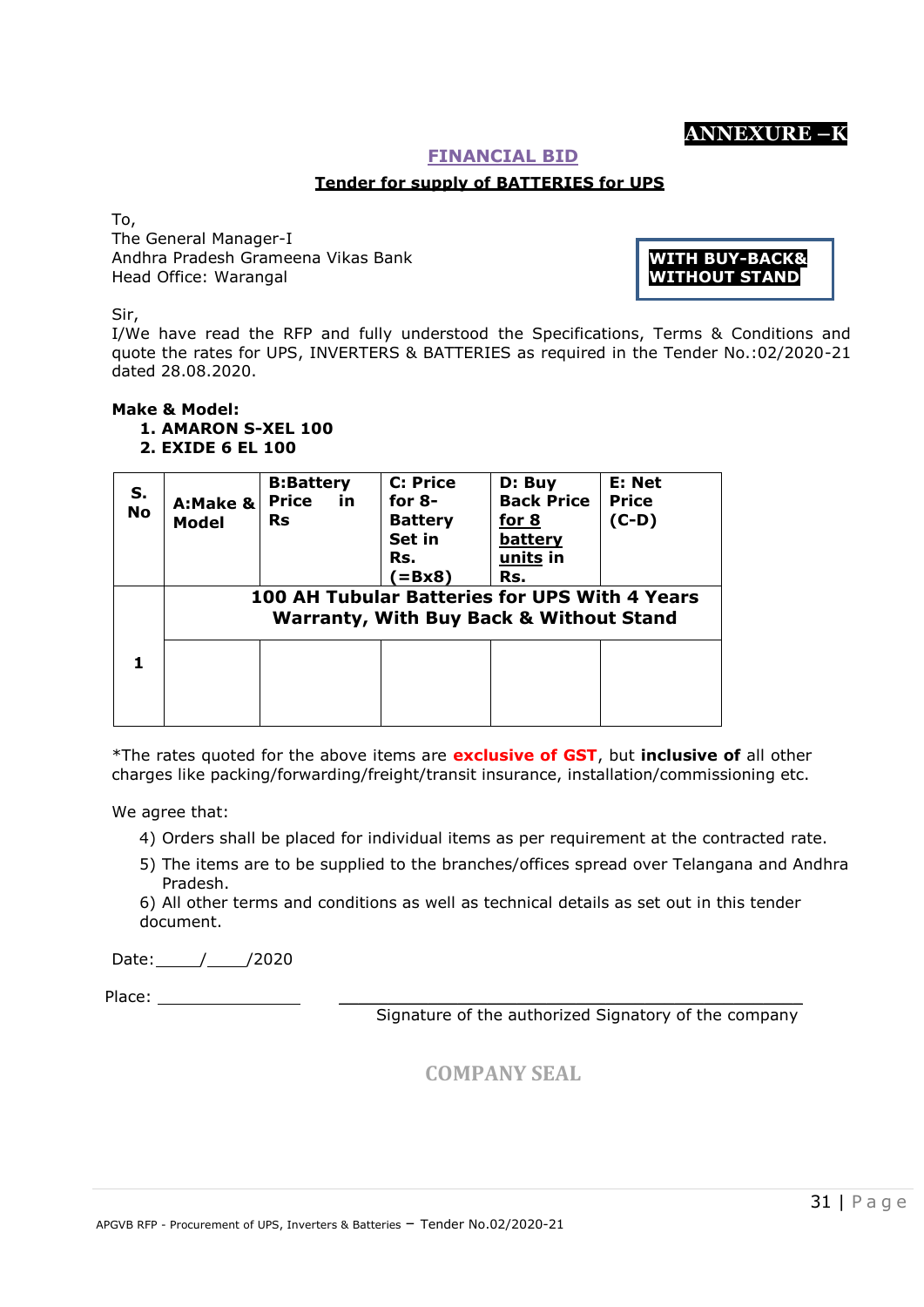# **ANNEXURE –K**

#### **FINANCIAL BID**

#### **Tender for supply of BATTERIES for UPS**

To,

The General Manager-I Andhra Pradesh Grameena Vikas Bank Head Office: Warangal

**WITH BUY-BACK& WITHOUT STAND**

Sir,

I/We have read the RFP and fully understood the Specifications, Terms & Conditions and quote the rates for UPS, INVERTERS & BATTERIES as required in the Tender No.:02/2020-21 dated 28.08.2020.

#### **Make & Model: 1. AMARON S-XEL 100 2. EXIDE 6 EL 100**

| S.<br><b>No</b> | A:Make &<br>Model                                                                                   | <b>B:Battery</b><br><b>Price</b><br><u>in</u><br><b>Rs</b> | <b>C: Price</b><br>for $8-$<br><b>Battery</b><br>Set in<br>Rs.<br>$(=\mathbf{B}\mathbf{x}\mathbf{8})$ | D: Buy<br><b>Back Price</b><br><u>for 8</u><br>battery<br>units in<br>Rs. | E: Net<br><b>Price</b><br>$(C-D)$ |  |
|-----------------|-----------------------------------------------------------------------------------------------------|------------------------------------------------------------|-------------------------------------------------------------------------------------------------------|---------------------------------------------------------------------------|-----------------------------------|--|
|                 | 100 AH Tubular Batteries for UPS With 4 Years<br><b>Warranty, With Buy Back &amp; Without Stand</b> |                                                            |                                                                                                       |                                                                           |                                   |  |
|                 |                                                                                                     |                                                            |                                                                                                       |                                                                           |                                   |  |
|                 |                                                                                                     |                                                            |                                                                                                       |                                                                           |                                   |  |

\*The rates quoted for the above items are **exclusive of GST**, but **inclusive of** all other charges like packing/forwarding/freight/transit insurance, installation/commissioning etc.

We agree that:

- 4) Orders shall be placed for individual items as per requirement at the contracted rate.
- 5) The items are to be supplied to the branches/offices spread over Telangana and Andhra Pradesh.

6) All other terms and conditions as well as technical details as set out in this tender document.

Date: // /2020

Place:  $\Box$ 

Signature of the authorized Signatory of the company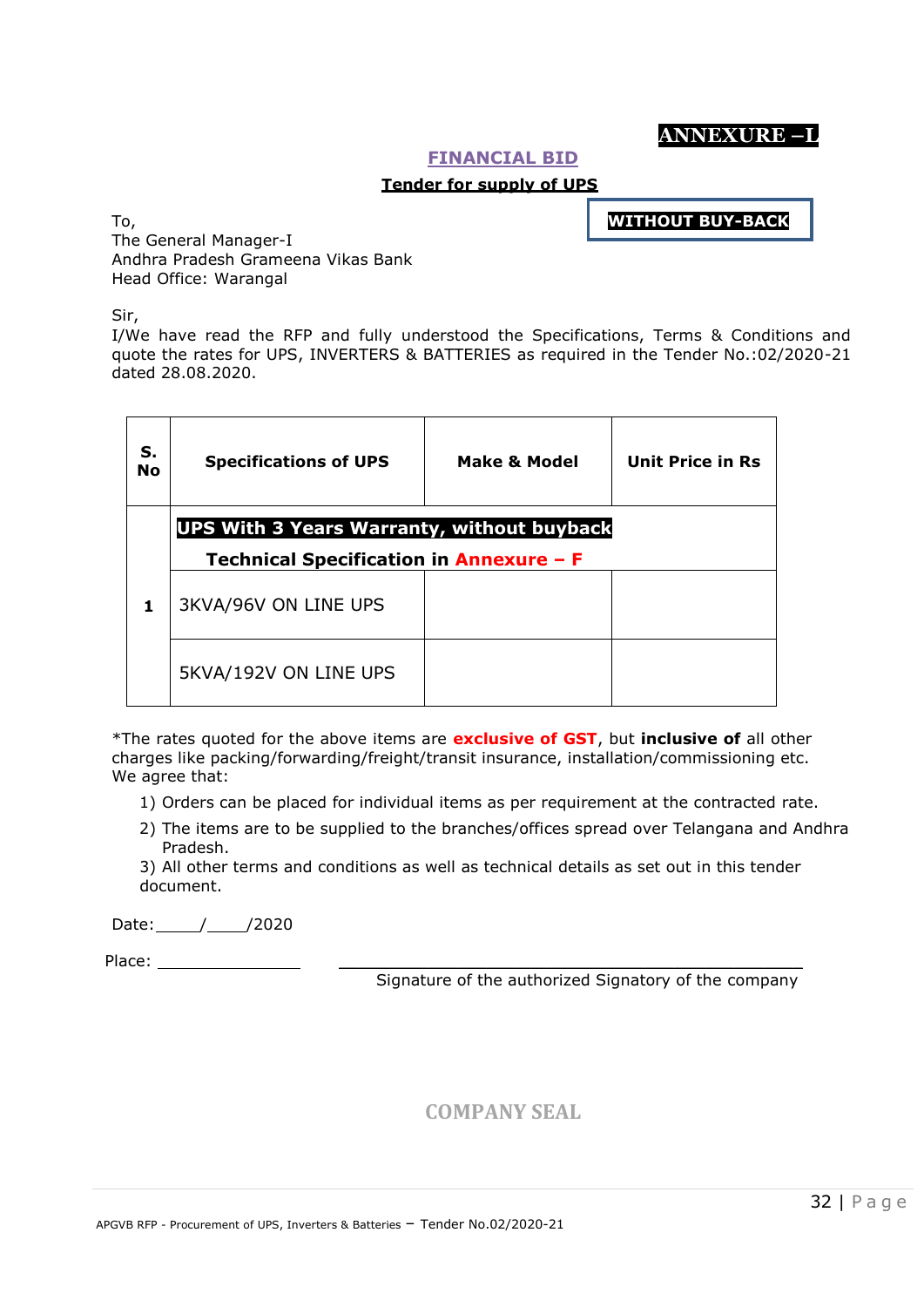# **ANNEXURE –L**

#### **FINANCIAL BID**

#### **Tender for supply of UPS**

**WITHOUT BUY-BACK**

To, The General Manager-I Andhra Pradesh Grameena Vikas Bank Head Office: Warangal

Sir,

I/We have read the RFP and fully understood the Specifications, Terms & Conditions and quote the rates for UPS, INVERTERS & BATTERIES as required in the Tender No.:02/2020-21 dated 28.08.2020.

| S.<br><b>No</b> | <b>Specifications of UPS</b> | <b>Make &amp; Model</b>                                                                      | <b>Unit Price in Rs</b> |  |  |  |  |
|-----------------|------------------------------|----------------------------------------------------------------------------------------------|-------------------------|--|--|--|--|
|                 |                              | <b>UPS With 3 Years Warranty, without buyback</b><br>Technical Specification in Annexure - F |                         |  |  |  |  |
| 1               | 3KVA/96V ON LINE UPS         |                                                                                              |                         |  |  |  |  |
|                 | 5KVA/192V ON LINE UPS        |                                                                                              |                         |  |  |  |  |

\*The rates quoted for the above items are **exclusive of GST**, but **inclusive of** all other charges like packing/forwarding/freight/transit insurance, installation/commissioning etc. We agree that:

- 1) Orders can be placed for individual items as per requirement at the contracted rate.
- 2) The items are to be supplied to the branches/offices spread over Telangana and Andhra Pradesh.

3) All other terms and conditions as well as technical details as set out in this tender document.

Date: // /2020

Place:  $\Box$ 

Signature of the authorized Signatory of the company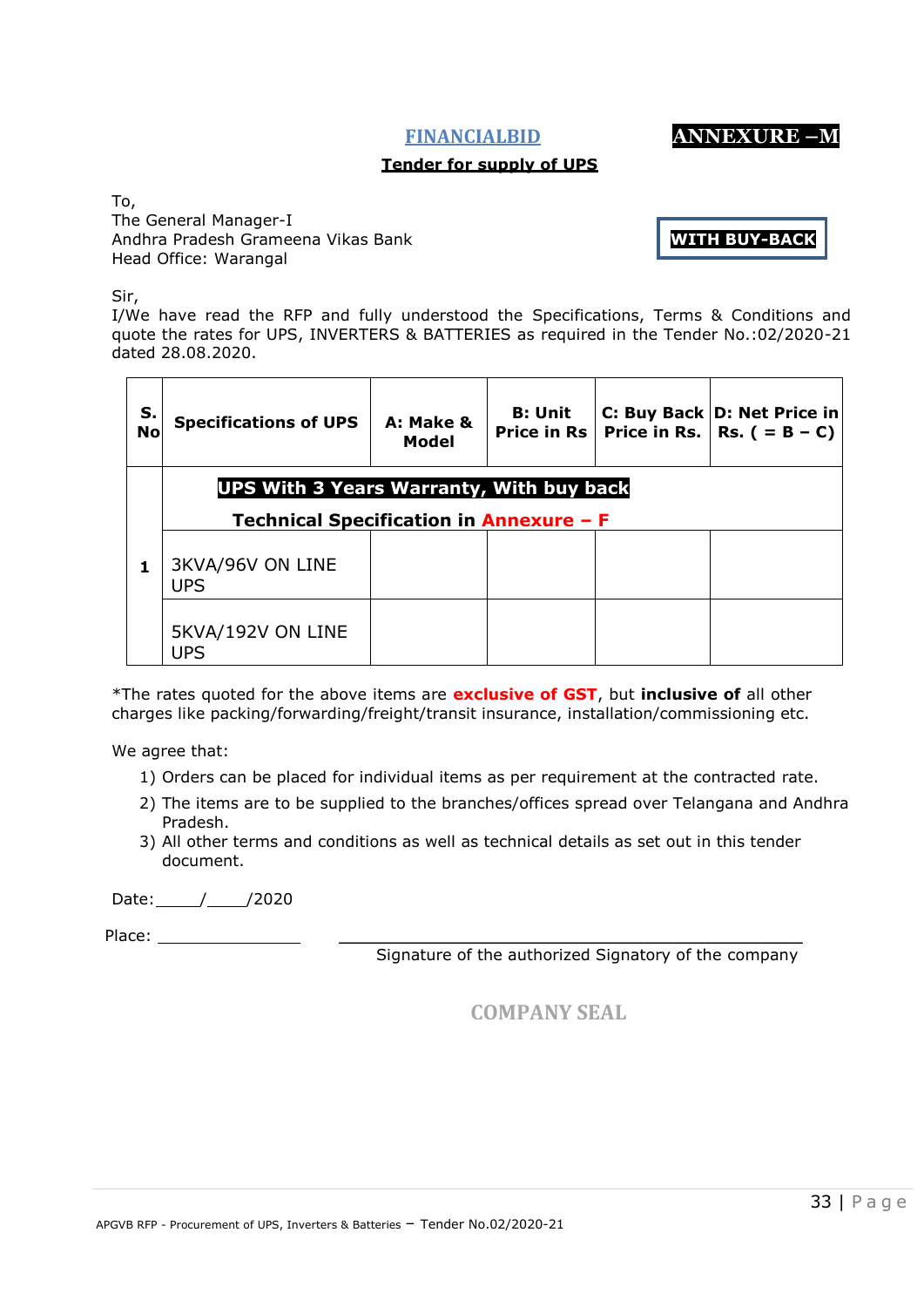**FINANCIALBID ANNEXURE –M**

#### **Tender for supply of UPS**

To, The General Manager-I Andhra Pradesh Grameena Vikas Bank Head Office: Warangal

**WITH BUY-BACK**

Sir,

I/We have read the RFP and fully understood the Specifications, Terms & Conditions and quote the rates for UPS, INVERTERS & BATTERIES as required in the Tender No.:02/2020-21 dated 28.08.2020.

| S.<br><b>No</b> | <b>Specifications of UPS</b>                                                               | A: Make &<br>Model | <b>B: Unit</b><br><b>Price in Rs I</b> |  | C: Buy Back D: Net Price in<br>Price in Rs.   Rs. $( = B - C)$ |  |
|-----------------|--------------------------------------------------------------------------------------------|--------------------|----------------------------------------|--|----------------------------------------------------------------|--|
|                 | <b>UPS With 3 Years Warranty, With buy back</b><br>Technical Specification in Annexure - F |                    |                                        |  |                                                                |  |
|                 | 3KVA/96V ON LINE<br><b>UPS</b>                                                             |                    |                                        |  |                                                                |  |
|                 | 5KVA/192V ON LINE<br><b>UPS</b>                                                            |                    |                                        |  |                                                                |  |

\*The rates quoted for the above items are **exclusive of GST**, but **inclusive of** all other charges like packing/forwarding/freight/transit insurance, installation/commissioning etc.

We agree that:

- 1) Orders can be placed for individual items as per requirement at the contracted rate.
- 2) The items are to be supplied to the branches/offices spread over Telangana and Andhra Pradesh.
- 3) All other terms and conditions as well as technical details as set out in this tender document.

Date: // /2020

Place:  $\Box$ 

Signature of the authorized Signatory of the company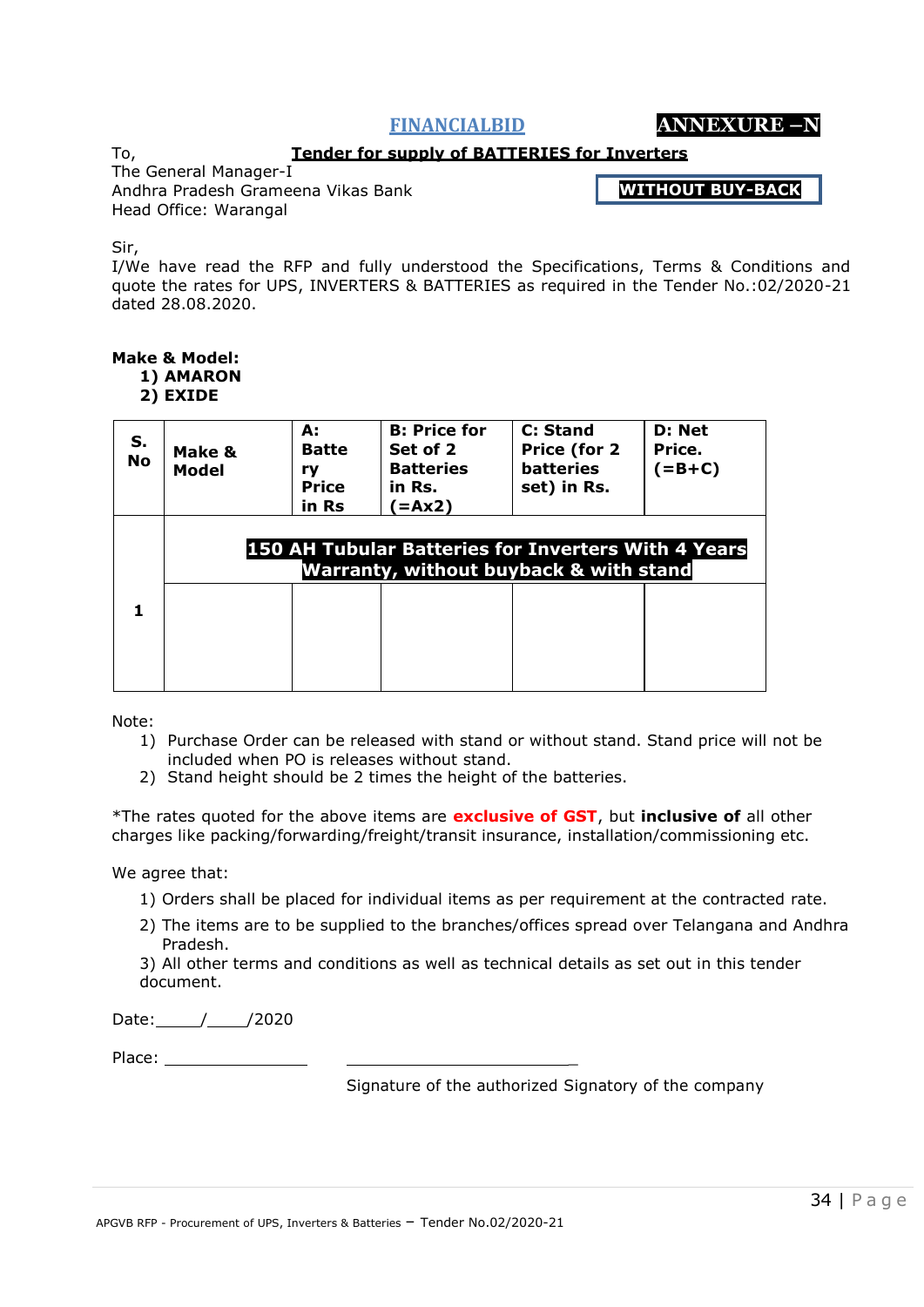**FINANCIALBID ANNEXURE –N**

#### **Tender for supply of BATTERIES for Inverters**

To, The General Manager-I Andhra Pradesh Grameena Vikas Bank

Head Office: Warangal

**WITHOUT BUY-BACK**

Sir,

I/We have read the RFP and fully understood the Specifications, Terms & Conditions and quote the rates for UPS, INVERTERS & BATTERIES as required in the Tender No.:02/2020-21 dated 28.08.2020.

# **Make & Model:**

- **1) AMARON**
- **2) EXIDE**

| Make &<br>Model                                                                                                 | А:<br><b>Batte</b><br>ry<br><b>Price</b><br>in Rs | <b>B: Price for</b><br>Set of 2<br><b>Batteries</b><br>in Rs.<br>(sax2) = | C: Stand<br>Price (for 2<br><b>batteries</b><br>set) in Rs. | D: Net<br>Price.<br>$(=B+C)$ |  |
|-----------------------------------------------------------------------------------------------------------------|---------------------------------------------------|---------------------------------------------------------------------------|-------------------------------------------------------------|------------------------------|--|
| <b>150 AH Tubular Batteries for Inverters With 4 Years</b><br><b>Warranty, without buyback &amp; with stand</b> |                                                   |                                                                           |                                                             |                              |  |
|                                                                                                                 |                                                   |                                                                           |                                                             |                              |  |
|                                                                                                                 |                                                   |                                                                           |                                                             |                              |  |

Note:

- 1) Purchase Order can be released with stand or without stand. Stand price will not be included when PO is releases without stand.
- 2) Stand height should be 2 times the height of the batteries.

\*The rates quoted for the above items are **exclusive of GST**, but **inclusive of** all other charges like packing/forwarding/freight/transit insurance, installation/commissioning etc.

We agree that:

- 1) Orders shall be placed for individual items as per requirement at the contracted rate.
- 2) The items are to be supplied to the branches/offices spread over Telangana and Andhra Pradesh.

3) All other terms and conditions as well as technical details as set out in this tender document.

Date: // /2020

Place: \_

Signature of the authorized Signatory of the company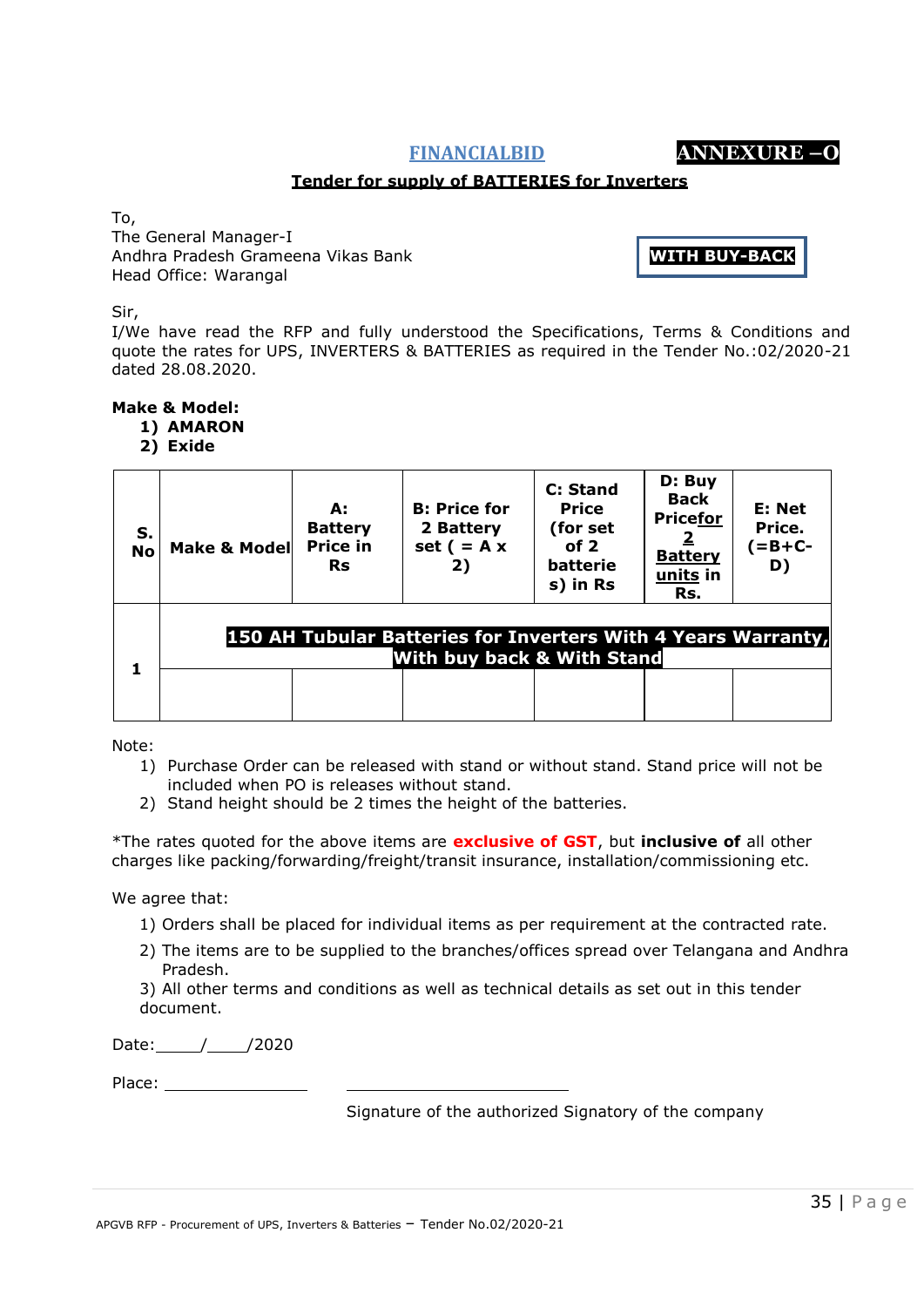APGVB RFP - Procurement of UPS, Inverters & Batteries – Tender No.02/2020-21

#### **Tender for supply of BATTERIES for Inverters**

To,

The General Manager-I Andhra Pradesh Grameena Vikas Bank Head Office: Warangal

Sir,

I/We have read the RFP and fully understood the Specifications, Terms & Conditions and quote the rates for UPS, INVERTERS & BATTERIES as required in the Tender No.:02/2020-21 dated 28.08.2020.

### **Make & Model:**

- **1) AMARON** 
	- **2) Exide**

| S.<br><b>No</b> | <b>Make &amp; Model</b> | А:<br><b>Battery</b><br><b>Price in</b><br><b>Rs</b> | <b>B: Price for</b><br>2 Battery<br>set $( = A x)$<br>2)                                                      | C: Stand<br><b>Price</b><br>(for set<br>of $2$<br>batterie<br>s) in Rs | D: Buy<br><b>Back</b><br><b>Pricefor</b><br><b>Battery</b><br>units in<br>Rs. | E: Net<br>Price.<br>$( = B + C - )$<br>D) |
|-----------------|-------------------------|------------------------------------------------------|---------------------------------------------------------------------------------------------------------------|------------------------------------------------------------------------|-------------------------------------------------------------------------------|-------------------------------------------|
| 1               |                         |                                                      | <b>150 AH Tubular Batteries for Inverters With 4 Years Warranty,</b><br><b>With buy back &amp; With Stand</b> |                                                                        |                                                                               |                                           |

Note:

- 1) Purchase Order can be released with stand or without stand. Stand price will not be included when PO is releases without stand.
- 2) Stand height should be 2 times the height of the batteries.

\*The rates quoted for the above items are **exclusive of GST**, but **inclusive of** all other charges like packing/forwarding/freight/transit insurance, installation/commissioning etc.

We agree that:

- 1) Orders shall be placed for individual items as per requirement at the contracted rate.
- 2) The items are to be supplied to the branches/offices spread over Telangana and Andhra Pradesh.

3) All other terms and conditions as well as technical details as set out in this tender document.

Date: / /2020

Place: National Place: National Place: National Place Place Place Place Place Place Place Place Place Place Place Place Place Place Place Place Place Place Place Place Place Place Place Place Place Place Place Place Place

Signature of the authorized Signatory of the company



**WITH BUY-BACK**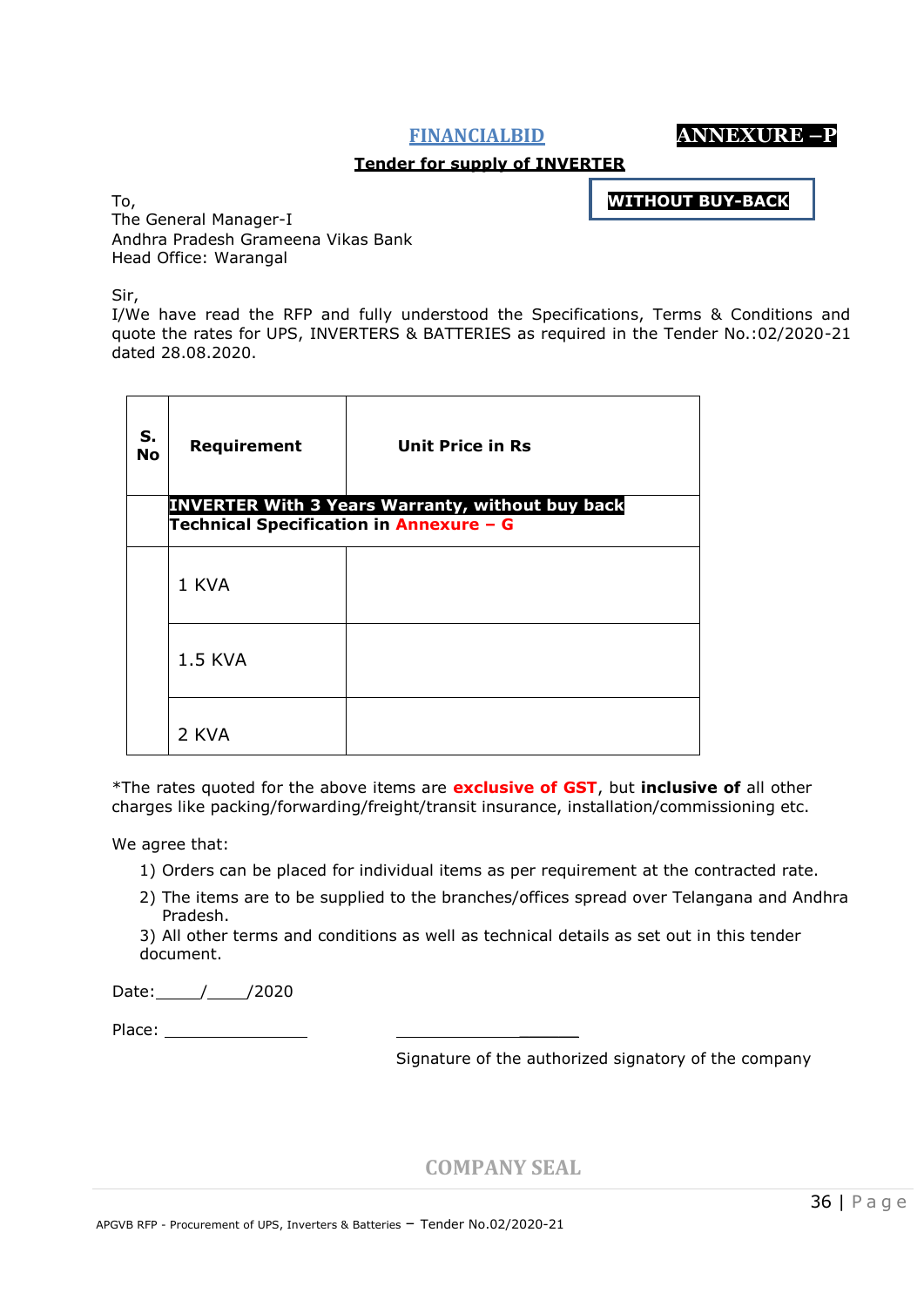**FINANCIALBID ANNEXURE –P**

#### **Tender for supply of INVERTER**

**WITHOUT BUY-BACK**

To, The General Manager-I Andhra Pradesh Grameena Vikas Bank Head Office: Warangal

Sir,

I/We have read the RFP and fully understood the Specifications, Terms & Conditions and quote the rates for UPS, INVERTERS & BATTERIES as required in the Tender No.:02/2020-21 dated 28.08.2020.

| S.<br><b>No</b> | Requirement<br>Technical Specification in Annexure - G | <b>Unit Price in Rs</b><br><b>INVERTER With 3 Years Warranty, without buy back</b> |
|-----------------|--------------------------------------------------------|------------------------------------------------------------------------------------|
|                 | 1 KVA                                                  |                                                                                    |
|                 | <b>1.5 KVA</b>                                         |                                                                                    |
|                 | 2 KVA                                                  |                                                                                    |

\*The rates quoted for the above items are **exclusive of GST**, but **inclusive of** all other charges like packing/forwarding/freight/transit insurance, installation/commissioning etc.

We agree that:

- 1) Orders can be placed for individual items as per requirement at the contracted rate.
- 2) The items are to be supplied to the branches/offices spread over Telangana and Andhra Pradesh.
- 3) All other terms and conditions as well as technical details as set out in this tender document.

Date: // /2020

Place: \_\_\_\_\_\_

Signature of the authorized signatory of the company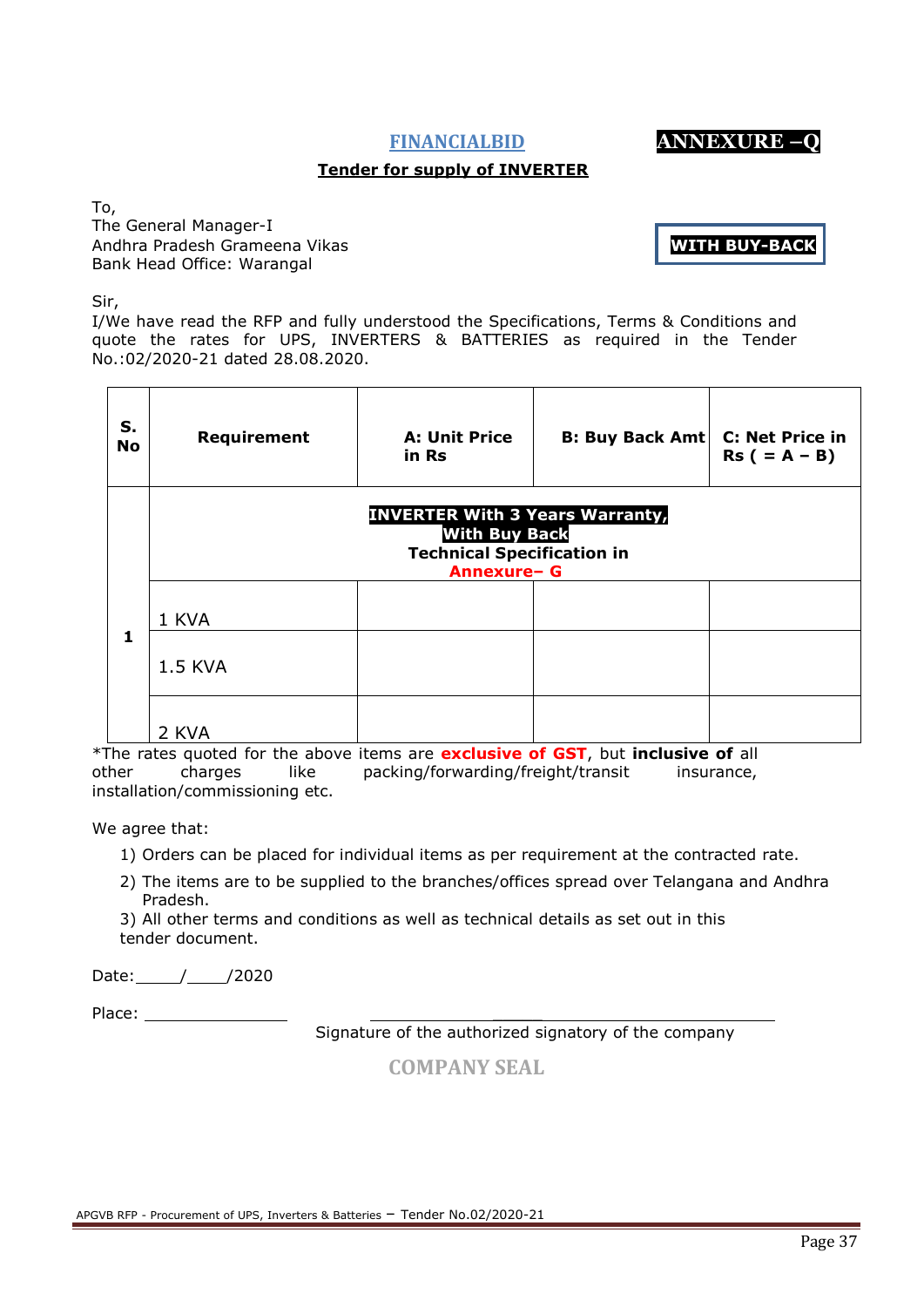# **Tender for supply of INVERTER**

To, The General Manager-I Andhra Pradesh Grameena Vikas Bank Head Office: Warangal

Sir,

I/We have read the RFP and fully understood the Specifications, Terms & Conditions and quote the rates for UPS, INVERTERS & BATTERIES as required in the Tender No.:02/2020-21 dated 28.08.2020.

| S.<br>No | Requirement                                                                                                               | <b>A: Unit Price</b><br>in Rs | <b>B: Buy Back Amt</b> | <b>C: Net Price in</b><br>$Rs (= A - B)$ |  |
|----------|---------------------------------------------------------------------------------------------------------------------------|-------------------------------|------------------------|------------------------------------------|--|
|          | <b>INVERTER With 3 Years Warranty,</b><br><b>With Buy Back</b><br><b>Technical Specification in</b><br><b>Annexure- G</b> |                               |                        |                                          |  |
| 1        | 1 KVA                                                                                                                     |                               |                        |                                          |  |
|          | <b>1.5 KVA</b>                                                                                                            |                               |                        |                                          |  |
|          | 2 KVA                                                                                                                     |                               |                        |                                          |  |

\*The rates quoted for the above items are **exclusive of GST**, but **inclusive of** all other charges like packing/forwarding/freight/transit insurance, installation/commissioning etc.

We agree that:

1) Orders can be placed for individual items as per requirement at the contracted rate.

2) The items are to be supplied to the branches/offices spread over Telangana and Andhra Pradesh.

3) All other terms and conditions as well as technical details as set out in this tender document.

Date: / /2020

Place: \_\_\_\_\_

Signature of the authorized signatory of the company

|  | <b>COMPANY SEAL</b> |
|--|---------------------|
|  |                     |



**WITH BUY-BACK**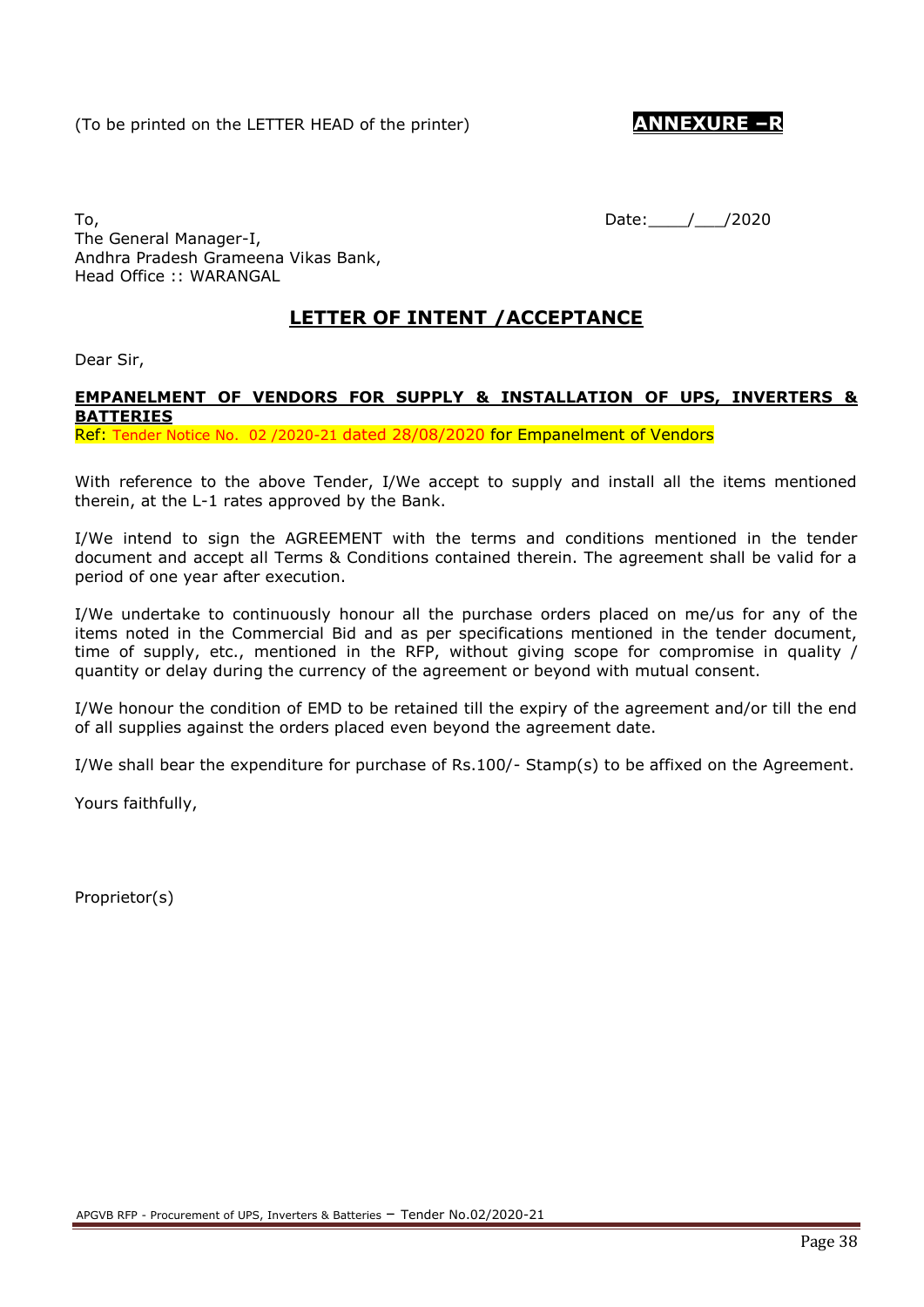To, Date: 1, 2020 The General Manager-I, Andhra Pradesh Grameena Vikas Bank, Head Office :: WARANGAL

# **LETTER OF INTENT /ACCEPTANCE**

Dear Sir,

# **EMPANELMENT OF VENDORS FOR SUPPLY & INSTALLATION OF UPS, INVERTERS & BATTERIES**

Ref: Tender Notice No. 02 /2020-21 dated 28/08/2020 for Empanelment of Vendors

With reference to the above Tender, I/We accept to supply and install all the items mentioned therein, at the L-1 rates approved by the Bank.

I/We intend to sign the AGREEMENT with the terms and conditions mentioned in the tender document and accept all Terms & Conditions contained therein. The agreement shall be valid for a period of one year after execution.

I/We undertake to continuously honour all the purchase orders placed on me/us for any of the items noted in the Commercial Bid and as per specifications mentioned in the tender document, time of supply, etc., mentioned in the RFP, without giving scope for compromise in quality / quantity or delay during the currency of the agreement or beyond with mutual consent.

I/We honour the condition of EMD to be retained till the expiry of the agreement and/or till the end of all supplies against the orders placed even beyond the agreement date.

I/We shall bear the expenditure for purchase of Rs.100/- Stamp(s) to be affixed on the Agreement.

Yours faithfully,

Proprietor(s)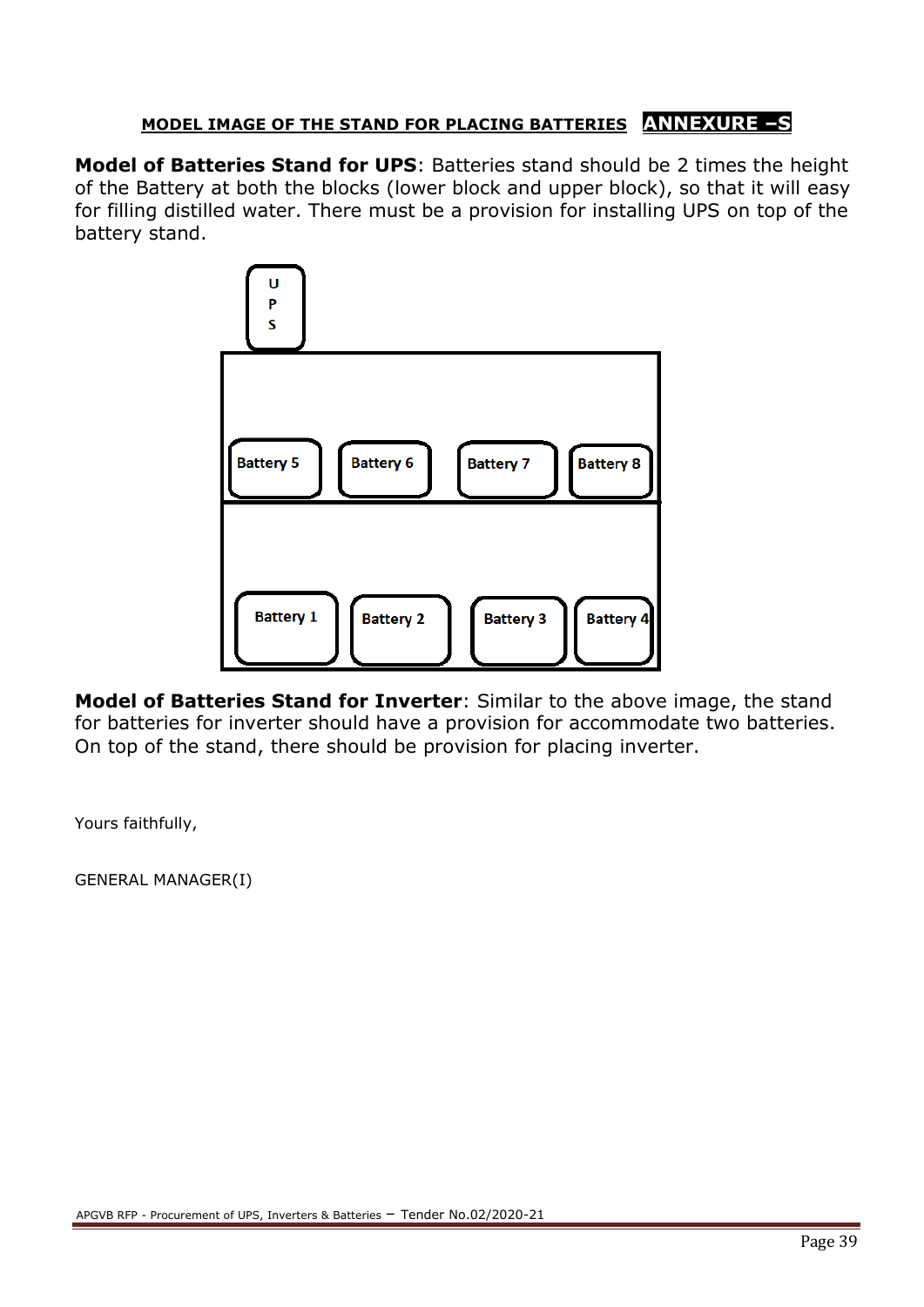# **MODEL IMAGE OF THE STAND FOR PLACING BATTERIES ANNEXURE –S**

**Model of Batteries Stand for UPS**: Batteries stand should be 2 times the height of the Battery at both the blocks (lower block and upper block), so that it will easy for filling distilled water. There must be a provision for installing UPS on top of the battery stand.



**Model of Batteries Stand for Inverter**: Similar to the above image, the stand for batteries for inverter should have a provision for accommodate two batteries. On top of the stand, there should be provision for placing inverter.

Yours faithfully,

GENERAL MANAGER(I)